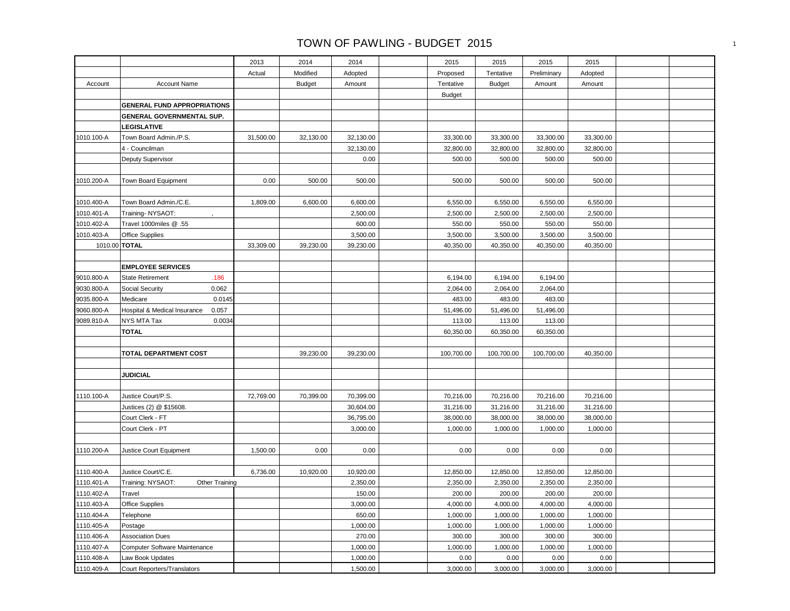| Actual<br>Modified<br>Adopted<br>Proposed<br>Tentative<br>Preliminary<br>Adopted<br><b>Budget</b><br>Tentative<br>Account<br><b>Account Name</b><br>Amount<br><b>Budget</b><br>Amount<br>Amount<br><b>Budget</b><br><b>GENERAL FUND APPROPRIATIONS</b><br>GENERAL GOVERNMENTAL SUP.<br>LEGISLATIVE<br>Town Board Admin./P.S.<br>31,500.00<br>32,130.00<br>32,130.00<br>33,300.00<br>33,300.00<br>33,300.00<br>33,300.00<br>1010.100-A<br>4 - Councilman<br>32,130.00<br>32,800.00<br>32,800.00<br>32,800.00<br>32,800.00<br>0.00<br>500.00<br>500.00<br>500.00<br>500.00<br>Deputy Supervisor<br>0.00<br>500.00<br>500.00<br>500.00<br>500.00<br>500.00<br>500.00<br>1010.200-A<br>Town Board Equipment<br>Town Board Admin./C.E.<br>6,550.00<br>1010.400-A<br>1,809.00<br>6,600.00<br>6,600.00<br>6,550.00<br>6,550.00<br>6,550.00<br>1010.401-A<br>2,500.00<br>2,500.00<br>2,500.00<br>2,500.00<br>2,500.00<br>Training-NYSAOT:<br>1010.402-A<br>Travel 1000miles @ .55<br>600.00<br>550.00<br>550.00<br>550.00<br>550.00<br>1010.403-A<br>3,500.00<br>3,500.00<br>3,500.00<br>3,500.00<br>3,500.00<br>Office Supplies<br>1010.00 TOTAL<br>33,309.00<br>39,230.00<br>39,230.00<br>40,350.00<br>40,350.00<br>40,350.00<br>40,350.00<br><b>EMPLOYEE SERVICES</b><br>.186<br>9010.800-A<br><b>State Retirement</b><br>6,194.00<br>6,194.00<br>6,194.00<br>9030.800-A<br>0.062<br>Social Security<br>2,064.00<br>2,064.00<br>2,064.00<br>9035.800-A<br>0.0145<br>483.00<br>483.00<br>483.00<br>Medicare<br>9060.800-A<br>0.057<br>51,496.00<br>51,496.00<br>51,496.00<br>Hospital & Medical Insurance<br>9089.810-A<br>0.0034<br>NYS MTA Tax<br>113.00<br>113.00<br>113.00<br><b>TOTAL</b><br>60,350.00<br>60,350.00<br>60,350.00<br>TOTAL DEPARTMENT COST<br>39,230.00<br>39,230.00<br>100,700.00<br>100,700.00<br>100,700.00<br>40,350.00<br><b>JUDICIAL</b><br>1110.100-A<br>Justice Court/P.S.<br>72,769.00<br>70,399.00<br>70,399.00<br>70,216.00<br>70,216.00<br>70,216.00<br>70,216.00<br>30,604.00<br>31,216.00<br>31,216.00<br>Justices (2) @ \$15608.<br>31,216.00<br>31,216.00<br>Court Clerk - FT<br>36,795.00<br>38,000.00<br>38,000.00<br>38,000.00<br>38,000.00<br>1,000.00<br>Court Clerk - PT<br>3,000.00<br>1,000.00<br>1,000.00<br>1,000.00<br>0.00<br>1110.200-A<br>1,500.00<br>0.00<br>0.00<br>0.00<br>0.00<br>0.00<br>Justice Court Equipment<br>1110.400-A<br>Justice Court/C.E.<br>6,736.00<br>10,920.00<br>10,920.00<br>12,850.00<br>12,850.00<br>12,850.00<br>12,850.00<br>2,350.00<br>1110.401-A<br>Training: NYSAOT:<br>Other Training<br>2,350.00<br>2,350.00<br>2,350.00<br>2,350.00<br>150.00<br>200.00<br>200.00<br>200.00<br>1110.402-A<br>200.00<br>Travel<br>1110.403-A<br>3,000.00<br>4,000.00<br>4,000.00<br>4,000.00<br>4,000.00<br><b>Office Supplies</b><br>1110.404-A<br>650.00<br>1,000.00<br>1,000.00<br>1,000.00<br>1,000.00<br>Telephone<br>1110.405-A<br>1,000.00<br>1,000.00<br>1,000.00<br>1,000.00<br>1,000.00<br>Postage<br>1110.406-A<br>270.00<br>300.00<br>300.00<br>300.00<br>300.00<br><b>Association Dues</b><br>1,000.00<br>1,000.00<br>1,000.00<br>1,000.00<br>1110.407-A<br>Computer Software Maintenance<br>1,000.00<br>1110.408-A<br>1,000.00<br>0.00<br>0.00<br>0.00<br>0.00<br>Law Book Updates<br>1,500.00<br>3,000.00<br>3,000.00<br>3,000.00<br>3,000.00<br>1110.409-A<br>Court Reporters/Translators |  | 2013 | 2014 | 2014 | 2015 | 2015 | 2015 | 2015 |  |
|-----------------------------------------------------------------------------------------------------------------------------------------------------------------------------------------------------------------------------------------------------------------------------------------------------------------------------------------------------------------------------------------------------------------------------------------------------------------------------------------------------------------------------------------------------------------------------------------------------------------------------------------------------------------------------------------------------------------------------------------------------------------------------------------------------------------------------------------------------------------------------------------------------------------------------------------------------------------------------------------------------------------------------------------------------------------------------------------------------------------------------------------------------------------------------------------------------------------------------------------------------------------------------------------------------------------------------------------------------------------------------------------------------------------------------------------------------------------------------------------------------------------------------------------------------------------------------------------------------------------------------------------------------------------------------------------------------------------------------------------------------------------------------------------------------------------------------------------------------------------------------------------------------------------------------------------------------------------------------------------------------------------------------------------------------------------------------------------------------------------------------------------------------------------------------------------------------------------------------------------------------------------------------------------------------------------------------------------------------------------------------------------------------------------------------------------------------------------------------------------------------------------------------------------------------------------------------------------------------------------------------------------------------------------------------------------------------------------------------------------------------------------------------------------------------------------------------------------------------------------------------------------------------------------------------------------------------------------------------------------------------------------------------------------------------------------------------------------------------------------------------------------------------------------------------------------------------------------------------------------------------------------------------------------------------------------------------------------------------------------------|--|------|------|------|------|------|------|------|--|
|                                                                                                                                                                                                                                                                                                                                                                                                                                                                                                                                                                                                                                                                                                                                                                                                                                                                                                                                                                                                                                                                                                                                                                                                                                                                                                                                                                                                                                                                                                                                                                                                                                                                                                                                                                                                                                                                                                                                                                                                                                                                                                                                                                                                                                                                                                                                                                                                                                                                                                                                                                                                                                                                                                                                                                                                                                                                                                                                                                                                                                                                                                                                                                                                                                                                                                                                                                       |  |      |      |      |      |      |      |      |  |
|                                                                                                                                                                                                                                                                                                                                                                                                                                                                                                                                                                                                                                                                                                                                                                                                                                                                                                                                                                                                                                                                                                                                                                                                                                                                                                                                                                                                                                                                                                                                                                                                                                                                                                                                                                                                                                                                                                                                                                                                                                                                                                                                                                                                                                                                                                                                                                                                                                                                                                                                                                                                                                                                                                                                                                                                                                                                                                                                                                                                                                                                                                                                                                                                                                                                                                                                                                       |  |      |      |      |      |      |      |      |  |
|                                                                                                                                                                                                                                                                                                                                                                                                                                                                                                                                                                                                                                                                                                                                                                                                                                                                                                                                                                                                                                                                                                                                                                                                                                                                                                                                                                                                                                                                                                                                                                                                                                                                                                                                                                                                                                                                                                                                                                                                                                                                                                                                                                                                                                                                                                                                                                                                                                                                                                                                                                                                                                                                                                                                                                                                                                                                                                                                                                                                                                                                                                                                                                                                                                                                                                                                                                       |  |      |      |      |      |      |      |      |  |
|                                                                                                                                                                                                                                                                                                                                                                                                                                                                                                                                                                                                                                                                                                                                                                                                                                                                                                                                                                                                                                                                                                                                                                                                                                                                                                                                                                                                                                                                                                                                                                                                                                                                                                                                                                                                                                                                                                                                                                                                                                                                                                                                                                                                                                                                                                                                                                                                                                                                                                                                                                                                                                                                                                                                                                                                                                                                                                                                                                                                                                                                                                                                                                                                                                                                                                                                                                       |  |      |      |      |      |      |      |      |  |
|                                                                                                                                                                                                                                                                                                                                                                                                                                                                                                                                                                                                                                                                                                                                                                                                                                                                                                                                                                                                                                                                                                                                                                                                                                                                                                                                                                                                                                                                                                                                                                                                                                                                                                                                                                                                                                                                                                                                                                                                                                                                                                                                                                                                                                                                                                                                                                                                                                                                                                                                                                                                                                                                                                                                                                                                                                                                                                                                                                                                                                                                                                                                                                                                                                                                                                                                                                       |  |      |      |      |      |      |      |      |  |
|                                                                                                                                                                                                                                                                                                                                                                                                                                                                                                                                                                                                                                                                                                                                                                                                                                                                                                                                                                                                                                                                                                                                                                                                                                                                                                                                                                                                                                                                                                                                                                                                                                                                                                                                                                                                                                                                                                                                                                                                                                                                                                                                                                                                                                                                                                                                                                                                                                                                                                                                                                                                                                                                                                                                                                                                                                                                                                                                                                                                                                                                                                                                                                                                                                                                                                                                                                       |  |      |      |      |      |      |      |      |  |
|                                                                                                                                                                                                                                                                                                                                                                                                                                                                                                                                                                                                                                                                                                                                                                                                                                                                                                                                                                                                                                                                                                                                                                                                                                                                                                                                                                                                                                                                                                                                                                                                                                                                                                                                                                                                                                                                                                                                                                                                                                                                                                                                                                                                                                                                                                                                                                                                                                                                                                                                                                                                                                                                                                                                                                                                                                                                                                                                                                                                                                                                                                                                                                                                                                                                                                                                                                       |  |      |      |      |      |      |      |      |  |
|                                                                                                                                                                                                                                                                                                                                                                                                                                                                                                                                                                                                                                                                                                                                                                                                                                                                                                                                                                                                                                                                                                                                                                                                                                                                                                                                                                                                                                                                                                                                                                                                                                                                                                                                                                                                                                                                                                                                                                                                                                                                                                                                                                                                                                                                                                                                                                                                                                                                                                                                                                                                                                                                                                                                                                                                                                                                                                                                                                                                                                                                                                                                                                                                                                                                                                                                                                       |  |      |      |      |      |      |      |      |  |
|                                                                                                                                                                                                                                                                                                                                                                                                                                                                                                                                                                                                                                                                                                                                                                                                                                                                                                                                                                                                                                                                                                                                                                                                                                                                                                                                                                                                                                                                                                                                                                                                                                                                                                                                                                                                                                                                                                                                                                                                                                                                                                                                                                                                                                                                                                                                                                                                                                                                                                                                                                                                                                                                                                                                                                                                                                                                                                                                                                                                                                                                                                                                                                                                                                                                                                                                                                       |  |      |      |      |      |      |      |      |  |
|                                                                                                                                                                                                                                                                                                                                                                                                                                                                                                                                                                                                                                                                                                                                                                                                                                                                                                                                                                                                                                                                                                                                                                                                                                                                                                                                                                                                                                                                                                                                                                                                                                                                                                                                                                                                                                                                                                                                                                                                                                                                                                                                                                                                                                                                                                                                                                                                                                                                                                                                                                                                                                                                                                                                                                                                                                                                                                                                                                                                                                                                                                                                                                                                                                                                                                                                                                       |  |      |      |      |      |      |      |      |  |
|                                                                                                                                                                                                                                                                                                                                                                                                                                                                                                                                                                                                                                                                                                                                                                                                                                                                                                                                                                                                                                                                                                                                                                                                                                                                                                                                                                                                                                                                                                                                                                                                                                                                                                                                                                                                                                                                                                                                                                                                                                                                                                                                                                                                                                                                                                                                                                                                                                                                                                                                                                                                                                                                                                                                                                                                                                                                                                                                                                                                                                                                                                                                                                                                                                                                                                                                                                       |  |      |      |      |      |      |      |      |  |
|                                                                                                                                                                                                                                                                                                                                                                                                                                                                                                                                                                                                                                                                                                                                                                                                                                                                                                                                                                                                                                                                                                                                                                                                                                                                                                                                                                                                                                                                                                                                                                                                                                                                                                                                                                                                                                                                                                                                                                                                                                                                                                                                                                                                                                                                                                                                                                                                                                                                                                                                                                                                                                                                                                                                                                                                                                                                                                                                                                                                                                                                                                                                                                                                                                                                                                                                                                       |  |      |      |      |      |      |      |      |  |
|                                                                                                                                                                                                                                                                                                                                                                                                                                                                                                                                                                                                                                                                                                                                                                                                                                                                                                                                                                                                                                                                                                                                                                                                                                                                                                                                                                                                                                                                                                                                                                                                                                                                                                                                                                                                                                                                                                                                                                                                                                                                                                                                                                                                                                                                                                                                                                                                                                                                                                                                                                                                                                                                                                                                                                                                                                                                                                                                                                                                                                                                                                                                                                                                                                                                                                                                                                       |  |      |      |      |      |      |      |      |  |
|                                                                                                                                                                                                                                                                                                                                                                                                                                                                                                                                                                                                                                                                                                                                                                                                                                                                                                                                                                                                                                                                                                                                                                                                                                                                                                                                                                                                                                                                                                                                                                                                                                                                                                                                                                                                                                                                                                                                                                                                                                                                                                                                                                                                                                                                                                                                                                                                                                                                                                                                                                                                                                                                                                                                                                                                                                                                                                                                                                                                                                                                                                                                                                                                                                                                                                                                                                       |  |      |      |      |      |      |      |      |  |
|                                                                                                                                                                                                                                                                                                                                                                                                                                                                                                                                                                                                                                                                                                                                                                                                                                                                                                                                                                                                                                                                                                                                                                                                                                                                                                                                                                                                                                                                                                                                                                                                                                                                                                                                                                                                                                                                                                                                                                                                                                                                                                                                                                                                                                                                                                                                                                                                                                                                                                                                                                                                                                                                                                                                                                                                                                                                                                                                                                                                                                                                                                                                                                                                                                                                                                                                                                       |  |      |      |      |      |      |      |      |  |
|                                                                                                                                                                                                                                                                                                                                                                                                                                                                                                                                                                                                                                                                                                                                                                                                                                                                                                                                                                                                                                                                                                                                                                                                                                                                                                                                                                                                                                                                                                                                                                                                                                                                                                                                                                                                                                                                                                                                                                                                                                                                                                                                                                                                                                                                                                                                                                                                                                                                                                                                                                                                                                                                                                                                                                                                                                                                                                                                                                                                                                                                                                                                                                                                                                                                                                                                                                       |  |      |      |      |      |      |      |      |  |
|                                                                                                                                                                                                                                                                                                                                                                                                                                                                                                                                                                                                                                                                                                                                                                                                                                                                                                                                                                                                                                                                                                                                                                                                                                                                                                                                                                                                                                                                                                                                                                                                                                                                                                                                                                                                                                                                                                                                                                                                                                                                                                                                                                                                                                                                                                                                                                                                                                                                                                                                                                                                                                                                                                                                                                                                                                                                                                                                                                                                                                                                                                                                                                                                                                                                                                                                                                       |  |      |      |      |      |      |      |      |  |
|                                                                                                                                                                                                                                                                                                                                                                                                                                                                                                                                                                                                                                                                                                                                                                                                                                                                                                                                                                                                                                                                                                                                                                                                                                                                                                                                                                                                                                                                                                                                                                                                                                                                                                                                                                                                                                                                                                                                                                                                                                                                                                                                                                                                                                                                                                                                                                                                                                                                                                                                                                                                                                                                                                                                                                                                                                                                                                                                                                                                                                                                                                                                                                                                                                                                                                                                                                       |  |      |      |      |      |      |      |      |  |
|                                                                                                                                                                                                                                                                                                                                                                                                                                                                                                                                                                                                                                                                                                                                                                                                                                                                                                                                                                                                                                                                                                                                                                                                                                                                                                                                                                                                                                                                                                                                                                                                                                                                                                                                                                                                                                                                                                                                                                                                                                                                                                                                                                                                                                                                                                                                                                                                                                                                                                                                                                                                                                                                                                                                                                                                                                                                                                                                                                                                                                                                                                                                                                                                                                                                                                                                                                       |  |      |      |      |      |      |      |      |  |
|                                                                                                                                                                                                                                                                                                                                                                                                                                                                                                                                                                                                                                                                                                                                                                                                                                                                                                                                                                                                                                                                                                                                                                                                                                                                                                                                                                                                                                                                                                                                                                                                                                                                                                                                                                                                                                                                                                                                                                                                                                                                                                                                                                                                                                                                                                                                                                                                                                                                                                                                                                                                                                                                                                                                                                                                                                                                                                                                                                                                                                                                                                                                                                                                                                                                                                                                                                       |  |      |      |      |      |      |      |      |  |
|                                                                                                                                                                                                                                                                                                                                                                                                                                                                                                                                                                                                                                                                                                                                                                                                                                                                                                                                                                                                                                                                                                                                                                                                                                                                                                                                                                                                                                                                                                                                                                                                                                                                                                                                                                                                                                                                                                                                                                                                                                                                                                                                                                                                                                                                                                                                                                                                                                                                                                                                                                                                                                                                                                                                                                                                                                                                                                                                                                                                                                                                                                                                                                                                                                                                                                                                                                       |  |      |      |      |      |      |      |      |  |
|                                                                                                                                                                                                                                                                                                                                                                                                                                                                                                                                                                                                                                                                                                                                                                                                                                                                                                                                                                                                                                                                                                                                                                                                                                                                                                                                                                                                                                                                                                                                                                                                                                                                                                                                                                                                                                                                                                                                                                                                                                                                                                                                                                                                                                                                                                                                                                                                                                                                                                                                                                                                                                                                                                                                                                                                                                                                                                                                                                                                                                                                                                                                                                                                                                                                                                                                                                       |  |      |      |      |      |      |      |      |  |
|                                                                                                                                                                                                                                                                                                                                                                                                                                                                                                                                                                                                                                                                                                                                                                                                                                                                                                                                                                                                                                                                                                                                                                                                                                                                                                                                                                                                                                                                                                                                                                                                                                                                                                                                                                                                                                                                                                                                                                                                                                                                                                                                                                                                                                                                                                                                                                                                                                                                                                                                                                                                                                                                                                                                                                                                                                                                                                                                                                                                                                                                                                                                                                                                                                                                                                                                                                       |  |      |      |      |      |      |      |      |  |
|                                                                                                                                                                                                                                                                                                                                                                                                                                                                                                                                                                                                                                                                                                                                                                                                                                                                                                                                                                                                                                                                                                                                                                                                                                                                                                                                                                                                                                                                                                                                                                                                                                                                                                                                                                                                                                                                                                                                                                                                                                                                                                                                                                                                                                                                                                                                                                                                                                                                                                                                                                                                                                                                                                                                                                                                                                                                                                                                                                                                                                                                                                                                                                                                                                                                                                                                                                       |  |      |      |      |      |      |      |      |  |
|                                                                                                                                                                                                                                                                                                                                                                                                                                                                                                                                                                                                                                                                                                                                                                                                                                                                                                                                                                                                                                                                                                                                                                                                                                                                                                                                                                                                                                                                                                                                                                                                                                                                                                                                                                                                                                                                                                                                                                                                                                                                                                                                                                                                                                                                                                                                                                                                                                                                                                                                                                                                                                                                                                                                                                                                                                                                                                                                                                                                                                                                                                                                                                                                                                                                                                                                                                       |  |      |      |      |      |      |      |      |  |
|                                                                                                                                                                                                                                                                                                                                                                                                                                                                                                                                                                                                                                                                                                                                                                                                                                                                                                                                                                                                                                                                                                                                                                                                                                                                                                                                                                                                                                                                                                                                                                                                                                                                                                                                                                                                                                                                                                                                                                                                                                                                                                                                                                                                                                                                                                                                                                                                                                                                                                                                                                                                                                                                                                                                                                                                                                                                                                                                                                                                                                                                                                                                                                                                                                                                                                                                                                       |  |      |      |      |      |      |      |      |  |
|                                                                                                                                                                                                                                                                                                                                                                                                                                                                                                                                                                                                                                                                                                                                                                                                                                                                                                                                                                                                                                                                                                                                                                                                                                                                                                                                                                                                                                                                                                                                                                                                                                                                                                                                                                                                                                                                                                                                                                                                                                                                                                                                                                                                                                                                                                                                                                                                                                                                                                                                                                                                                                                                                                                                                                                                                                                                                                                                                                                                                                                                                                                                                                                                                                                                                                                                                                       |  |      |      |      |      |      |      |      |  |
|                                                                                                                                                                                                                                                                                                                                                                                                                                                                                                                                                                                                                                                                                                                                                                                                                                                                                                                                                                                                                                                                                                                                                                                                                                                                                                                                                                                                                                                                                                                                                                                                                                                                                                                                                                                                                                                                                                                                                                                                                                                                                                                                                                                                                                                                                                                                                                                                                                                                                                                                                                                                                                                                                                                                                                                                                                                                                                                                                                                                                                                                                                                                                                                                                                                                                                                                                                       |  |      |      |      |      |      |      |      |  |
|                                                                                                                                                                                                                                                                                                                                                                                                                                                                                                                                                                                                                                                                                                                                                                                                                                                                                                                                                                                                                                                                                                                                                                                                                                                                                                                                                                                                                                                                                                                                                                                                                                                                                                                                                                                                                                                                                                                                                                                                                                                                                                                                                                                                                                                                                                                                                                                                                                                                                                                                                                                                                                                                                                                                                                                                                                                                                                                                                                                                                                                                                                                                                                                                                                                                                                                                                                       |  |      |      |      |      |      |      |      |  |
|                                                                                                                                                                                                                                                                                                                                                                                                                                                                                                                                                                                                                                                                                                                                                                                                                                                                                                                                                                                                                                                                                                                                                                                                                                                                                                                                                                                                                                                                                                                                                                                                                                                                                                                                                                                                                                                                                                                                                                                                                                                                                                                                                                                                                                                                                                                                                                                                                                                                                                                                                                                                                                                                                                                                                                                                                                                                                                                                                                                                                                                                                                                                                                                                                                                                                                                                                                       |  |      |      |      |      |      |      |      |  |
|                                                                                                                                                                                                                                                                                                                                                                                                                                                                                                                                                                                                                                                                                                                                                                                                                                                                                                                                                                                                                                                                                                                                                                                                                                                                                                                                                                                                                                                                                                                                                                                                                                                                                                                                                                                                                                                                                                                                                                                                                                                                                                                                                                                                                                                                                                                                                                                                                                                                                                                                                                                                                                                                                                                                                                                                                                                                                                                                                                                                                                                                                                                                                                                                                                                                                                                                                                       |  |      |      |      |      |      |      |      |  |
|                                                                                                                                                                                                                                                                                                                                                                                                                                                                                                                                                                                                                                                                                                                                                                                                                                                                                                                                                                                                                                                                                                                                                                                                                                                                                                                                                                                                                                                                                                                                                                                                                                                                                                                                                                                                                                                                                                                                                                                                                                                                                                                                                                                                                                                                                                                                                                                                                                                                                                                                                                                                                                                                                                                                                                                                                                                                                                                                                                                                                                                                                                                                                                                                                                                                                                                                                                       |  |      |      |      |      |      |      |      |  |
|                                                                                                                                                                                                                                                                                                                                                                                                                                                                                                                                                                                                                                                                                                                                                                                                                                                                                                                                                                                                                                                                                                                                                                                                                                                                                                                                                                                                                                                                                                                                                                                                                                                                                                                                                                                                                                                                                                                                                                                                                                                                                                                                                                                                                                                                                                                                                                                                                                                                                                                                                                                                                                                                                                                                                                                                                                                                                                                                                                                                                                                                                                                                                                                                                                                                                                                                                                       |  |      |      |      |      |      |      |      |  |
|                                                                                                                                                                                                                                                                                                                                                                                                                                                                                                                                                                                                                                                                                                                                                                                                                                                                                                                                                                                                                                                                                                                                                                                                                                                                                                                                                                                                                                                                                                                                                                                                                                                                                                                                                                                                                                                                                                                                                                                                                                                                                                                                                                                                                                                                                                                                                                                                                                                                                                                                                                                                                                                                                                                                                                                                                                                                                                                                                                                                                                                                                                                                                                                                                                                                                                                                                                       |  |      |      |      |      |      |      |      |  |
|                                                                                                                                                                                                                                                                                                                                                                                                                                                                                                                                                                                                                                                                                                                                                                                                                                                                                                                                                                                                                                                                                                                                                                                                                                                                                                                                                                                                                                                                                                                                                                                                                                                                                                                                                                                                                                                                                                                                                                                                                                                                                                                                                                                                                                                                                                                                                                                                                                                                                                                                                                                                                                                                                                                                                                                                                                                                                                                                                                                                                                                                                                                                                                                                                                                                                                                                                                       |  |      |      |      |      |      |      |      |  |
|                                                                                                                                                                                                                                                                                                                                                                                                                                                                                                                                                                                                                                                                                                                                                                                                                                                                                                                                                                                                                                                                                                                                                                                                                                                                                                                                                                                                                                                                                                                                                                                                                                                                                                                                                                                                                                                                                                                                                                                                                                                                                                                                                                                                                                                                                                                                                                                                                                                                                                                                                                                                                                                                                                                                                                                                                                                                                                                                                                                                                                                                                                                                                                                                                                                                                                                                                                       |  |      |      |      |      |      |      |      |  |
|                                                                                                                                                                                                                                                                                                                                                                                                                                                                                                                                                                                                                                                                                                                                                                                                                                                                                                                                                                                                                                                                                                                                                                                                                                                                                                                                                                                                                                                                                                                                                                                                                                                                                                                                                                                                                                                                                                                                                                                                                                                                                                                                                                                                                                                                                                                                                                                                                                                                                                                                                                                                                                                                                                                                                                                                                                                                                                                                                                                                                                                                                                                                                                                                                                                                                                                                                                       |  |      |      |      |      |      |      |      |  |
|                                                                                                                                                                                                                                                                                                                                                                                                                                                                                                                                                                                                                                                                                                                                                                                                                                                                                                                                                                                                                                                                                                                                                                                                                                                                                                                                                                                                                                                                                                                                                                                                                                                                                                                                                                                                                                                                                                                                                                                                                                                                                                                                                                                                                                                                                                                                                                                                                                                                                                                                                                                                                                                                                                                                                                                                                                                                                                                                                                                                                                                                                                                                                                                                                                                                                                                                                                       |  |      |      |      |      |      |      |      |  |
|                                                                                                                                                                                                                                                                                                                                                                                                                                                                                                                                                                                                                                                                                                                                                                                                                                                                                                                                                                                                                                                                                                                                                                                                                                                                                                                                                                                                                                                                                                                                                                                                                                                                                                                                                                                                                                                                                                                                                                                                                                                                                                                                                                                                                                                                                                                                                                                                                                                                                                                                                                                                                                                                                                                                                                                                                                                                                                                                                                                                                                                                                                                                                                                                                                                                                                                                                                       |  |      |      |      |      |      |      |      |  |
|                                                                                                                                                                                                                                                                                                                                                                                                                                                                                                                                                                                                                                                                                                                                                                                                                                                                                                                                                                                                                                                                                                                                                                                                                                                                                                                                                                                                                                                                                                                                                                                                                                                                                                                                                                                                                                                                                                                                                                                                                                                                                                                                                                                                                                                                                                                                                                                                                                                                                                                                                                                                                                                                                                                                                                                                                                                                                                                                                                                                                                                                                                                                                                                                                                                                                                                                                                       |  |      |      |      |      |      |      |      |  |
|                                                                                                                                                                                                                                                                                                                                                                                                                                                                                                                                                                                                                                                                                                                                                                                                                                                                                                                                                                                                                                                                                                                                                                                                                                                                                                                                                                                                                                                                                                                                                                                                                                                                                                                                                                                                                                                                                                                                                                                                                                                                                                                                                                                                                                                                                                                                                                                                                                                                                                                                                                                                                                                                                                                                                                                                                                                                                                                                                                                                                                                                                                                                                                                                                                                                                                                                                                       |  |      |      |      |      |      |      |      |  |
|                                                                                                                                                                                                                                                                                                                                                                                                                                                                                                                                                                                                                                                                                                                                                                                                                                                                                                                                                                                                                                                                                                                                                                                                                                                                                                                                                                                                                                                                                                                                                                                                                                                                                                                                                                                                                                                                                                                                                                                                                                                                                                                                                                                                                                                                                                                                                                                                                                                                                                                                                                                                                                                                                                                                                                                                                                                                                                                                                                                                                                                                                                                                                                                                                                                                                                                                                                       |  |      |      |      |      |      |      |      |  |
|                                                                                                                                                                                                                                                                                                                                                                                                                                                                                                                                                                                                                                                                                                                                                                                                                                                                                                                                                                                                                                                                                                                                                                                                                                                                                                                                                                                                                                                                                                                                                                                                                                                                                                                                                                                                                                                                                                                                                                                                                                                                                                                                                                                                                                                                                                                                                                                                                                                                                                                                                                                                                                                                                                                                                                                                                                                                                                                                                                                                                                                                                                                                                                                                                                                                                                                                                                       |  |      |      |      |      |      |      |      |  |
|                                                                                                                                                                                                                                                                                                                                                                                                                                                                                                                                                                                                                                                                                                                                                                                                                                                                                                                                                                                                                                                                                                                                                                                                                                                                                                                                                                                                                                                                                                                                                                                                                                                                                                                                                                                                                                                                                                                                                                                                                                                                                                                                                                                                                                                                                                                                                                                                                                                                                                                                                                                                                                                                                                                                                                                                                                                                                                                                                                                                                                                                                                                                                                                                                                                                                                                                                                       |  |      |      |      |      |      |      |      |  |
|                                                                                                                                                                                                                                                                                                                                                                                                                                                                                                                                                                                                                                                                                                                                                                                                                                                                                                                                                                                                                                                                                                                                                                                                                                                                                                                                                                                                                                                                                                                                                                                                                                                                                                                                                                                                                                                                                                                                                                                                                                                                                                                                                                                                                                                                                                                                                                                                                                                                                                                                                                                                                                                                                                                                                                                                                                                                                                                                                                                                                                                                                                                                                                                                                                                                                                                                                                       |  |      |      |      |      |      |      |      |  |
|                                                                                                                                                                                                                                                                                                                                                                                                                                                                                                                                                                                                                                                                                                                                                                                                                                                                                                                                                                                                                                                                                                                                                                                                                                                                                                                                                                                                                                                                                                                                                                                                                                                                                                                                                                                                                                                                                                                                                                                                                                                                                                                                                                                                                                                                                                                                                                                                                                                                                                                                                                                                                                                                                                                                                                                                                                                                                                                                                                                                                                                                                                                                                                                                                                                                                                                                                                       |  |      |      |      |      |      |      |      |  |
|                                                                                                                                                                                                                                                                                                                                                                                                                                                                                                                                                                                                                                                                                                                                                                                                                                                                                                                                                                                                                                                                                                                                                                                                                                                                                                                                                                                                                                                                                                                                                                                                                                                                                                                                                                                                                                                                                                                                                                                                                                                                                                                                                                                                                                                                                                                                                                                                                                                                                                                                                                                                                                                                                                                                                                                                                                                                                                                                                                                                                                                                                                                                                                                                                                                                                                                                                                       |  |      |      |      |      |      |      |      |  |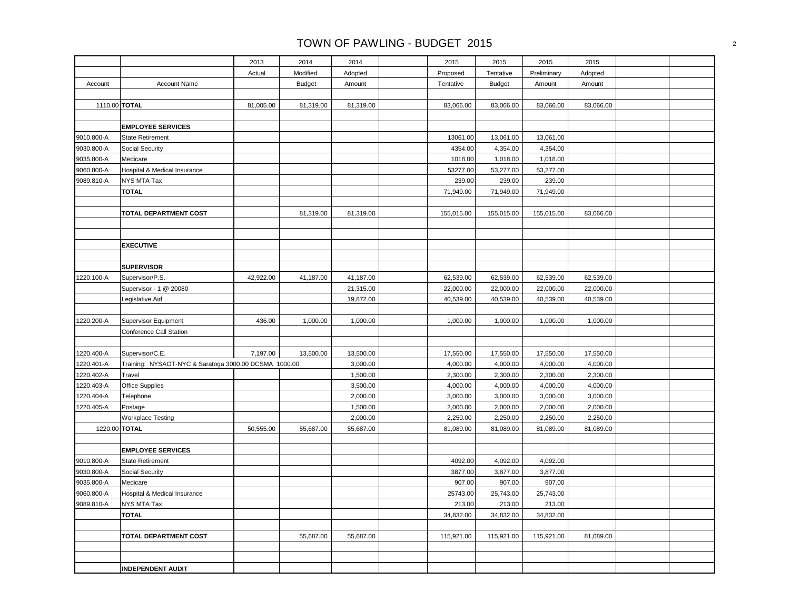|               |                                                       | 2013      | 2014          | 2014      | 2015       | 2015          | 2015        | 2015      |  |
|---------------|-------------------------------------------------------|-----------|---------------|-----------|------------|---------------|-------------|-----------|--|
|               |                                                       | Actual    | Modified      | Adopted   | Proposed   | Tentative     | Preliminary | Adopted   |  |
| Account       | <b>Account Name</b>                                   |           | <b>Budget</b> | Amount    | Tentative  | <b>Budget</b> | Amount      | Amount    |  |
|               |                                                       |           |               |           |            |               |             |           |  |
| 1110.00 TOTAL |                                                       | 81,005.00 | 81,319.00     | 81,319.00 | 83,066.00  | 83,066.00     | 83,066.00   | 83,066.00 |  |
|               |                                                       |           |               |           |            |               |             |           |  |
|               | <b>EMPLOYEE SERVICES</b>                              |           |               |           |            |               |             |           |  |
| 9010.800-A    | <b>State Retirement</b>                               |           |               |           | 13061.00   | 13,061.00     | 13,061.00   |           |  |
| 9030.800-A    | Social Security                                       |           |               |           | 4354.00    | 4,354.00      | 4,354.00    |           |  |
| 9035.800-A    | Medicare                                              |           |               |           | 1018.00    | 1,018.00      | 1,018.00    |           |  |
| 9060.800-A    | Hospital & Medical Insurance                          |           |               |           | 53277.00   | 53,277.00     | 53,277.00   |           |  |
| 9089.810-A    | NYS MTA Tax                                           |           |               |           | 239.00     | 239.00        | 239.00      |           |  |
|               | <b>TOTAL</b>                                          |           |               |           | 71,949.00  | 71,949.00     | 71,949.00   |           |  |
|               |                                                       |           |               |           |            |               |             |           |  |
|               | TOTAL DEPARTMENT COST                                 |           | 81,319.00     | 81,319.00 | 155,015.00 | 155,015.00    | 155,015.00  | 83,066.00 |  |
|               |                                                       |           |               |           |            |               |             |           |  |
|               |                                                       |           |               |           |            |               |             |           |  |
|               | <b>EXECUTIVE</b>                                      |           |               |           |            |               |             |           |  |
|               |                                                       |           |               |           |            |               |             |           |  |
|               | <b>SUPERVISOR</b>                                     |           |               |           |            |               |             |           |  |
| 1220.100-A    | Supervisor/P.S.                                       | 42,922.00 | 41,187.00     | 41,187.00 | 62,539.00  | 62,539.00     | 62,539.00   | 62,539.00 |  |
|               | Supervisor - 1 @ 20080                                |           |               | 21,315.00 | 22,000.00  | 22,000.00     | 22,000.00   | 22,000.00 |  |
|               | Legislative Aid                                       |           |               | 19,872.00 | 40,539.00  | 40,539.00     | 40,539.00   | 40,539.00 |  |
|               |                                                       |           |               |           |            |               |             |           |  |
| 1220.200-A    | <b>Supervisor Equipment</b>                           | 436.00    | 1,000.00      | 1,000.00  | 1,000.00   | 1,000.00      | 1,000.00    | 1,000.00  |  |
|               | <b>Conference Call Station</b>                        |           |               |           |            |               |             |           |  |
|               |                                                       |           |               |           |            |               |             |           |  |
| 1220.400-A    | Supervisor/C.E.                                       | 7,197.00  | 13,500.00     | 13,500.00 | 17,550.00  | 17,550.00     | 17,550.00   | 17,550.00 |  |
| 1220.401-A    | Training: NYSAOT-NYC & Saratoga 3000.00 DCSMA 1000.00 |           |               | 3,000.00  | 4,000.00   | 4,000.00      | 4,000.00    | 4,000.00  |  |
| 1220.402-A    | Travel                                                |           |               | 1,500.00  | 2,300.00   | 2,300.00      | 2,300.00    | 2,300.00  |  |
| 1220.403-A    | Office Supplies                                       |           |               | 3,500.00  | 4,000.00   | 4,000.00      | 4,000.00    | 4,000.00  |  |
| 1220.404-A    | Telephone                                             |           |               | 2,000.00  | 3,000.00   | 3,000.00      | 3,000.00    | 3,000.00  |  |
| 1220.405-A    | Postage                                               |           |               | 1,500.00  | 2,000.00   | 2,000.00      | 2,000.00    | 2,000.00  |  |
|               | <b>Workplace Testing</b>                              |           |               | 2,000.00  | 2,250.00   | 2,250.00      | 2,250.00    | 2,250.00  |  |
| 1220.00 TOTAL |                                                       | 50,555.00 | 55,687.00     | 55,687.00 | 81,089.00  | 81,089.00     | 81,089.00   | 81,089.00 |  |
|               |                                                       |           |               |           |            |               |             |           |  |
|               | <b>EMPLOYEE SERVICES</b>                              |           |               |           |            |               |             |           |  |
| 9010.800-A    | <b>State Retirement</b>                               |           |               |           | 4092.00    | 4,092.00      | 4,092.00    |           |  |
| 9030.800-A    | Social Security                                       |           |               |           | 3877.00    | 3,877.00      | 3,877.00    |           |  |
| 9035.800-A    | Medicare                                              |           |               |           | 907.00     | 907.00        | 907.00      |           |  |
| 9060.800-A    | Hospital & Medical Insurance                          |           |               |           | 25743.00   | 25,743.00     | 25,743.00   |           |  |
| 9089.810-A    | NYS MTA Tax                                           |           |               |           | 213.00     | 213.00        | 213.00      |           |  |
|               | <b>TOTAL</b>                                          |           |               |           | 34,832.00  | 34,832.00     | 34,832.00   |           |  |
|               |                                                       |           |               |           |            |               |             |           |  |
|               | TOTAL DEPARTMENT COST                                 |           | 55,687.00     | 55,687.00 | 115,921.00 | 115,921.00    | 115,921.00  | 81,089.00 |  |
|               |                                                       |           |               |           |            |               |             |           |  |
|               |                                                       |           |               |           |            |               |             |           |  |
|               | <b>INDEPENDENT AUDIT</b>                              |           |               |           |            |               |             |           |  |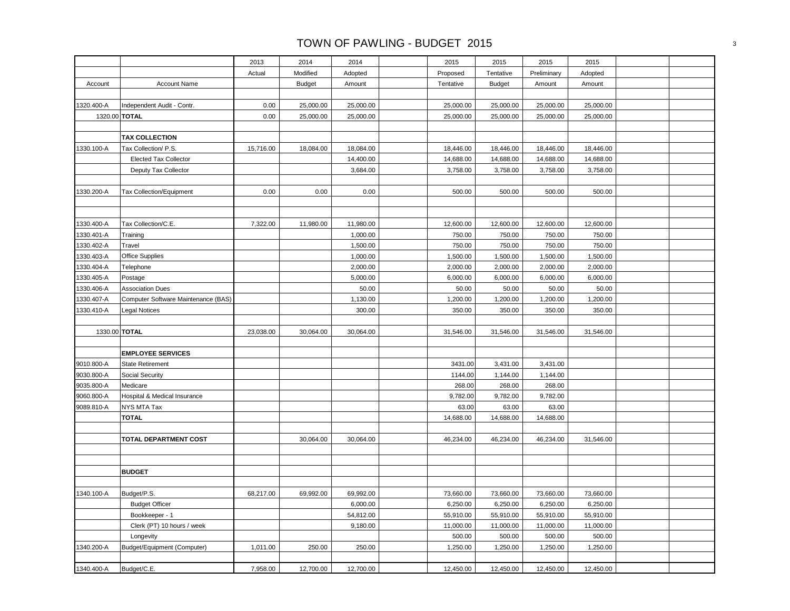|            |                                     | 2013      | 2014          | 2014      | 2015      | 2015          | 2015        | 2015      |  |
|------------|-------------------------------------|-----------|---------------|-----------|-----------|---------------|-------------|-----------|--|
|            |                                     | Actual    | Modified      | Adopted   | Proposed  | Tentative     | Preliminary | Adopted   |  |
| Account    | <b>Account Name</b>                 |           | <b>Budget</b> | Amount    | Tentative | <b>Budget</b> | Amount      | Amount    |  |
|            |                                     |           |               |           |           |               |             |           |  |
| 1320.400-A | Independent Audit - Contr.          | 0.00      | 25,000.00     | 25,000.00 | 25,000.00 | 25,000.00     | 25,000.00   | 25,000.00 |  |
|            | 1320.00 TOTAL                       | 0.00      | 25,000.00     | 25,000.00 | 25,000.00 | 25,000.00     | 25,000.00   | 25,000.00 |  |
|            |                                     |           |               |           |           |               |             |           |  |
|            | <b>TAX COLLECTION</b>               |           |               |           |           |               |             |           |  |
| 1330.100-A | Tax Collection/ P.S.                | 15,716.00 | 18,084.00     | 18,084.00 | 18,446.00 | 18,446.00     | 18,446.00   | 18,446.00 |  |
|            | <b>Elected Tax Collector</b>        |           |               | 14,400.00 | 14,688.00 | 14,688.00     | 14,688.00   | 14,688.00 |  |
|            | Deputy Tax Collector                |           |               | 3,684.00  | 3,758.00  | 3,758.00      | 3,758.00    | 3,758.00  |  |
|            |                                     |           |               |           |           |               |             |           |  |
| 1330.200-A | Tax Collection/Equipment            | 0.00      | 0.00          | 0.00      | 500.00    | 500.00        | 500.00      | 500.00    |  |
|            |                                     |           |               |           |           |               |             |           |  |
|            |                                     |           |               |           |           |               |             |           |  |
| 1330.400-A | Tax Collection/C.E.                 | 7,322.00  | 11,980.00     | 11,980.00 | 12,600.00 | 12,600.00     | 12,600.00   | 12,600.00 |  |
| 1330.401-A | Training                            |           |               | 1,000.00  | 750.00    | 750.00        | 750.00      | 750.00    |  |
| 1330.402-A | Travel                              |           |               | 1,500.00  | 750.00    | 750.00        | 750.00      | 750.00    |  |
| 1330.403-A | <b>Office Supplies</b>              |           |               | 1,000.00  | 1,500.00  | 1,500.00      | 1,500.00    | 1,500.00  |  |
| 1330.404-A | Telephone                           |           |               | 2,000.00  | 2,000.00  | 2,000.00      | 2,000.00    | 2,000.00  |  |
| 1330.405-A | Postage                             |           |               | 5,000.00  | 6,000.00  | 6,000.00      | 6,000.00    | 6,000.00  |  |
| 1330.406-A | <b>Association Dues</b>             |           |               | 50.00     | 50.00     | 50.00         | 50.00       | 50.00     |  |
| 1330.407-A | Computer Software Maintenance (BAS) |           |               | 1,130.00  | 1,200.00  | 1,200.00      | 1,200.00    | 1,200.00  |  |
| 1330.410-A | <b>Legal Notices</b>                |           |               | 300.00    | 350.00    | 350.00        | 350.00      | 350.00    |  |
|            |                                     |           |               |           |           |               |             |           |  |
|            | 1330.00 TOTAL                       | 23,038.00 | 30,064.00     | 30,064.00 | 31,546.00 | 31,546.00     | 31,546.00   | 31,546.00 |  |
|            |                                     |           |               |           |           |               |             |           |  |
|            | <b>EMPLOYEE SERVICES</b>            |           |               |           |           |               |             |           |  |
| 9010.800-A | <b>State Retirement</b>             |           |               |           | 3431.00   | 3,431.00      | 3,431.00    |           |  |
| 9030.800-A | Social Security                     |           |               |           | 1144.00   | 1,144.00      | 1,144.00    |           |  |
| 9035.800-A | Medicare                            |           |               |           | 268.00    | 268.00        | 268.00      |           |  |
| 9060.800-A | Hospital & Medical Insurance        |           |               |           | 9,782.00  | 9,782.00      | 9,782.00    |           |  |
| 9089.810-A | NYS MTA Tax                         |           |               |           | 63.00     | 63.00         | 63.00       |           |  |
|            | <b>TOTAL</b>                        |           |               |           | 14,688.00 | 14,688.00     | 14,688.00   |           |  |
|            |                                     |           |               |           |           |               |             |           |  |
|            | TOTAL DEPARTMENT COST               |           | 30,064.00     | 30,064.00 | 46,234.00 | 46,234.00     | 46,234.00   | 31,546.00 |  |
|            |                                     |           |               |           |           |               |             |           |  |
|            |                                     |           |               |           |           |               |             |           |  |
|            | <b>BUDGET</b>                       |           |               |           |           |               |             |           |  |
|            |                                     |           |               |           |           |               |             |           |  |
| 1340.100-A | Budget/P.S.                         | 68,217.00 | 69,992.00     | 69,992.00 | 73,660.00 | 73,660.00     | 73,660.00   | 73,660.00 |  |
|            | <b>Budget Officer</b>               |           |               | 6,000.00  | 6,250.00  | 6,250.00      | 6,250.00    | 6,250.00  |  |
|            | Bookkeeper - 1                      |           |               | 54,812.00 | 55,910.00 | 55,910.00     | 55,910.00   | 55,910.00 |  |
|            | Clerk (PT) 10 hours / week          |           |               | 9,180.00  | 11,000.00 | 11,000.00     | 11,000.00   | 11,000.00 |  |
|            | Longevity                           |           |               |           | 500.00    | 500.00        | 500.00      | 500.00    |  |
| 1340.200-A | Budget/Equipment (Computer)         | 1,011.00  | 250.00        | 250.00    | 1,250.00  | 1,250.00      | 1,250.00    | 1,250.00  |  |
|            |                                     |           |               |           |           |               |             |           |  |
| 1340.400-A | Budget/C.E.                         | 7,958.00  | 12,700.00     | 12,700.00 | 12,450.00 | 12,450.00     | 12,450.00   | 12,450.00 |  |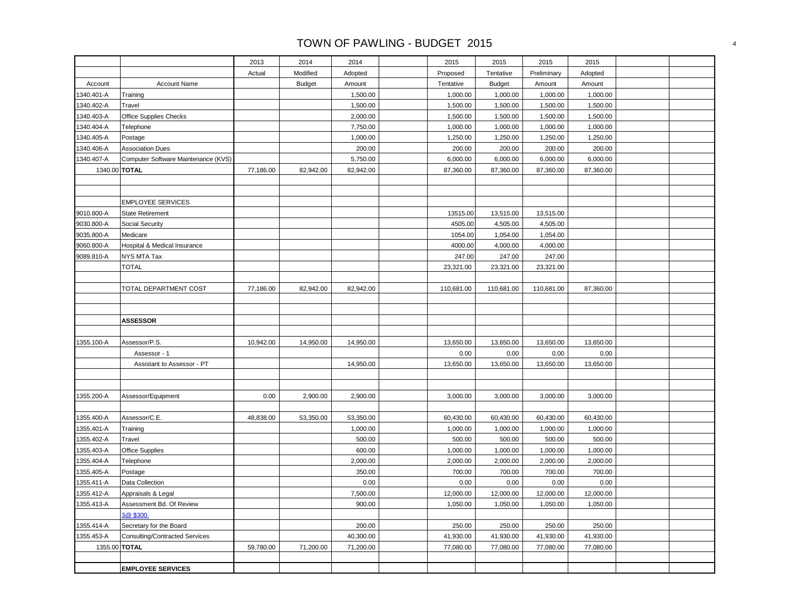|                          |                                       | 2013      | 2014          | 2014               | 2015                 | 2015               | 2015                 | 2015                 |  |
|--------------------------|---------------------------------------|-----------|---------------|--------------------|----------------------|--------------------|----------------------|----------------------|--|
|                          |                                       | Actual    | Modified      | Adopted            | Proposed             | Tentative          | Preliminary          | Adopted              |  |
| Account                  | <b>Account Name</b>                   |           | <b>Budget</b> | Amount             | Tentative            | <b>Budget</b>      | Amount               | Amount               |  |
| 1340.401-A               | Training                              |           |               | 1,500.00           | 1,000.00             | 1,000.00           | 1,000.00             | 1,000.00             |  |
| 1340.402-A               | Travel                                |           |               | 1,500.00           | 1,500.00             | 1,500.00           | 1,500.00             | 1,500.00             |  |
| 1340.403-A               | Office Supplies Checks                |           |               | 2,000.00           | 1,500.00             | 1,500.00           | 1,500.00             | 1,500.00             |  |
| 1340.404-A               | Telephone                             |           |               | 7,750.00           | 1,000.00             | 1,000.00           | 1,000.00             | 1,000.00             |  |
| 1340.405-A               | Postage                               |           |               | 1,000.00           | 1,250.00             | 1,250.00           | 1,250.00             | 1,250.00             |  |
| 1340.406-A               | <b>Association Dues</b>               |           |               | 200.00             | 200.00               | 200.00             | 200.00               | 200.00               |  |
| 1340.407-A               | Computer Software Maintenance (KVS)   |           |               | 5,750.00           | 6,000.00             | 6,000.00           | 6,000.00             | 6,000.00             |  |
| 1340.00 TOTAL            |                                       | 77,186.00 | 82,942.00     | 82,942.00          | 87,360.00            | 87,360.00          | 87,360.00            | 87,360.00            |  |
|                          |                                       |           |               |                    |                      |                    |                      |                      |  |
|                          |                                       |           |               |                    |                      |                    |                      |                      |  |
|                          | <b>EMPLOYEE SERVICES</b>              |           |               |                    |                      |                    |                      |                      |  |
| 9010.800-A               | <b>State Retirement</b>               |           |               |                    | 13515.00             | 13,515.00          | 13,515.00            |                      |  |
| 9030.800-A               | Social Security                       |           |               |                    | 4505.00              | 4,505.00           | 4,505.00             |                      |  |
| 9035.800-A               | Medicare                              |           |               |                    | 1054.00              | 1,054.00           | 1,054.00             |                      |  |
| 9060.800-A               | Hospital & Medical Insurance          |           |               |                    | 4000.00              | 4,000.00           | 4,000.00             |                      |  |
| 9089.810-A               | NYS MTA Tax                           |           |               |                    | 247.00               | 247.00             | 247.00               |                      |  |
|                          | <b>TOTAL</b>                          |           |               |                    | 23,321.00            | 23,321.00          | 23,321.00            |                      |  |
|                          |                                       |           |               |                    |                      |                    |                      |                      |  |
|                          | TOTAL DEPARTMENT COST                 | 77,186.00 | 82,942.00     | 82,942.00          | 110,681.00           | 110,681.00         | 110,681.00           | 87,360.00            |  |
|                          |                                       |           |               |                    |                      |                    |                      |                      |  |
|                          |                                       |           |               |                    |                      |                    |                      |                      |  |
|                          | <b>ASSESSOR</b>                       |           |               |                    |                      |                    |                      |                      |  |
|                          |                                       |           |               |                    |                      |                    |                      |                      |  |
| 1355.100-A               | Assessor/P.S.                         | 10,942.00 | 14,950.00     | 14,950.00          | 13,650.00            | 13,650.00          | 13,650.00            | 13,650.00            |  |
|                          | Assessor - 1                          |           |               |                    | 0.00                 | 0.00               | 0.00                 | 0.00                 |  |
|                          | Assistant to Assessor - PT            |           |               | 14,950.00          | 13,650.00            | 13,650.00          | 13,650.00            | 13,650.00            |  |
|                          |                                       |           |               |                    |                      |                    |                      |                      |  |
|                          |                                       |           |               |                    |                      |                    |                      |                      |  |
| 1355.200-A               | Assessor/Equipment                    | 0.00      | 2,900.00      | 2,900.00           | 3,000.00             | 3,000.00           | 3,000.00             | 3,000.00             |  |
|                          |                                       |           |               |                    |                      |                    |                      |                      |  |
| 1355.400-A               | Assessor/C.E.                         | 48,838.00 | 53,350.00     | 53,350.00          | 60,430.00            | 60,430.00          | 60,430.00            | 60,430.00            |  |
| 1355.401-A               | Training                              |           |               | 1,000.00           | 1,000.00             | 1,000.00           | 1,000.00             | 1,000.00             |  |
| 1355.402-A               | Travel                                |           |               | 500.00             | 500.00               | 500.00             | 500.00               | 500.00               |  |
| 1355.403-A<br>1355.404-A | <b>Office Supplies</b>                |           |               | 600.00<br>2,000.00 | 1,000.00<br>2,000.00 | 1,000.00           | 1,000.00<br>2,000.00 | 1,000.00<br>2,000.00 |  |
| 1355.405-A               | Telephone<br>Postage                  |           |               | 350.00             | 700.00               | 2,000.00<br>700.00 | 700.00               | 700.00               |  |
| 1355.411-A               | Data Collection                       |           |               | 0.00               | 0.00                 | 0.00               | 0.00                 | 0.00                 |  |
| 1355.412-A               | Appraisals & Legal                    |           |               | 7,500.00           | 12,000.00            | 12,000.00          | 12,000.00            | 12,000.00            |  |
| 1355.413-A               | Assessment Bd. Of Review              |           |               | 900.00             | 1,050.00             | 1,050.00           | 1,050.00             | 1,050.00             |  |
|                          | 3@ \$300.                             |           |               |                    |                      |                    |                      |                      |  |
| 1355.414-A               | Secretary for the Board               |           |               | 200.00             | 250.00               | 250.00             | 250.00               | 250.00               |  |
| 1355.453-A               | <b>Consulting/Contracted Services</b> |           |               | 40,300.00          | 41,930.00            | 41,930.00          | 41,930.00            | 41,930.00            |  |
| 1355.00 TOTAL            |                                       | 59,780.00 | 71,200.00     | 71,200.00          | 77,080.00            | 77,080.00          | 77,080.00            | 77,080.00            |  |
|                          |                                       |           |               |                    |                      |                    |                      |                      |  |
|                          | <b>EMPLOYEE SERVICES</b>              |           |               |                    |                      |                    |                      |                      |  |
|                          |                                       |           |               |                    |                      |                    |                      |                      |  |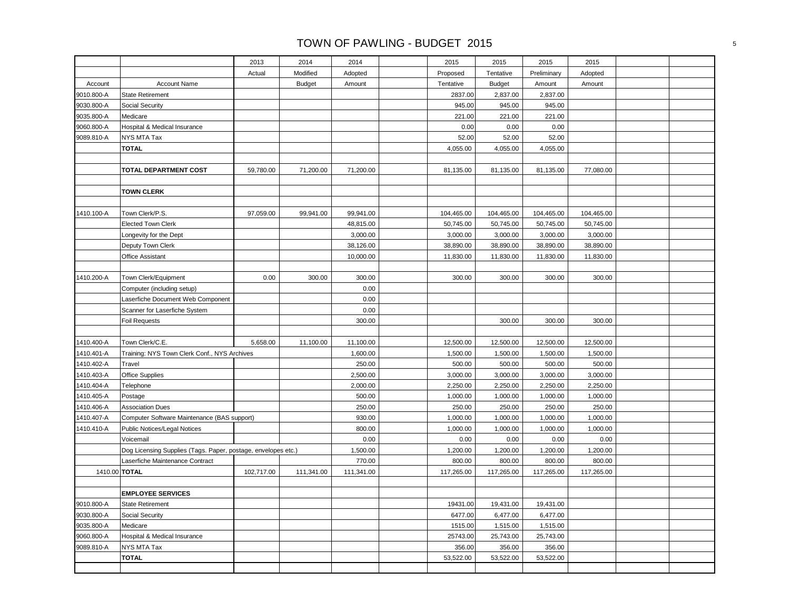|               |                                                               | 2013       | 2014          | 2014       | 2015       | 2015          | 2015        | 2015       |  |
|---------------|---------------------------------------------------------------|------------|---------------|------------|------------|---------------|-------------|------------|--|
|               |                                                               | Actual     | Modified      | Adopted    | Proposed   | Tentative     | Preliminary | Adopted    |  |
| Account       | <b>Account Name</b>                                           |            | <b>Budget</b> | Amount     | Tentative  | <b>Budget</b> | Amount      | Amount     |  |
| 9010.800-A    | <b>State Retirement</b>                                       |            |               |            | 2837.00    | 2,837.00      | 2,837.00    |            |  |
| 9030.800-A    | Social Security                                               |            |               |            | 945.00     | 945.00        | 945.00      |            |  |
| 9035.800-A    | Medicare                                                      |            |               |            | 221.00     | 221.00        | 221.00      |            |  |
| 9060.800-A    | Hospital & Medical Insurance                                  |            |               |            | 0.00       | 0.00          | 0.00        |            |  |
| 9089.810-A    | NYS MTA Tax                                                   |            |               |            | 52.00      | 52.00         | 52.00       |            |  |
|               | <b>TOTAL</b>                                                  |            |               |            | 4,055.00   | 4,055.00      | 4,055.00    |            |  |
|               |                                                               |            |               |            |            |               |             |            |  |
|               | TOTAL DEPARTMENT COST                                         | 59,780.00  | 71,200.00     | 71,200.00  | 81,135.00  | 81,135.00     | 81,135.00   | 77,080.00  |  |
|               |                                                               |            |               |            |            |               |             |            |  |
|               | <b>TOWN CLERK</b>                                             |            |               |            |            |               |             |            |  |
|               |                                                               |            |               |            |            |               |             |            |  |
| 1410.100-A    | Town Clerk/P.S.                                               | 97,059.00  | 99,941.00     | 99,941.00  | 104,465.00 | 104,465.00    | 104,465.00  | 104,465.00 |  |
|               | <b>Elected Town Clerk</b>                                     |            |               | 48,815.00  | 50,745.00  | 50,745.00     | 50,745.00   | 50,745.00  |  |
|               | Longevity for the Dept                                        |            |               | 3,000.00   | 3,000.00   | 3,000.00      | 3,000.00    | 3,000.00   |  |
|               | Deputy Town Clerk                                             |            |               | 38,126.00  | 38,890.00  | 38,890.00     | 38,890.00   | 38,890.00  |  |
|               | Office Assistant                                              |            |               | 10,000.00  | 11,830.00  | 11,830.00     | 11,830.00   | 11,830.00  |  |
|               |                                                               |            |               |            |            |               |             |            |  |
| 1410.200-A    | Town Clerk/Equipment                                          | 0.00       | 300.00        | 300.00     | 300.00     | 300.00        | 300.00      | 300.00     |  |
|               | Computer (including setup)                                    |            |               | 0.00       |            |               |             |            |  |
|               | Laserfiche Document Web Component                             |            |               | 0.00       |            |               |             |            |  |
|               | Scanner for Laserfiche System                                 |            |               | 0.00       |            |               |             |            |  |
|               | Foil Requests                                                 |            |               | 300.00     |            | 300.00        | 300.00      | 300.00     |  |
|               |                                                               |            |               |            |            |               |             |            |  |
| 1410.400-A    | Town Clerk/C.E.                                               | 5,658.00   | 11,100.00     | 11,100.00  | 12,500.00  | 12,500.00     | 12,500.00   | 12,500.00  |  |
| 1410.401-A    | Training: NYS Town Clerk Conf., NYS Archives                  |            |               | 1,600.00   | 1,500.00   | 1,500.00      | 1,500.00    | 1,500.00   |  |
| 1410.402-A    | Travel                                                        |            |               | 250.00     | 500.00     | 500.00        | 500.00      | 500.00     |  |
| 1410.403-A    | Office Supplies                                               |            |               | 2,500.00   | 3,000.00   | 3,000.00      | 3,000.00    | 3,000.00   |  |
| 1410.404-A    | Telephone                                                     |            |               | 2,000.00   | 2,250.00   | 2,250.00      | 2,250.00    | 2,250.00   |  |
| 1410.405-A    | Postage                                                       |            |               | 500.00     | 1,000.00   | 1,000.00      | 1,000.00    | 1,000.00   |  |
| 1410.406-A    | <b>Association Dues</b>                                       |            |               | 250.00     | 250.00     | 250.00        | 250.00      | 250.00     |  |
| 1410.407-A    | Computer Software Maintenance (BAS support)                   |            |               | 930.00     | 1,000.00   | 1,000.00      | 1,000.00    | 1,000.00   |  |
| 1410.410-A    | Public Notices/Legal Notices                                  |            |               | 800.00     | 1,000.00   | 1,000.00      | 1,000.00    | 1,000.00   |  |
|               | Voicemail                                                     |            |               | 0.00       | 0.00       | 0.00          | 0.00        | 0.00       |  |
|               | Dog Licensing Supplies (Tags. Paper, postage, envelopes etc.) |            |               | 1,500.00   | 1,200.00   | 1,200.00      | 1,200.00    | 1,200.00   |  |
|               | Laserfiche Maintenance Contract                               |            |               | 770.00     | 800.00     | 800.00        | 800.00      | 800.00     |  |
| 1410.00 TOTAL |                                                               | 102,717.00 | 111,341.00    | 111,341.00 | 117,265.00 | 117,265.00    | 117,265.00  | 117,265.00 |  |
|               |                                                               |            |               |            |            |               |             |            |  |
|               | <b>EMPLOYEE SERVICES</b>                                      |            |               |            |            |               |             |            |  |
| 9010.800-A    | <b>State Retirement</b>                                       |            |               |            | 19431.00   | 19,431.00     | 19,431.00   |            |  |
| 9030.800-A    | Social Security                                               |            |               |            | 6477.00    | 6,477.00      | 6,477.00    |            |  |
| 9035.800-A    | Medicare                                                      |            |               |            | 1515.00    | 1,515.00      | 1,515.00    |            |  |
| 9060.800-A    | Hospital & Medical Insurance                                  |            |               |            | 25743.00   | 25,743.00     | 25,743.00   |            |  |
| 9089.810-A    | NYS MTA Tax                                                   |            |               |            | 356.00     | 356.00        | 356.00      |            |  |
|               | <b>TOTAL</b>                                                  |            |               |            | 53,522.00  | 53,522.00     | 53,522.00   |            |  |
|               |                                                               |            |               |            |            |               |             |            |  |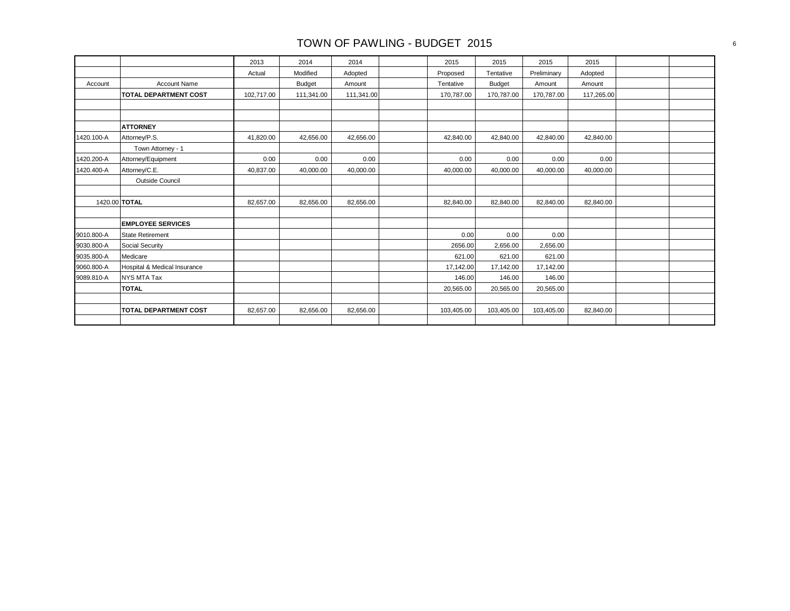|            |                              | 2013       | 2014          | 2014       | 2015       | 2015          | 2015        | 2015       |  |
|------------|------------------------------|------------|---------------|------------|------------|---------------|-------------|------------|--|
|            |                              | Actual     | Modified      | Adopted    | Proposed   | Tentative     | Preliminary | Adopted    |  |
| Account    | <b>Account Name</b>          |            | <b>Budget</b> | Amount     | Tentative  | <b>Budget</b> | Amount      | Amount     |  |
|            | <b>TOTAL DEPARTMENT COST</b> | 102,717.00 | 111,341.00    | 111,341.00 | 170,787.00 | 170,787.00    | 170,787.00  | 117,265.00 |  |
|            |                              |            |               |            |            |               |             |            |  |
|            |                              |            |               |            |            |               |             |            |  |
|            | <b>ATTORNEY</b>              |            |               |            |            |               |             |            |  |
| 1420.100-A | Attorney/P.S.                | 41,820.00  | 42,656.00     | 42,656.00  | 42,840.00  | 42,840.00     | 42,840.00   | 42,840.00  |  |
|            | Town Attorney - 1            |            |               |            |            |               |             |            |  |
| 1420.200-A | Attorney/Equipment           | 0.00       | 0.00          | 0.00       | 0.00       | 0.00          | 0.00        | 0.00       |  |
| 1420.400-A | Attorney/C.E.                | 40,837.00  | 40,000.00     | 40,000.00  | 40,000.00  | 40,000.00     | 40,000.00   | 40,000.00  |  |
|            | Outside Council              |            |               |            |            |               |             |            |  |
|            |                              |            |               |            |            |               |             |            |  |
|            | 1420.00 TOTAL                | 82,657.00  | 82,656.00     | 82,656.00  | 82,840.00  | 82,840.00     | 82,840.00   | 82,840.00  |  |
|            |                              |            |               |            |            |               |             |            |  |
|            | <b>EMPLOYEE SERVICES</b>     |            |               |            |            |               |             |            |  |
| 9010.800-A | <b>State Retirement</b>      |            |               |            | 0.00       | 0.00          | 0.00        |            |  |
| 9030.800-A | <b>Social Security</b>       |            |               |            | 2656.00    | 2,656.00      | 2,656.00    |            |  |
| 9035.800-A | Medicare                     |            |               |            | 621.00     | 621.00        | 621.00      |            |  |
| 9060.800-A | Hospital & Medical Insurance |            |               |            | 17,142.00  | 17,142.00     | 17,142.00   |            |  |
| 9089.810-A | <b>NYS MTA Tax</b>           |            |               |            | 146.00     | 146.00        | 146.00      |            |  |
|            | <b>TOTAL</b>                 |            |               |            | 20,565.00  | 20,565.00     | 20,565.00   |            |  |
|            |                              |            |               |            |            |               |             |            |  |
|            | <b>TOTAL DEPARTMENT COST</b> | 82.657.00  | 82.656.00     | 82.656.00  | 103.405.00 | 103,405.00    | 103,405.00  | 82,840.00  |  |
|            |                              |            |               |            |            |               |             |            |  |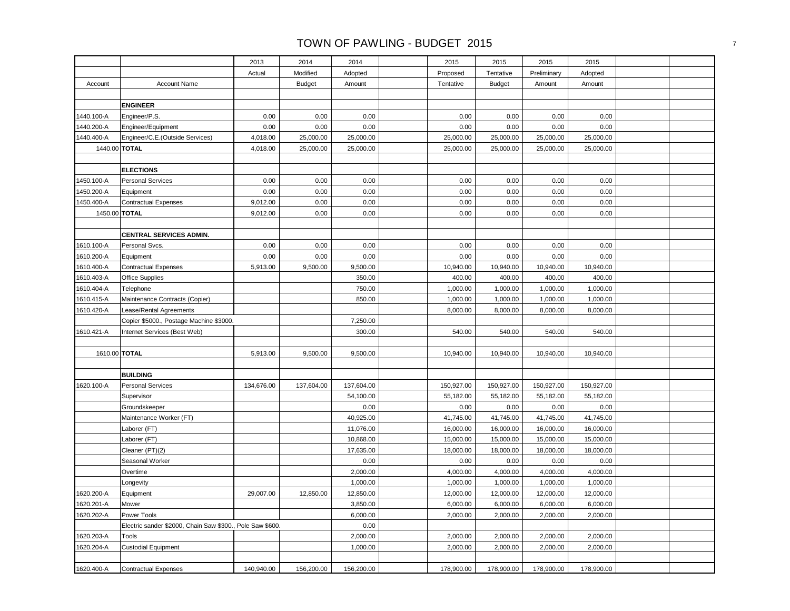|               |                                                           | 2013       | 2014          | 2014       | 2015       | 2015          | 2015        | 2015       |  |
|---------------|-----------------------------------------------------------|------------|---------------|------------|------------|---------------|-------------|------------|--|
|               |                                                           | Actual     | Modified      | Adopted    | Proposed   | Tentative     | Preliminary | Adopted    |  |
| Account       | <b>Account Name</b>                                       |            | <b>Budget</b> | Amount     | Tentative  | <b>Budget</b> | Amount      | Amount     |  |
|               |                                                           |            |               |            |            |               |             |            |  |
|               | <b>ENGINEER</b>                                           |            |               |            |            |               |             |            |  |
| 1440.100-A    | Engineer/P.S.                                             | 0.00       | 0.00          | 0.00       | 0.00       | 0.00          | 0.00        | 0.00       |  |
| 1440.200-A    | Engineer/Equipment                                        | 0.00       | 0.00          | 0.00       | 0.00       | 0.00          | 0.00        | 0.00       |  |
| 1440.400-A    | Engineer/C.E.(Outside Services)                           | 4,018.00   | 25,000.00     | 25,000.00  | 25,000.00  | 25,000.00     | 25,000.00   | 25,000.00  |  |
| 1440.00 TOTAL |                                                           | 4,018.00   | 25,000.00     | 25,000.00  | 25,000.00  | 25,000.00     | 25,000.00   | 25,000.00  |  |
|               |                                                           |            |               |            |            |               |             |            |  |
|               | <b>ELECTIONS</b>                                          |            |               |            |            |               |             |            |  |
| 1450.100-A    | <b>Personal Services</b>                                  | 0.00       | 0.00          | 0.00       | 0.00       | 0.00          | 0.00        | 0.00       |  |
| 1450.200-A    | Equipment                                                 | 0.00       | 0.00          | 0.00       | 0.00       | 0.00          | 0.00        | 0.00       |  |
| 1450.400-A    | <b>Contractual Expenses</b>                               | 9,012.00   | 0.00          | 0.00       | 0.00       | 0.00          | 0.00        | 0.00       |  |
| 1450.00 TOTAL |                                                           | 9,012.00   | 0.00          | 0.00       | 0.00       | 0.00          | 0.00        | 0.00       |  |
|               |                                                           |            |               |            |            |               |             |            |  |
|               | CENTRAL SERVICES ADMIN.                                   |            |               |            |            |               |             |            |  |
| 1610.100-A    | Personal Svcs.                                            | 0.00       | 0.00          | 0.00       | 0.00       | 0.00          | 0.00        | 0.00       |  |
| 1610.200-A    | Equipment                                                 | 0.00       | 0.00          | 0.00       | 0.00       | 0.00          | 0.00        | 0.00       |  |
| 1610.400-A    | <b>Contractual Expenses</b>                               | 5,913.00   | 9,500.00      | 9,500.00   | 10,940.00  | 10,940.00     | 10,940.00   | 10,940.00  |  |
| 1610.403-A    | Office Supplies                                           |            |               | 350.00     | 400.00     | 400.00        | 400.00      | 400.00     |  |
| 1610.404-A    | Telephone                                                 |            |               | 750.00     | 1,000.00   | 1,000.00      | 1,000.00    | 1,000.00   |  |
| 1610.415-A    | Maintenance Contracts (Copier)                            |            |               | 850.00     | 1,000.00   | 1,000.00      | 1,000.00    | 1,000.00   |  |
| 1610.420-A    | Lease/Rental Agreements                                   |            |               |            | 8,000.00   | 8,000.00      | 8,000.00    | 8,000.00   |  |
|               | Copier \$5000., Postage Machine \$3000.                   |            |               | 7,250.00   |            |               |             |            |  |
| 1610.421-A    | Internet Services (Best Web)                              |            |               | 300.00     | 540.00     | 540.00        | 540.00      | 540.00     |  |
|               |                                                           |            |               |            |            |               |             |            |  |
| 1610.00 TOTAL |                                                           | 5,913.00   | 9,500.00      | 9,500.00   | 10,940.00  | 10,940.00     | 10,940.00   | 10,940.00  |  |
|               |                                                           |            |               |            |            |               |             |            |  |
|               | <b>BUILDING</b>                                           |            |               |            |            |               |             |            |  |
| 1620.100-A    | <b>Personal Services</b>                                  | 134,676.00 | 137,604.00    | 137,604.00 | 150,927.00 | 150,927.00    | 150,927.00  | 150,927.00 |  |
|               | Supervisor                                                |            |               | 54,100.00  | 55,182.00  | 55,182.00     | 55,182.00   | 55,182.00  |  |
|               | Groundskeeper                                             |            |               | 0.00       | 0.00       | 0.00          | 0.00        | 0.00       |  |
|               | Maintenance Worker (FT)                                   |            |               | 40,925.00  | 41,745.00  | 41,745.00     | 41,745.00   | 41,745.00  |  |
|               | Laborer (FT)                                              |            |               | 11,076.00  | 16,000.00  | 16,000.00     | 16,000.00   | 16,000.00  |  |
|               | Laborer (FT)                                              |            |               | 10,868.00  | 15,000.00  | 15,000.00     | 15,000.00   | 15,000.00  |  |
|               | Cleaner (PT)(2)                                           |            |               | 17,635.00  | 18,000.00  | 18,000.00     | 18,000.00   | 18,000.00  |  |
|               | Seasonal Worker                                           |            |               | 0.00       | 0.00       | 0.00          | 0.00        | 0.00       |  |
|               | Overtime                                                  |            |               | 2,000.00   | 4,000.00   | 4,000.00      | 4,000.00    | 4,000.00   |  |
|               | Longevity                                                 |            |               | 1,000.00   | 1,000.00   | 1,000.00      | 1,000.00    | 1,000.00   |  |
| 1620.200-A    | Equipment                                                 | 29,007.00  | 12,850.00     | 12,850.00  | 12,000.00  | 12,000.00     | 12,000.00   | 12,000.00  |  |
| 1620.201-A    | Mower                                                     |            |               | 3,850.00   | 6,000.00   | 6,000.00      | 6,000.00    | 6,000.00   |  |
| 1620.202-A    | Power Tools                                               |            |               | 6,000.00   | 2,000.00   | 2,000.00      | 2,000.00    | 2,000.00   |  |
|               | Electric sander \$2000, Chain Saw \$300., Pole Saw \$600. |            |               | 0.00       |            |               |             |            |  |
| 1620.203-A    | Tools                                                     |            |               | 2,000.00   | 2,000.00   | 2,000.00      | 2,000.00    | 2,000.00   |  |
| 1620.204-A    | <b>Custodial Equipment</b>                                |            |               | 1,000.00   | 2,000.00   | 2,000.00      | 2,000.00    | 2,000.00   |  |
|               |                                                           |            |               |            |            |               |             |            |  |
| 1620.400-A    | <b>Contractual Expenses</b>                               | 140,940.00 | 156,200.00    | 156,200.00 | 178,900.00 | 178,900.00    | 178,900.00  | 178,900.00 |  |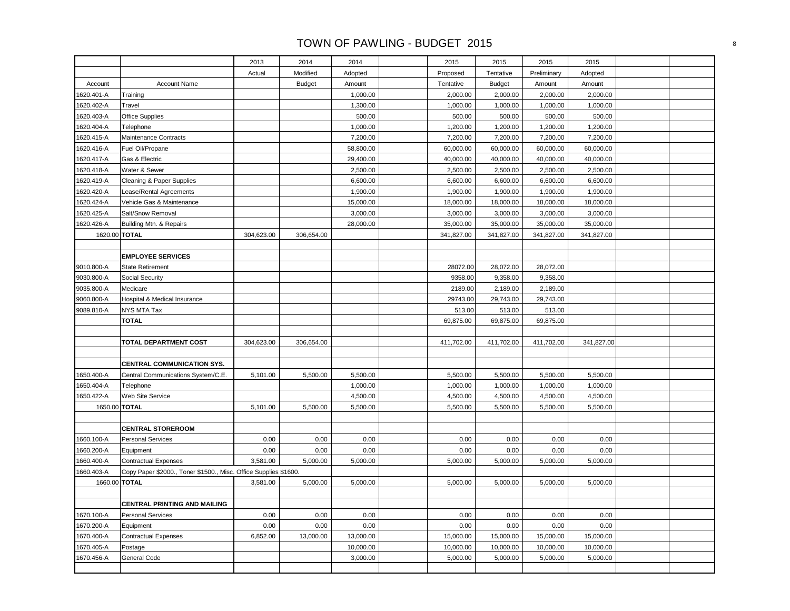|               |                                                                  | 2013       | 2014          | 2014      | 2015       | 2015          | 2015        | 2015       |  |
|---------------|------------------------------------------------------------------|------------|---------------|-----------|------------|---------------|-------------|------------|--|
|               |                                                                  | Actual     | Modified      | Adopted   | Proposed   | Tentative     | Preliminary | Adopted    |  |
| Account       | <b>Account Name</b>                                              |            | <b>Budget</b> | Amount    | Tentative  | <b>Budget</b> | Amount      | Amount     |  |
| 1620.401-A    | Training                                                         |            |               | 1,000.00  | 2,000.00   | 2,000.00      | 2,000.00    | 2,000.00   |  |
| 1620.402-A    | Travel                                                           |            |               | 1,300.00  | 1,000.00   | 1,000.00      | 1,000.00    | 1,000.00   |  |
| 1620.403-A    | <b>Office Supplies</b>                                           |            |               | 500.00    | 500.00     | 500.00        | 500.00      | 500.00     |  |
| 1620.404-A    | Telephone                                                        |            |               | 1,000.00  | 1,200.00   | 1,200.00      | 1,200.00    | 1,200.00   |  |
| 1620.415-A    | Maintenance Contracts                                            |            |               | 7,200.00  | 7,200.00   | 7,200.00      | 7,200.00    | 7,200.00   |  |
| 1620.416-A    | Fuel Oil/Propane                                                 |            |               | 58,800.00 | 60,000.00  | 60,000.00     | 60,000.00   | 60,000.00  |  |
| 1620.417-A    | Gas & Electric                                                   |            |               | 29,400.00 | 40,000.00  | 40,000.00     | 40,000.00   | 40,000.00  |  |
| 1620.418-A    | Water & Sewer                                                    |            |               | 2,500.00  | 2,500.00   | 2,500.00      | 2,500.00    | 2,500.00   |  |
| 1620.419-A    | Cleaning & Paper Supplies                                        |            |               | 6,600.00  | 6,600.00   | 6,600.00      | 6,600.00    | 6,600.00   |  |
| 1620.420-A    | Lease/Rental Agreements                                          |            |               | 1,900.00  | 1,900.00   | 1,900.00      | 1,900.00    | 1,900.00   |  |
| 1620.424-A    | Vehicle Gas & Maintenance                                        |            |               | 15,000.00 | 18,000.00  | 18,000.00     | 18,000.00   | 18,000.00  |  |
| 1620.425-A    | Salt/Snow Removal                                                |            |               | 3,000.00  | 3,000.00   | 3,000.00      | 3,000.00    | 3,000.00   |  |
| 1620.426-A    | Building Mtn. & Repairs                                          |            |               | 28,000.00 | 35,000.00  | 35,000.00     | 35,000.00   | 35,000.00  |  |
| 1620.00 TOTAL |                                                                  | 304,623.00 | 306,654.00    |           | 341,827.00 | 341,827.00    | 341,827.00  | 341,827.00 |  |
|               |                                                                  |            |               |           |            |               |             |            |  |
|               | <b>EMPLOYEE SERVICES</b>                                         |            |               |           |            |               |             |            |  |
| 9010.800-A    | <b>State Retirement</b>                                          |            |               |           | 28072.00   | 28,072.00     | 28,072.00   |            |  |
| 9030.800-A    | Social Security                                                  |            |               |           | 9358.00    | 9,358.00      | 9,358.00    |            |  |
| 9035.800-A    | Medicare                                                         |            |               |           | 2189.00    | 2,189.00      | 2,189.00    |            |  |
| 9060.800-A    | Hospital & Medical Insurance                                     |            |               |           | 29743.00   | 29,743.00     | 29,743.00   |            |  |
| 9089.810-A    | NYS MTA Tax                                                      |            |               |           | 513.00     | 513.00        | 513.00      |            |  |
|               | <b>TOTAL</b>                                                     |            |               |           | 69,875.00  | 69,875.00     | 69,875.00   |            |  |
|               |                                                                  |            |               |           |            |               |             |            |  |
|               | TOTAL DEPARTMENT COST                                            | 304,623.00 | 306,654.00    |           | 411,702.00 | 411,702.00    | 411,702.00  | 341,827.00 |  |
|               |                                                                  |            |               |           |            |               |             |            |  |
|               | <b>CENTRAL COMMUNICATION SYS.</b>                                |            |               |           |            |               |             |            |  |
| 1650.400-A    | Central Communications System/C.E.                               | 5,101.00   | 5,500.00      | 5,500.00  | 5,500.00   | 5,500.00      | 5,500.00    | 5,500.00   |  |
| 1650.404-A    | Telephone                                                        |            |               | 1,000.00  | 1,000.00   | 1,000.00      | 1,000.00    | 1,000.00   |  |
| 1650.422-A    | Web Site Service                                                 |            |               | 4,500.00  | 4,500.00   | 4,500.00      | 4,500.00    | 4,500.00   |  |
|               | 1650.00 TOTAL                                                    | 5,101.00   | 5,500.00      | 5,500.00  | 5,500.00   | 5,500.00      | 5,500.00    | 5,500.00   |  |
|               |                                                                  |            |               |           |            |               |             |            |  |
|               | <b>CENTRAL STOREROOM</b>                                         |            |               |           |            |               |             |            |  |
| 1660.100-A    | <b>Personal Services</b>                                         | 0.00       | 0.00          | 0.00      | 0.00       | 0.00          | 0.00        | 0.00       |  |
| 1660.200-A    | Equipment                                                        | 0.00       | 0.00          | 0.00      | 0.00       | 0.00          | 0.00        | 0.00       |  |
| 1660.400-A    | <b>Contractual Expenses</b>                                      | 3,581.00   | 5,000.00      | 5,000.00  | 5,000.00   | 5,000.00      | 5,000.00    | 5,000.00   |  |
| 1660.403-A    | Copy Paper \$2000., Toner \$1500., Misc. Office Supplies \$1600. |            |               |           |            |               |             |            |  |
| 1660.00 TOTAL |                                                                  | 3,581.00   | 5,000.00      | 5,000.00  | 5,000.00   | 5,000.00      | 5,000.00    | 5,000.00   |  |
|               |                                                                  |            |               |           |            |               |             |            |  |
|               | <b>CENTRAL PRINTING AND MAILING</b>                              |            |               |           |            |               |             |            |  |
| 1670.100-A    | <b>Personal Services</b>                                         | 0.00       | 0.00          | 0.00      | 0.00       | 0.00          | 0.00        | 0.00       |  |
| 1670.200-A    | Equipment                                                        | 0.00       | 0.00          | 0.00      | 0.00       | 0.00          | 0.00        | 0.00       |  |
| 1670.400-A    | <b>Contractual Expenses</b>                                      | 6,852.00   | 13,000.00     | 13,000.00 | 15,000.00  | 15,000.00     | 15,000.00   | 15,000.00  |  |
| 1670.405-A    | Postage                                                          |            |               | 10,000.00 | 10,000.00  | 10,000.00     | 10,000.00   | 10,000.00  |  |
| 1670.456-A    | General Code                                                     |            |               | 3,000.00  | 5,000.00   | 5,000.00      | 5,000.00    | 5,000.00   |  |
|               |                                                                  |            |               |           |            |               |             |            |  |
|               |                                                                  |            |               |           |            |               |             |            |  |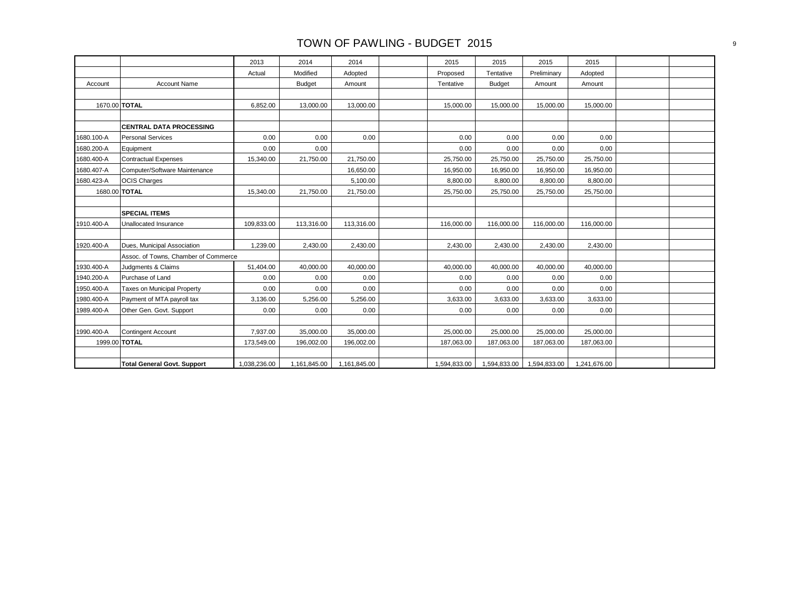|            |                                      | 2013         | 2014         | 2014         | 2015         | 2015          | 2015         | 2015         |  |
|------------|--------------------------------------|--------------|--------------|--------------|--------------|---------------|--------------|--------------|--|
|            |                                      | Actual       | Modified     | Adopted      | Proposed     | Tentative     | Preliminary  | Adopted      |  |
| Account    | <b>Account Name</b>                  |              | Budget       | Amount       | Tentative    | <b>Budget</b> | Amount       | Amount       |  |
|            |                                      |              |              |              |              |               |              |              |  |
|            | 1670.00 TOTAL                        | 6,852.00     | 13,000.00    | 13,000.00    | 15,000.00    | 15,000.00     | 15,000.00    | 15,000.00    |  |
|            |                                      |              |              |              |              |               |              |              |  |
|            | <b>CENTRAL DATA PROCESSING</b>       |              |              |              |              |               |              |              |  |
| 1680.100-A | <b>Personal Services</b>             | 0.00         | 0.00         | 0.00         | 0.00         | 0.00          | 0.00         | 0.00         |  |
| 1680.200-A | Equipment                            | 0.00         | 0.00         |              | 0.00         | 0.00          | 0.00         | 0.00         |  |
| 1680.400-A | Contractual Expenses                 | 15,340.00    | 21,750.00    | 21,750.00    | 25,750.00    | 25,750.00     | 25,750.00    | 25,750.00    |  |
| 1680.407-A | Computer/Software Maintenance        |              |              | 16,650.00    | 16,950.00    | 16,950.00     | 16,950.00    | 16,950.00    |  |
| 1680.423-A | <b>OCIS Charges</b>                  |              |              | 5,100.00     | 8,800.00     | 8,800.00      | 8,800.00     | 8,800.00     |  |
|            | 1680.00 TOTAL                        | 15,340.00    | 21,750.00    | 21,750.00    | 25,750.00    | 25,750.00     | 25,750.00    | 25,750.00    |  |
|            |                                      |              |              |              |              |               |              |              |  |
|            | <b>SPECIAL ITEMS</b>                 |              |              |              |              |               |              |              |  |
| 1910.400-A | Unallocated Insurance                | 109,833.00   | 113,316.00   | 113,316.00   | 116,000.00   | 116,000.00    | 116,000.00   | 116,000.00   |  |
|            |                                      |              |              |              |              |               |              |              |  |
| 1920.400-A | Dues, Municipal Association          | 1,239.00     | 2,430.00     | 2,430.00     | 2,430.00     | 2,430.00      | 2,430.00     | 2,430.00     |  |
|            | Assoc. of Towns, Chamber of Commerce |              |              |              |              |               |              |              |  |
| 1930.400-A | Judgments & Claims                   | 51,404.00    | 40,000.00    | 40.000.00    | 40,000.00    | 40,000.00     | 40,000.00    | 40,000.00    |  |
| 1940.200-A | Purchase of Land                     | 0.00         | 0.00         | 0.00         | 0.00         | 0.00          | 0.00         | 0.00         |  |
| 1950.400-A | Taxes on Municipal Property          | 0.00         | 0.00         | 0.00         | 0.00         | 0.00          | 0.00         | 0.00         |  |
| 1980.400-A | Payment of MTA payroll tax           | 3,136.00     | 5,256.00     | 5,256.00     | 3,633.00     | 3,633.00      | 3,633.00     | 3,633.00     |  |
| 1989.400-A | Other Gen. Govt. Support             | 0.00         | 0.00         | 0.00         | 0.00         | 0.00          | 0.00         | 0.00         |  |
|            |                                      |              |              |              |              |               |              |              |  |
| 1990.400-A | Contingent Account                   | 7,937.00     | 35,000.00    | 35,000.00    | 25,000.00    | 25,000.00     | 25,000.00    | 25,000.00    |  |
|            | 1999.00 TOTAL                        | 173,549.00   | 196,002.00   | 196,002.00   | 187,063.00   | 187,063.00    | 187,063.00   | 187,063.00   |  |
|            |                                      |              |              |              |              |               |              |              |  |
|            | <b>Total General Govt. Support</b>   | 1,038,236.00 | 1,161,845.00 | 1,161,845.00 | 1,594,833.00 | 1,594,833.00  | 1,594,833.00 | 1,241,676.00 |  |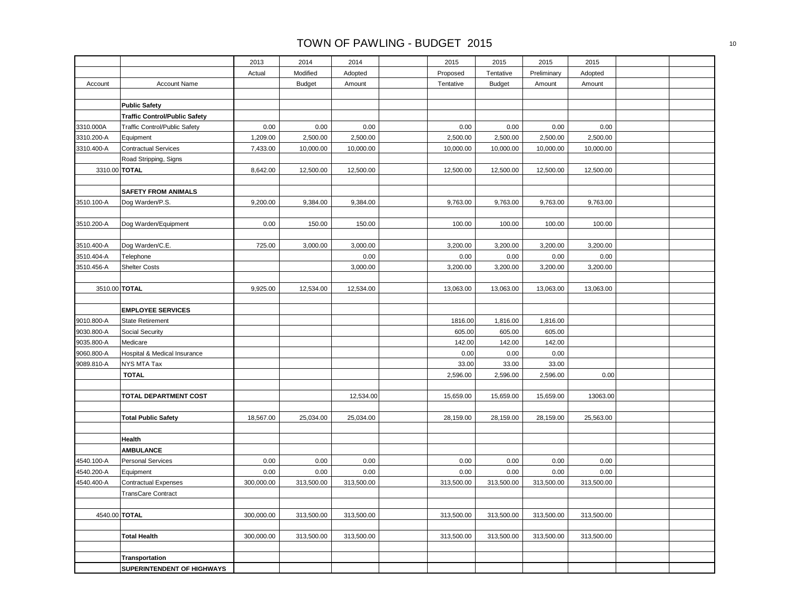|                          |                                          | 2013       | 2014          | 2014       | 2015             | 2015           | 2015           | 2015       |  |
|--------------------------|------------------------------------------|------------|---------------|------------|------------------|----------------|----------------|------------|--|
|                          |                                          | Actual     | Modified      | Adopted    | Proposed         | Tentative      | Preliminary    | Adopted    |  |
| Account                  | <b>Account Name</b>                      |            | <b>Budget</b> | Amount     | Tentative        | <b>Budget</b>  | Amount         | Amount     |  |
|                          |                                          |            |               |            |                  |                |                |            |  |
|                          | <b>Public Safety</b>                     |            |               |            |                  |                |                |            |  |
|                          | <b>Traffic Control/Public Safety</b>     |            |               |            |                  |                |                |            |  |
| 3310.000A                | Traffic Control/Public Safety            | 0.00       | 0.00          | 0.00       | 0.00             | 0.00           | 0.00           | 0.00       |  |
| 3310.200-A               | Equipment                                | 1,209.00   | 2,500.00      | 2,500.00   | 2,500.00         | 2,500.00       | 2,500.00       | 2,500.00   |  |
| 3310.400-A               | <b>Contractual Services</b>              | 7,433.00   | 10,000.00     | 10,000.00  | 10,000.00        | 10,000.00      | 10,000.00      | 10,000.00  |  |
|                          | Road Stripping, Signs                    |            |               |            |                  |                |                |            |  |
|                          | 3310.00 TOTAL                            | 8,642.00   | 12,500.00     | 12,500.00  | 12,500.00        | 12,500.00      | 12,500.00      | 12,500.00  |  |
|                          |                                          |            |               |            |                  |                |                |            |  |
|                          | <b>SAFETY FROM ANIMALS</b>               |            |               |            |                  |                |                |            |  |
| 3510.100-A               | Dog Warden/P.S.                          | 9,200.00   | 9,384.00      | 9,384.00   | 9,763.00         | 9,763.00       | 9,763.00       | 9,763.00   |  |
|                          |                                          |            |               |            |                  |                |                |            |  |
| 3510.200-A               | Dog Warden/Equipment                     | 0.00       | 150.00        | 150.00     | 100.00           | 100.00         | 100.00         | 100.00     |  |
|                          |                                          |            |               |            |                  |                |                |            |  |
| 3510.400-A               | Dog Warden/C.E.                          | 725.00     | 3,000.00      | 3,000.00   | 3,200.00         | 3,200.00       | 3,200.00       | 3,200.00   |  |
| 3510.404-A               | Telephone                                |            |               | 0.00       | 0.00             | 0.00           | 0.00           | 0.00       |  |
| 3510.456-A               | <b>Shelter Costs</b>                     |            |               | 3,000.00   | 3,200.00         | 3,200.00       | 3,200.00       | 3,200.00   |  |
|                          |                                          |            |               |            |                  |                |                |            |  |
|                          | 3510.00 TOTAL                            | 9,925.00   | 12,534.00     | 12,534.00  | 13,063.00        | 13,063.00      | 13,063.00      | 13,063.00  |  |
|                          |                                          |            |               |            |                  |                |                |            |  |
|                          | <b>EMPLOYEE SERVICES</b>                 |            |               |            |                  |                |                |            |  |
| 9010.800-A               | <b>State Retirement</b>                  |            |               |            | 1816.00          | 1,816.00       | 1,816.00       |            |  |
| 9030.800-A               | Social Security                          |            |               |            | 605.00<br>142.00 | 605.00         | 605.00         |            |  |
| 9035.800-A<br>9060.800-A | Medicare<br>Hospital & Medical Insurance |            |               |            | 0.00             | 142.00<br>0.00 | 142.00<br>0.00 |            |  |
| 9089.810-A               | NYS MTA Tax                              |            |               |            | 33.00            | 33.00          | 33.00          |            |  |
|                          | <b>TOTAL</b>                             |            |               |            | 2,596.00         | 2,596.00       | 2,596.00       | 0.00       |  |
|                          |                                          |            |               |            |                  |                |                |            |  |
|                          | TOTAL DEPARTMENT COST                    |            |               | 12,534.00  | 15,659.00        | 15,659.00      | 15,659.00      | 13063.00   |  |
|                          |                                          |            |               |            |                  |                |                |            |  |
|                          | <b>Total Public Safety</b>               | 18,567.00  | 25,034.00     | 25,034.00  | 28,159.00        | 28,159.00      | 28,159.00      | 25,563.00  |  |
|                          |                                          |            |               |            |                  |                |                |            |  |
|                          | Health                                   |            |               |            |                  |                |                |            |  |
|                          | <b>AMBULANCE</b>                         |            |               |            |                  |                |                |            |  |
| 4540.100-A               | <b>Personal Services</b>                 | 0.00       | 0.00          | 0.00       | 0.00             | 0.00           | 0.00           | 0.00       |  |
| 4540.200-A               | Equipment                                | 0.00       | 0.00          | 0.00       | 0.00             | 0.00           | 0.00           | 0.00       |  |
| 4540.400-A               | <b>Contractual Expenses</b>              | 300,000.00 | 313,500.00    | 313,500.00 | 313,500.00       | 313,500.00     | 313,500.00     | 313,500.00 |  |
|                          | <b>TransCare Contract</b>                |            |               |            |                  |                |                |            |  |
|                          |                                          |            |               |            |                  |                |                |            |  |
|                          | 4540.00 TOTAL                            | 300,000.00 | 313,500.00    | 313,500.00 | 313,500.00       | 313,500.00     | 313,500.00     | 313,500.00 |  |
|                          |                                          |            |               |            |                  |                |                |            |  |
|                          | <b>Total Health</b>                      | 300,000.00 | 313,500.00    | 313,500.00 | 313,500.00       | 313,500.00     | 313,500.00     | 313,500.00 |  |
|                          |                                          |            |               |            |                  |                |                |            |  |
|                          | Transportation                           |            |               |            |                  |                |                |            |  |
|                          | SUPERINTENDENT OF HIGHWAYS               |            |               |            |                  |                |                |            |  |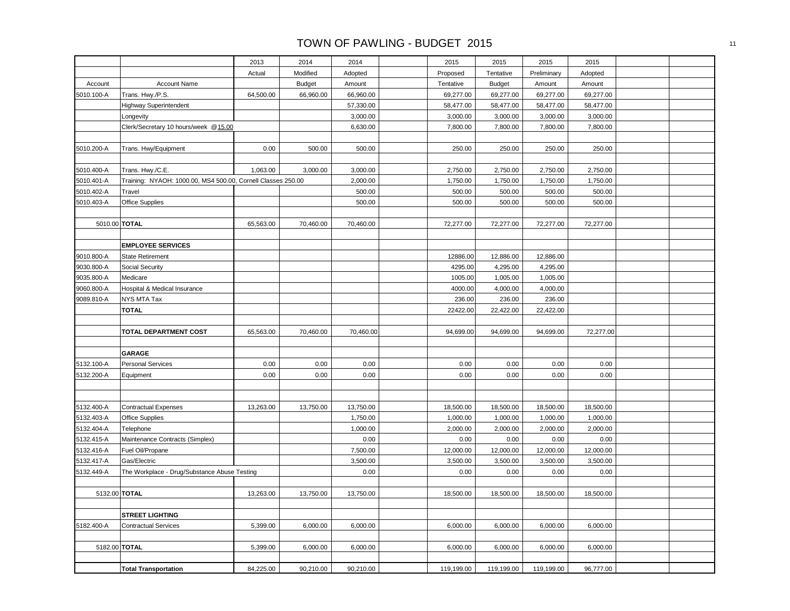|            |                                                              | 2013      | 2014          | 2014      | 2015       | 2015          | 2015        | 2015      |  |
|------------|--------------------------------------------------------------|-----------|---------------|-----------|------------|---------------|-------------|-----------|--|
|            |                                                              | Actual    | Modified      | Adopted   | Proposed   | Tentative     | Preliminary | Adopted   |  |
| Account    | <b>Account Name</b>                                          |           | <b>Budget</b> | Amount    | Tentative  | <b>Budget</b> | Amount      | Amount    |  |
| 5010.100-A | Trans. Hwy./P.S.                                             | 64,500.00 | 66,960.00     | 66,960.00 | 69,277.00  | 69,277.00     | 69,277.00   | 69,277.00 |  |
|            | <b>Highway Superintendent</b>                                |           |               | 57,330.00 | 58,477.00  | 58,477.00     | 58,477.00   | 58,477.00 |  |
|            | Longevity                                                    |           |               | 3,000.00  | 3,000.00   | 3,000.00      | 3,000.00    | 3,000.00  |  |
|            | Clerk/Secretary 10 hours/week @15.00                         |           |               | 6,630.00  | 7,800.00   | 7,800.00      | 7,800.00    | 7,800.00  |  |
|            |                                                              |           |               |           |            |               |             |           |  |
| 5010.200-A | Trans. Hwy/Equipment                                         | 0.00      | 500.00        | 500.00    | 250.00     | 250.00        | 250.00      | 250.00    |  |
|            |                                                              |           |               |           |            |               |             |           |  |
| 5010.400-A | Trans. Hwy./C.E.                                             | 1,063.00  | 3,000.00      | 3,000.00  | 2,750.00   | 2,750.00      | 2,750.00    | 2,750.00  |  |
| 5010.401-A | Training: NYAOH: 1000.00, MS4 500.00, Cornell Classes 250.00 |           |               | 2,000.00  | 1,750.00   | 1,750.00      | 1,750.00    | 1,750.00  |  |
| 5010.402-A | Travel                                                       |           |               | 500.00    | 500.00     | 500.00        | 500.00      | 500.00    |  |
| 5010.403-A | Office Supplies                                              |           |               | 500.00    | 500.00     | 500.00        | 500.00      | 500.00    |  |
|            |                                                              |           |               |           |            |               |             |           |  |
|            | 5010.00 TOTAL                                                | 65,563.00 | 70,460.00     | 70,460.00 | 72,277.00  | 72,277.00     | 72,277.00   | 72,277.00 |  |
|            |                                                              |           |               |           |            |               |             |           |  |
|            | <b>EMPLOYEE SERVICES</b>                                     |           |               |           |            |               |             |           |  |
| 9010.800-A | <b>State Retirement</b>                                      |           |               |           | 12886.00   | 12,886.00     | 12,886.00   |           |  |
| 9030.800-A | Social Security                                              |           |               |           | 4295.00    | 4,295.00      | 4,295.00    |           |  |
| 9035.800-A | Medicare                                                     |           |               |           | 1005.00    | 1,005.00      | 1,005.00    |           |  |
| 9060.800-A | Hospital & Medical Insurance                                 |           |               |           | 4000.00    | 4,000.00      | 4,000.00    |           |  |
| 9089.810-A | NYS MTA Tax                                                  |           |               |           | 236.00     | 236.00        | 236.00      |           |  |
|            | <b>TOTAL</b>                                                 |           |               |           | 22422.00   | 22,422.00     | 22,422.00   |           |  |
|            |                                                              |           |               |           |            |               |             |           |  |
|            | TOTAL DEPARTMENT COST                                        | 65,563.00 | 70,460.00     | 70,460.00 | 94,699.00  | 94,699.00     | 94,699.00   | 72,277.00 |  |
|            |                                                              |           |               |           |            |               |             |           |  |
|            | <b>GARAGE</b>                                                |           |               |           |            |               |             |           |  |
| 5132.100-A | <b>Personal Services</b>                                     | 0.00      | 0.00          | 0.00      | 0.00       | 0.00          | 0.00        | 0.00      |  |
| 5132.200-A | Equipment                                                    | 0.00      | 0.00          | 0.00      | 0.00       | 0.00          | 0.00        | 0.00      |  |
|            |                                                              |           |               |           |            |               |             |           |  |
|            |                                                              |           |               |           |            |               |             |           |  |
| 5132.400-A | <b>Contractual Expenses</b>                                  | 13,263.00 | 13,750.00     | 13,750.00 | 18,500.00  | 18,500.00     | 18,500.00   | 18,500.00 |  |
| 5132.403-A | <b>Office Supplies</b>                                       |           |               | 1,750.00  | 1,000.00   | 1,000.00      | 1,000.00    | 1,000.00  |  |
| 5132.404-A | Telephone                                                    |           |               | 1,000.00  | 2,000.00   | 2,000.00      | 2,000.00    | 2,000.00  |  |
| 5132.415-A | Maintenance Contracts (Simplex)                              |           |               | 0.00      | 0.00       | 0.00          | 0.00        | 0.00      |  |
| 5132.416-A | Fuel Oil/Propane                                             |           |               | 7,500.00  | 12,000.00  | 12,000.00     | 12,000.00   | 12,000.00 |  |
| 5132.417-A | Gas/Electric                                                 |           |               | 3,500.00  | 3,500.00   | 3,500.00      | 3,500.00    | 3,500.00  |  |
| 5132.449-A | The Workplace - Drug/Substance Abuse Testing                 |           |               | 0.00      | 0.00       | 0.00          | 0.00        | 0.00      |  |
|            | 5132.00 TOTAL                                                |           |               |           |            |               |             |           |  |
|            |                                                              | 13,263.00 | 13,750.00     | 13,750.00 | 18,500.00  | 18,500.00     | 18,500.00   | 18,500.00 |  |
|            | <b>STREET LIGHTING</b>                                       |           |               |           |            |               |             |           |  |
| 5182.400-A | <b>Contractual Services</b>                                  | 5,399.00  | 6,000.00      | 6,000.00  | 6,000.00   | 6,000.00      | 6,000.00    | 6,000.00  |  |
|            |                                                              |           |               |           |            |               |             |           |  |
|            | 5182.00 TOTAL                                                | 5,399.00  | 6,000.00      | 6,000.00  | 6,000.00   | 6,000.00      | 6,000.00    | 6,000.00  |  |
|            |                                                              |           |               |           |            |               |             |           |  |
|            |                                                              | 84,225.00 | 90,210.00     | 90,210.00 | 119,199.00 | 119,199.00    | 119,199.00  | 96,777.00 |  |
|            | <b>Total Transportation</b>                                  |           |               |           |            |               |             |           |  |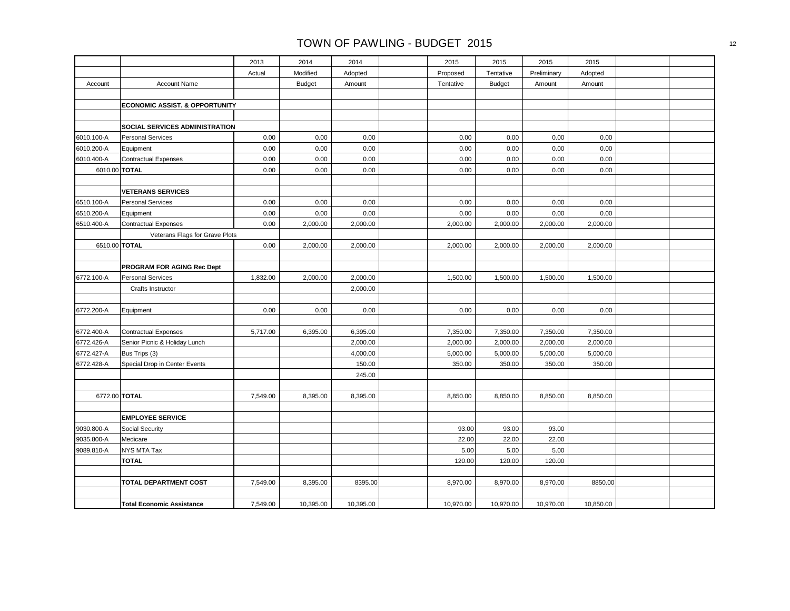|            |                                           | 2013     | 2014          | 2014      | 2015      | 2015          | 2015        | 2015      |  |
|------------|-------------------------------------------|----------|---------------|-----------|-----------|---------------|-------------|-----------|--|
|            |                                           | Actual   | Modified      | Adopted   | Proposed  | Tentative     | Preliminary | Adopted   |  |
| Account    | <b>Account Name</b>                       |          | <b>Budget</b> | Amount    | Tentative | <b>Budget</b> | Amount      | Amount    |  |
|            |                                           |          |               |           |           |               |             |           |  |
|            | <b>ECONOMIC ASSIST. &amp; OPPORTUNITY</b> |          |               |           |           |               |             |           |  |
|            |                                           |          |               |           |           |               |             |           |  |
|            | SOCIAL SERVICES ADMINISTRATION            |          |               |           |           |               |             |           |  |
| 6010.100-A | <b>Personal Services</b>                  | 0.00     | 0.00          | 0.00      | 0.00      | 0.00          | 0.00        | 0.00      |  |
| 6010.200-A | Equipment                                 | 0.00     | 0.00          | 0.00      | 0.00      | 0.00          | 0.00        | 0.00      |  |
| 6010.400-A | <b>Contractual Expenses</b>               | 0.00     | 0.00          | 0.00      | 0.00      | 0.00          | 0.00        | 0.00      |  |
|            | 6010.00 TOTAL                             | 0.00     | 0.00          | 0.00      | 0.00      | 0.00          | 0.00        | 0.00      |  |
|            |                                           |          |               |           |           |               |             |           |  |
|            | <b>VETERANS SERVICES</b>                  |          |               |           |           |               |             |           |  |
| 6510.100-A | <b>Personal Services</b>                  | 0.00     | 0.00          | 0.00      | 0.00      | 0.00          | 0.00        | 0.00      |  |
| 6510.200-A | Equipment                                 | 0.00     | 0.00          | 0.00      | 0.00      | 0.00          | 0.00        | 0.00      |  |
| 6510.400-A | <b>Contractual Expenses</b>               | 0.00     | 2,000.00      | 2,000.00  | 2,000.00  | 2,000.00      | 2,000.00    | 2,000.00  |  |
|            | Veterans Flags for Grave Plots            |          |               |           |           |               |             |           |  |
|            | 6510.00 TOTAL                             | 0.00     | 2,000.00      | 2,000.00  | 2,000.00  | 2,000.00      | 2,000.00    | 2,000.00  |  |
|            |                                           |          |               |           |           |               |             |           |  |
|            | PROGRAM FOR AGING Rec Dept                |          |               |           |           |               |             |           |  |
| 6772.100-A | <b>Personal Services</b>                  | 1,832.00 | 2,000.00      | 2,000.00  | 1,500.00  | 1,500.00      | 1,500.00    | 1,500.00  |  |
|            | Crafts Instructor                         |          |               | 2,000.00  |           |               |             |           |  |
|            |                                           |          |               |           |           |               |             |           |  |
| 6772.200-A | Equipment                                 | 0.00     | 0.00          | 0.00      | 0.00      | 0.00          | 0.00        | 0.00      |  |
|            |                                           |          |               |           |           |               |             |           |  |
| 6772.400-A | <b>Contractual Expenses</b>               | 5,717.00 | 6,395.00      | 6,395.00  | 7,350.00  | 7,350.00      | 7,350.00    | 7,350.00  |  |
| 6772.426-A | Senior Picnic & Holiday Lunch             |          |               | 2,000.00  | 2,000.00  | 2,000.00      | 2,000.00    | 2,000.00  |  |
| 6772.427-A | Bus Trips (3)                             |          |               | 4,000.00  | 5,000.00  | 5,000.00      | 5,000.00    | 5,000.00  |  |
| 6772.428-A | Special Drop in Center Events             |          |               | 150.00    | 350.00    | 350.00        | 350.00      | 350.00    |  |
|            |                                           |          |               | 245.00    |           |               |             |           |  |
|            |                                           |          |               |           |           |               |             |           |  |
|            | 6772.00 TOTAL                             | 7,549.00 | 8,395.00      | 8,395.00  | 8,850.00  | 8,850.00      | 8,850.00    | 8,850.00  |  |
|            |                                           |          |               |           |           |               |             |           |  |
|            | <b>EMPLOYEE SERVICE</b>                   |          |               |           |           |               |             |           |  |
| 9030.800-A | Social Security                           |          |               |           | 93.00     | 93.00         | 93.00       |           |  |
| 9035.800-A | Medicare                                  |          |               |           | 22.00     | 22.00         | 22.00       |           |  |
| 9089.810-A | NYS MTA Tax                               |          |               |           | 5.00      | 5.00          | 5.00        |           |  |
|            | <b>TOTAL</b>                              |          |               |           | 120.00    | 120.00        | 120.00      |           |  |
|            |                                           |          |               |           |           |               |             |           |  |
|            | <b>TOTAL DEPARTMENT COST</b>              | 7,549.00 | 8,395.00      | 8395.00   | 8,970.00  | 8,970.00      | 8,970.00    | 8850.00   |  |
|            |                                           |          |               |           |           |               |             |           |  |
|            | <b>Total Economic Assistance</b>          | 7,549.00 | 10,395.00     | 10,395.00 | 10,970.00 | 10,970.00     | 10,970.00   | 10,850.00 |  |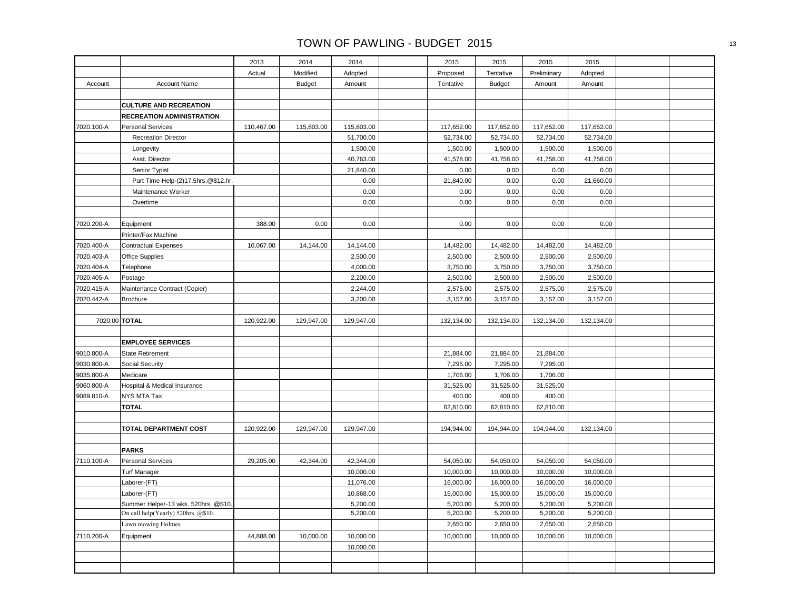|               |                                      | 2013       | 2014          | 2014       | 2015       | 2015          | 2015        | 2015       |  |
|---------------|--------------------------------------|------------|---------------|------------|------------|---------------|-------------|------------|--|
|               |                                      | Actual     | Modified      | Adopted    | Proposed   | Tentative     | Preliminary | Adopted    |  |
| Account       | <b>Account Name</b>                  |            | <b>Budget</b> | Amount     | Tentative  | <b>Budget</b> | Amount      | Amount     |  |
|               |                                      |            |               |            |            |               |             |            |  |
|               | <b>CULTURE AND RECREATION</b>        |            |               |            |            |               |             |            |  |
|               | <b>RECREATION ADMINISTRATION</b>     |            |               |            |            |               |             |            |  |
| 7020.100-A    | <b>Personal Services</b>             | 110,467.00 | 115,803.00    | 115,803.00 | 117,652.00 | 117,652.00    | 117,652.00  | 117,652.00 |  |
|               | <b>Recreation Director</b>           |            |               | 51,700.00  | 52,734.00  | 52,734.00     | 52,734.00   | 52,734.00  |  |
|               | Longevity                            |            |               | 1,500.00   | 1,500.00   | 1,500.00      | 1,500.00    | 1,500.00   |  |
|               | Asst. Director                       |            |               | 40,763.00  | 41,578.00  | 41,758.00     | 41,758.00   | 41,758.00  |  |
|               | Senior Typist                        |            |               | 21,840.00  | 0.00       | 0.00          | 0.00        | 0.00       |  |
|               | Part Time Help-(2)17.5hrs.@\$12.hr.  |            |               | 0.00       | 21,840.00  | 0.00          | 0.00        | 21,660.00  |  |
|               | Maintenance Worker                   |            |               | 0.00       | 0.00       | 0.00          | 0.00        | 0.00       |  |
|               | Overtime                             |            |               | 0.00       | 0.00       | 0.00          | 0.00        | 0.00       |  |
|               |                                      |            |               |            |            |               |             |            |  |
| 7020.200-A    | Equipment                            | 388.00     | 0.00          | 0.00       | 0.00       | 0.00          | 0.00        | 0.00       |  |
|               | Printer/Fax Machine                  |            |               |            |            |               |             |            |  |
| 7020.400-A    | <b>Contractual Expenses</b>          | 10,067.00  | 14,144.00     | 14,144.00  | 14,482.00  | 14,482.00     | 14,482.00   | 14,482.00  |  |
| 7020.403-A    | Office Supplies                      |            |               | 2,500.00   | 2,500.00   | 2,500.00      | 2,500.00    | 2,500.00   |  |
| 7020.404-A    | Telephone                            |            |               | 4,000.00   | 3,750.00   | 3,750.00      | 3,750.00    | 3,750.00   |  |
| 7020.405-A    | Postage                              |            |               | 2,200.00   | 2,500.00   | 2,500.00      | 2,500.00    | 2,500.00   |  |
| 7020.415-A    | Maintenance Contract (Copier)        |            |               | 2,244.00   | 2,575.00   | 2,575.00      | 2,575.00    | 2,575.00   |  |
| 7020.442-A    | <b>Brochure</b>                      |            |               | 3,200.00   | 3,157.00   | 3,157.00      | 3,157.00    | 3,157.00   |  |
|               |                                      |            |               |            |            |               |             |            |  |
| 7020.00 TOTAL |                                      | 120,922.00 | 129,947.00    | 129,947.00 | 132,134.00 | 132,134.00    | 132,134.00  | 132,134.00 |  |
|               |                                      |            |               |            |            |               |             |            |  |
|               | <b>EMPLOYEE SERVICES</b>             |            |               |            |            |               |             |            |  |
| 9010.800-A    | <b>State Retirement</b>              |            |               |            | 21,884.00  | 21,884.00     | 21,884.00   |            |  |
| 9030.800-A    | Social Security                      |            |               |            | 7,295.00   | 7,295.00      | 7,295.00    |            |  |
| 9035.800-A    | Medicare                             |            |               |            | 1,706.00   | 1,706.00      | 1,706.00    |            |  |
| 9060.800-A    | Hospital & Medical Insurance         |            |               |            | 31,525.00  | 31,525.00     | 31,525.00   |            |  |
| 9089.810-A    | NYS MTA Tax                          |            |               |            | 400.00     | 400.00        | 400.00      |            |  |
|               | <b>TOTAL</b>                         |            |               |            | 62,810.00  | 62,810.00     | 62,810.00   |            |  |
|               |                                      |            |               |            |            |               |             |            |  |
|               | TOTAL DEPARTMENT COST                | 120,922.00 | 129,947.00    | 129,947.00 | 194,944.00 | 194,944.00    | 194,944.00  | 132,134.00 |  |
|               |                                      |            |               |            |            |               |             |            |  |
|               | <b>PARKS</b>                         |            |               |            |            |               |             |            |  |
| 7110.100-A    | <b>Personal Services</b>             | 29,205.00  | 42,344.00     | 42,344.00  | 54,050.00  | 54,050.00     | 54,050.00   | 54,050.00  |  |
|               | <b>Turf Manager</b>                  |            |               | 10,000.00  | 10,000.00  | 10,000.00     | 10,000.00   | 10,000.00  |  |
|               | Laborer-(FT)                         |            |               | 11,076.00  | 16,000.00  | 16,000.00     | 16,000.00   | 16,000.00  |  |
|               | Laborer-(FT)                         |            |               | 10,868.00  | 15,000.00  | 15,000.00     | 15,000.00   | 15,000.00  |  |
|               | Summer Helper-13 wks. 520hrs. @\$10. |            |               | 5,200.00   | 5,200.00   | 5,200.00      | 5,200.00    | 5,200.00   |  |
|               | On call help(Yearly) 520hrs. @\$10.  |            |               | 5,200.00   | 5,200.00   | 5,200.00      | 5,200.00    | 5,200.00   |  |
|               | Lawn mowing Holmes                   |            |               |            | 2,650.00   | 2,650.00      | 2,650.00    | 2,650.00   |  |
| 7110.200-A    | Equipment                            | 44,888.00  | 10,000.00     | 10,000.00  | 10,000.00  | 10,000.00     | 10,000.00   | 10,000.00  |  |
|               |                                      |            |               | 10,000.00  |            |               |             |            |  |
|               |                                      |            |               |            |            |               |             |            |  |
|               |                                      |            |               |            |            |               |             |            |  |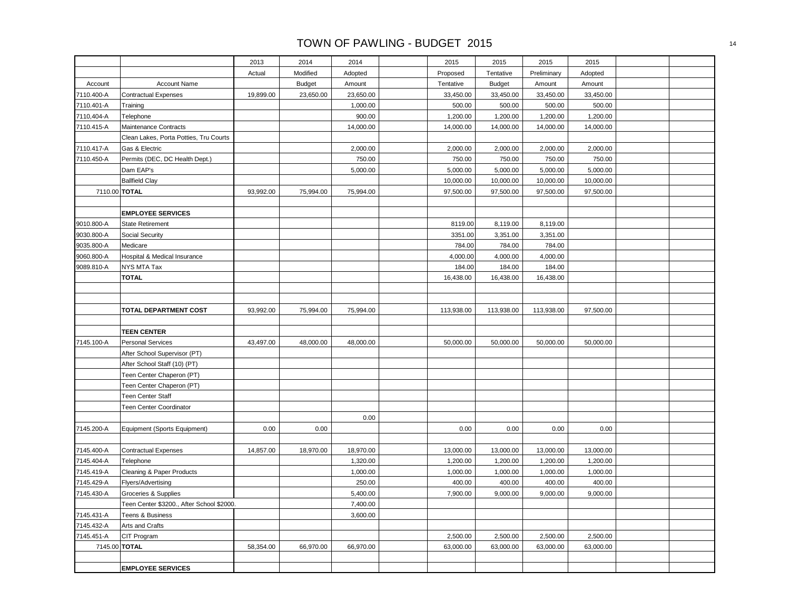|               |                                           | 2013      | 2014          | 2014      | 2015       | 2015          | 2015        | 2015      |  |
|---------------|-------------------------------------------|-----------|---------------|-----------|------------|---------------|-------------|-----------|--|
|               |                                           | Actual    | Modified      | Adopted   | Proposed   | Tentative     | Preliminary | Adopted   |  |
| Account       | <b>Account Name</b>                       |           | <b>Budget</b> | Amount    | Tentative  | <b>Budget</b> | Amount      | Amount    |  |
| 7110.400-A    | <b>Contractual Expenses</b>               | 19,899.00 | 23,650.00     | 23,650.00 | 33,450.00  | 33,450.00     | 33,450.00   | 33,450.00 |  |
| 7110.401-A    | Training                                  |           |               | 1,000.00  | 500.00     | 500.00        | 500.00      | 500.00    |  |
| 7110,404-A    | Telephone                                 |           |               | 900.00    | 1,200.00   | 1,200.00      | 1,200.00    | 1,200.00  |  |
| 7110.415-A    | <b>Maintenance Contracts</b>              |           |               | 14,000.00 | 14,000.00  | 14,000.00     | 14,000.00   | 14,000.00 |  |
|               | Clean Lakes, Porta Potties, Tru Courts    |           |               |           |            |               |             |           |  |
| 7110.417-A    | Gas & Electric                            |           |               | 2,000.00  | 2,000.00   | 2,000.00      | 2,000.00    | 2,000.00  |  |
| 7110.450-A    | Permits (DEC, DC Health Dept.)            |           |               | 750.00    | 750.00     | 750.00        | 750.00      | 750.00    |  |
|               | Dam EAP's                                 |           |               | 5,000.00  | 5,000.00   | 5,000.00      | 5,000.00    | 5,000.00  |  |
|               | <b>Ballfield Clay</b>                     |           |               |           | 10,000.00  | 10,000.00     | 10,000.00   | 10,000.00 |  |
| 7110.00 TOTAL |                                           | 93,992.00 | 75,994.00     | 75,994.00 | 97,500.00  | 97,500.00     | 97,500.00   | 97,500.00 |  |
|               |                                           |           |               |           |            |               |             |           |  |
|               | <b>EMPLOYEE SERVICES</b>                  |           |               |           |            |               |             |           |  |
| 9010.800-A    | <b>State Retirement</b>                   |           |               |           | 8119.00    | 8,119.00      | 8,119.00    |           |  |
| 9030.800-A    | <b>Social Security</b>                    |           |               |           | 3351.00    | 3,351.00      | 3,351.00    |           |  |
| 9035.800-A    | Medicare                                  |           |               |           | 784.00     | 784.00        | 784.00      |           |  |
| 9060.800-A    | Hospital & Medical Insurance              |           |               |           | 4,000.00   | 4,000.00      | 4,000.00    |           |  |
| 9089.810-A    | <b>NYS MTA Tax</b>                        |           |               |           | 184.00     | 184.00        | 184.00      |           |  |
|               | <b>TOTAL</b>                              |           |               |           | 16,438.00  | 16,438.00     | 16,438.00   |           |  |
|               |                                           |           |               |           |            |               |             |           |  |
|               |                                           |           |               |           |            |               |             |           |  |
|               | TOTAL DEPARTMENT COST                     | 93,992.00 | 75,994.00     | 75,994.00 | 113,938.00 | 113,938.00    | 113,938.00  | 97,500.00 |  |
|               |                                           |           |               |           |            |               |             |           |  |
|               | <b>TEEN CENTER</b>                        |           |               |           |            |               |             |           |  |
| 7145.100-A    | <b>Personal Services</b>                  | 43,497.00 | 48,000.00     | 48,000.00 | 50,000.00  | 50,000.00     | 50,000.00   | 50,000.00 |  |
|               | After School Supervisor (PT)              |           |               |           |            |               |             |           |  |
|               | After School Staff (10) (PT)              |           |               |           |            |               |             |           |  |
|               | Teen Center Chaperon (PT)                 |           |               |           |            |               |             |           |  |
|               | Teen Center Chaperon (PT)                 |           |               |           |            |               |             |           |  |
|               | Teen Center Staff                         |           |               |           |            |               |             |           |  |
|               | Teen Center Coordinator                   |           |               |           |            |               |             |           |  |
|               |                                           |           |               | 0.00      |            |               |             |           |  |
| 7145.200-A    | Equipment (Sports Equipment)              | 0.00      | 0.00          |           | 0.00       | 0.00          | 0.00        | 0.00      |  |
|               |                                           |           |               |           |            |               |             |           |  |
| 7145.400-A    | <b>Contractual Expenses</b>               | 14,857.00 | 18,970.00     | 18,970.00 | 13,000.00  | 13,000.00     | 13,000.00   | 13,000.00 |  |
| 7145.404-A    | Telephone                                 |           |               | 1,320.00  | 1,200.00   | 1,200.00      | 1,200.00    | 1,200.00  |  |
| 7145.419-A    | Cleaning & Paper Products                 |           |               | 1,000.00  | 1,000.00   | 1,000.00      | 1,000.00    | 1,000.00  |  |
| 7145.429-A    | Flyers/Advertising                        |           |               | 250.00    | 400.00     | 400.00        | 400.00      | 400.00    |  |
| 7145.430-A    | Groceries & Supplies                      |           |               | 5,400.00  | 7,900.00   | 9,000.00      | 9,000.00    | 9,000.00  |  |
|               | Teen Center \$3200., After School \$2000. |           |               | 7,400.00  |            |               |             |           |  |
| 7145.431-A    | Teens & Business                          |           |               | 3,600.00  |            |               |             |           |  |
| 7145.432-A    | Arts and Crafts                           |           |               |           |            |               |             |           |  |
| 7145.451-A    | CIT Program                               |           |               |           | 2,500.00   | 2,500.00      | 2,500.00    | 2,500.00  |  |
| 7145.00 TOTAL |                                           | 58,354.00 | 66,970.00     | 66,970.00 | 63,000.00  | 63,000.00     | 63,000.00   | 63,000.00 |  |
|               |                                           |           |               |           |            |               |             |           |  |
|               | <b>EMPLOYEE SERVICES</b>                  |           |               |           |            |               |             |           |  |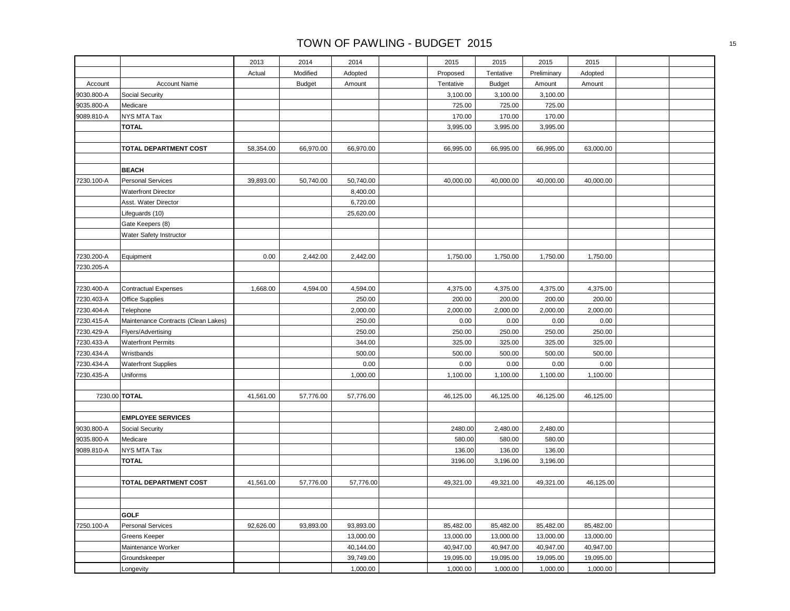|            |                                     | 2013      | 2014          | 2014      | 2015      | 2015          | 2015        | 2015      |  |
|------------|-------------------------------------|-----------|---------------|-----------|-----------|---------------|-------------|-----------|--|
|            |                                     | Actual    | Modified      | Adopted   | Proposed  | Tentative     | Preliminary | Adopted   |  |
| Account    | <b>Account Name</b>                 |           | <b>Budget</b> | Amount    | Tentative | <b>Budget</b> | Amount      | Amount    |  |
| 9030.800-A | Social Security                     |           |               |           | 3,100.00  | 3,100.00      | 3,100.00    |           |  |
| 9035.800-A | Medicare                            |           |               |           | 725.00    | 725.00        | 725.00      |           |  |
| 9089.810-A | NYS MTA Tax                         |           |               |           | 170.00    | 170.00        | 170.00      |           |  |
|            | <b>TOTAL</b>                        |           |               |           | 3,995.00  | 3,995.00      | 3,995.00    |           |  |
|            |                                     |           |               |           |           |               |             |           |  |
|            | TOTAL DEPARTMENT COST               | 58,354.00 | 66,970.00     | 66,970.00 | 66,995.00 | 66,995.00     | 66,995.00   | 63,000.00 |  |
|            |                                     |           |               |           |           |               |             |           |  |
|            | <b>BEACH</b>                        |           |               |           |           |               |             |           |  |
| 7230.100-A | <b>Personal Services</b>            | 39,893.00 | 50,740.00     | 50,740.00 | 40,000.00 | 40,000.00     | 40,000.00   | 40,000.00 |  |
|            | <b>Waterfront Director</b>          |           |               | 8,400.00  |           |               |             |           |  |
|            | Asst. Water Director                |           |               | 6,720.00  |           |               |             |           |  |
|            | Lifeguards (10)                     |           |               | 25,620.00 |           |               |             |           |  |
|            | Gate Keepers (8)                    |           |               |           |           |               |             |           |  |
|            | Water Safety Instructor             |           |               |           |           |               |             |           |  |
|            |                                     |           |               |           |           |               |             |           |  |
| 7230.200-A | Equipment                           | 0.00      | 2,442.00      | 2,442.00  | 1,750.00  | 1,750.00      | 1,750.00    | 1,750.00  |  |
| 7230.205-A |                                     |           |               |           |           |               |             |           |  |
|            |                                     |           |               |           |           |               |             |           |  |
| 7230.400-A | <b>Contractual Expenses</b>         | 1,668.00  | 4,594.00      | 4,594.00  | 4,375.00  | 4,375.00      | 4,375.00    | 4,375.00  |  |
| 7230.403-A | Office Supplies                     |           |               | 250.00    | 200.00    | 200.00        | 200.00      | 200.00    |  |
| 7230.404-A | Telephone                           |           |               | 2,000.00  | 2,000.00  | 2,000.00      | 2,000.00    | 2,000.00  |  |
| 7230.415-A | Maintenance Contracts (Clean Lakes) |           |               | 250.00    | 0.00      | 0.00          | 0.00        | 0.00      |  |
| 7230.429-A | Flyers/Advertising                  |           |               | 250.00    | 250.00    | 250.00        | 250.00      | 250.00    |  |
| 7230.433-A | <b>Waterfront Permits</b>           |           |               | 344.00    | 325.00    | 325.00        | 325.00      | 325.00    |  |
| 7230.434-A | Wristbands                          |           |               | 500.00    | 500.00    | 500.00        | 500.00      | 500.00    |  |
| 7230.434-A | <b>Waterfront Supplies</b>          |           |               | 0.00      | 0.00      | 0.00          | 0.00        | 0.00      |  |
| 7230.435-A | Uniforms                            |           |               | 1,000.00  | 1,100.00  | 1,100.00      | 1,100.00    | 1,100.00  |  |
|            |                                     |           |               |           |           |               |             |           |  |
|            | 7230.00 TOTAL                       | 41,561.00 | 57,776.00     | 57,776.00 | 46,125.00 | 46,125.00     | 46,125.00   | 46,125.00 |  |
|            |                                     |           |               |           |           |               |             |           |  |
|            | <b>EMPLOYEE SERVICES</b>            |           |               |           |           |               |             |           |  |
| 9030.800-A | Social Security                     |           |               |           | 2480.00   | 2,480.00      | 2,480.00    |           |  |
| 9035.800-A | Medicare                            |           |               |           | 580.00    | 580.00        | 580.00      |           |  |
| 9089.810-A | NYS MTA Tax                         |           |               |           | 136.00    | 136.00        | 136.00      |           |  |
|            | <b>TOTAL</b>                        |           |               |           | 3196.00   | 3,196.00      | 3,196.00    |           |  |
|            | <b>TOTAL DEPARTMENT COST</b>        | 41,561.00 | 57,776.00     | 57,776.00 | 49,321.00 | 49,321.00     | 49,321.00   | 46,125.00 |  |
|            |                                     |           |               |           |           |               |             |           |  |
|            |                                     |           |               |           |           |               |             |           |  |
|            | <b>GOLF</b>                         |           |               |           |           |               |             |           |  |
| 7250.100-A | <b>Personal Services</b>            | 92,626.00 | 93,893.00     | 93,893.00 | 85,482.00 | 85,482.00     | 85,482.00   | 85,482.00 |  |
|            | Greens Keeper                       |           |               | 13,000.00 | 13,000.00 | 13,000.00     | 13,000.00   | 13,000.00 |  |
|            | Maintenance Worker                  |           |               | 40,144.00 | 40,947.00 | 40,947.00     | 40,947.00   | 40,947.00 |  |
|            | Groundskeeper                       |           |               | 39,749.00 | 19,095.00 | 19,095.00     | 19,095.00   | 19,095.00 |  |
|            | Longevity                           |           |               | 1,000.00  | 1,000.00  | 1,000.00      | 1,000.00    | 1,000.00  |  |
|            |                                     |           |               |           |           |               |             |           |  |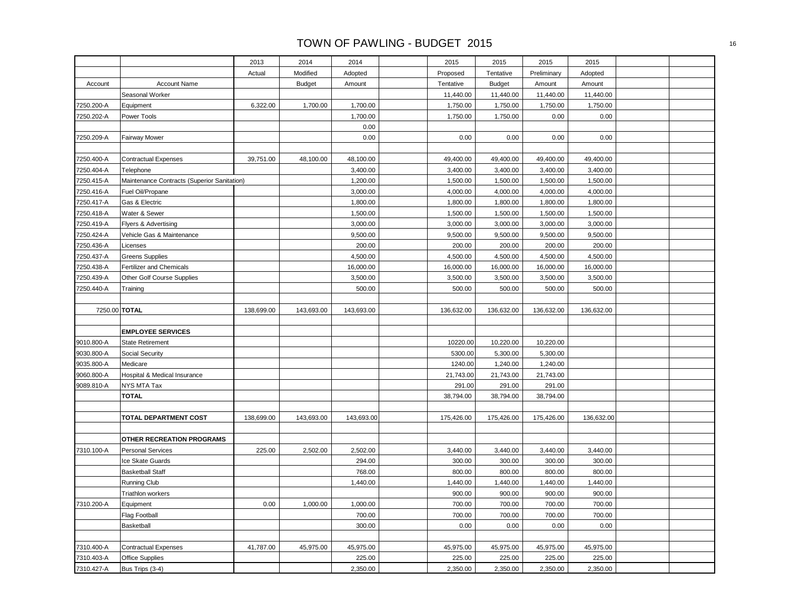|            |                                             | 2013       | 2014          | 2014       | 2015       | 2015          | 2015        | 2015       |  |
|------------|---------------------------------------------|------------|---------------|------------|------------|---------------|-------------|------------|--|
|            |                                             | Actual     | Modified      | Adopted    | Proposed   | Tentative     | Preliminary | Adopted    |  |
| Account    | <b>Account Name</b>                         |            | <b>Budget</b> | Amount     | Tentative  | <b>Budget</b> | Amount      | Amount     |  |
|            | Seasonal Worker                             |            |               |            | 11,440.00  | 11,440.00     | 11,440.00   | 11,440.00  |  |
| 7250.200-A | Equipment                                   | 6,322.00   | 1,700.00      | 1,700.00   | 1,750.00   | 1,750.00      | 1,750.00    | 1,750.00   |  |
| 7250.202-A | Power Tools                                 |            |               | 1,700.00   | 1,750.00   | 1,750.00      | 0.00        | 0.00       |  |
|            |                                             |            |               | 0.00       |            |               |             |            |  |
| 7250.209-A | <b>Fairway Mower</b>                        |            |               | 0.00       | 0.00       | 0.00          | 0.00        | 0.00       |  |
|            |                                             |            |               |            |            |               |             |            |  |
| 7250.400-A | <b>Contractual Expenses</b>                 | 39,751.00  | 48,100.00     | 48,100.00  | 49,400.00  | 49,400.00     | 49,400.00   | 49,400.00  |  |
| 7250.404-A | Telephone                                   |            |               | 3,400.00   | 3,400.00   | 3,400.00      | 3,400.00    | 3,400.00   |  |
| 7250.415-A | Maintenance Contracts (Superior Sanitation) |            |               | 1,200.00   | 1,500.00   | 1,500.00      | 1,500.00    | 1,500.00   |  |
| 7250.416-A | Fuel Oil/Propane                            |            |               | 3,000.00   | 4,000.00   | 4,000.00      | 4,000.00    | 4,000.00   |  |
| 7250.417-A | Gas & Electric                              |            |               | 1,800.00   | 1,800.00   | 1,800.00      | 1,800.00    | 1,800.00   |  |
| 7250.418-A | Water & Sewer                               |            |               | 1,500.00   | 1,500.00   | 1,500.00      | 1,500.00    | 1,500.00   |  |
| 7250.419-A | Flyers & Advertising                        |            |               | 3,000.00   | 3,000.00   | 3,000.00      | 3,000.00    | 3,000.00   |  |
| 7250.424-A | Vehicle Gas & Maintenance                   |            |               | 9,500.00   | 9,500.00   | 9,500.00      | 9,500.00    | 9,500.00   |  |
| 7250.436-A | Licenses                                    |            |               | 200.00     | 200.00     | 200.00        | 200.00      | 200.00     |  |
| 7250.437-A | <b>Greens Supplies</b>                      |            |               | 4,500.00   | 4,500.00   | 4,500.00      | 4,500.00    | 4,500.00   |  |
| 7250.438-A | Fertilizer and Chemicals                    |            |               | 16,000.00  | 16,000.00  | 16,000.00     | 16,000.00   | 16,000.00  |  |
| 7250.439-A | Other Golf Course Supplies                  |            |               | 3,500.00   | 3,500.00   | 3,500.00      | 3,500.00    | 3,500.00   |  |
| 7250.440-A | Training                                    |            |               | 500.00     | 500.00     | 500.00        | 500.00      | 500.00     |  |
|            |                                             |            |               |            |            |               |             |            |  |
|            | 7250.00 TOTAL                               | 138,699.00 | 143,693.00    | 143,693.00 | 136,632.00 | 136,632.00    | 136,632.00  | 136,632.00 |  |
|            |                                             |            |               |            |            |               |             |            |  |
|            | <b>EMPLOYEE SERVICES</b>                    |            |               |            |            |               |             |            |  |
| 9010.800-A | <b>State Retirement</b>                     |            |               |            | 10220.00   | 10,220.00     | 10,220.00   |            |  |
| 9030.800-A | Social Security                             |            |               |            | 5300.00    | 5,300.00      | 5,300.00    |            |  |
| 9035.800-A | Medicare                                    |            |               |            | 1240.00    | 1,240.00      | 1,240.00    |            |  |
| 9060.800-A | Hospital & Medical Insurance                |            |               |            | 21,743.00  | 21,743.00     | 21,743.00   |            |  |
| 9089.810-A | NYS MTA Tax                                 |            |               |            | 291.00     | 291.00        | 291.00      |            |  |
|            | <b>TOTAL</b>                                |            |               |            | 38,794.00  | 38,794.00     | 38,794.00   |            |  |
|            |                                             |            |               |            |            |               |             |            |  |
|            | <b>TOTAL DEPARTMENT COST</b>                | 138,699.00 | 143,693.00    | 143,693.00 | 175,426.00 | 175,426.00    | 175,426.00  | 136,632.00 |  |
|            |                                             |            |               |            |            |               |             |            |  |
|            | OTHER RECREATION PROGRAMS                   |            |               |            |            |               |             |            |  |
| 7310.100-A | <b>Personal Services</b>                    | 225.00     | 2,502.00      | 2,502.00   | 3,440.00   | 3,440.00      | 3,440.00    | 3,440.00   |  |
|            | Ice Skate Guards                            |            |               | 294.00     | 300.00     | 300.00        | 300.00      | 300.00     |  |
|            | <b>Basketball Staff</b>                     |            |               | 768.00     | 800.00     | 800.00        | 800.00      | 800.00     |  |
|            | Running Club                                |            |               | 1,440.00   | 1,440.00   | 1,440.00      | 1,440.00    | 1,440.00   |  |
|            | Triathlon workers                           |            |               |            | 900.00     | 900.00        | 900.00      | 900.00     |  |
| 7310.200-A | Equipment                                   | 0.00       | 1,000.00      | 1,000.00   | 700.00     | 700.00        | 700.00      | 700.00     |  |
|            | <b>Flag Football</b>                        |            |               | 700.00     | 700.00     | 700.00        | 700.00      | 700.00     |  |
|            | Basketball                                  |            |               | 300.00     | 0.00       | 0.00          | 0.00        | 0.00       |  |
|            |                                             |            |               |            |            |               |             |            |  |
| 7310.400-A | <b>Contractual Expenses</b>                 | 41,787.00  | 45,975.00     | 45,975.00  | 45,975.00  | 45,975.00     | 45,975.00   | 45,975.00  |  |
| 7310.403-A | <b>Office Supplies</b>                      |            |               | 225.00     | 225.00     | 225.00        | 225.00      | 225.00     |  |
| 7310.427-A | Bus Trips (3-4)                             |            |               | 2,350.00   | 2,350.00   | 2,350.00      | 2,350.00    | 2,350.00   |  |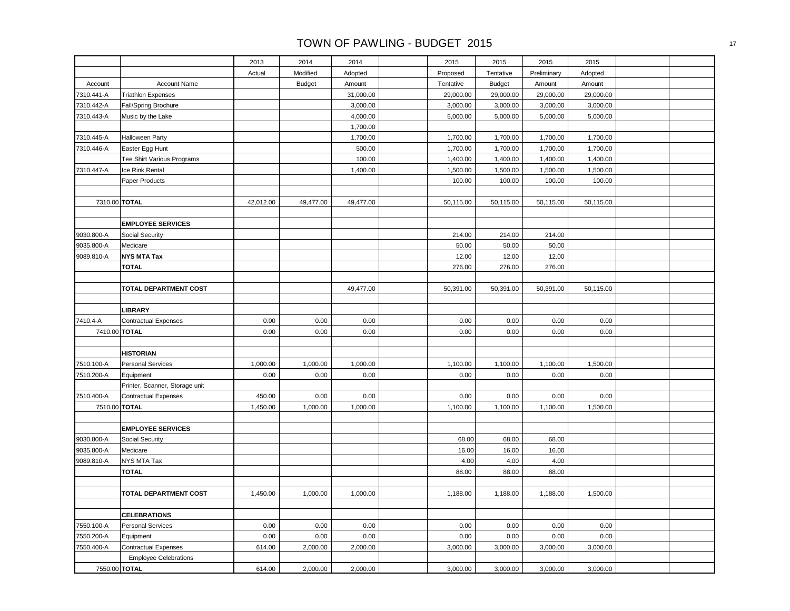|            |                                | 2013      | 2014          | 2014      | 2015          | 2015          | 2015          | 2015      |  |
|------------|--------------------------------|-----------|---------------|-----------|---------------|---------------|---------------|-----------|--|
|            |                                | Actual    | Modified      | Adopted   | Proposed      | Tentative     | Preliminary   | Adopted   |  |
| Account    | <b>Account Name</b>            |           | <b>Budget</b> | Amount    | Tentative     | <b>Budget</b> | Amount        | Amount    |  |
| 7310.441-A | <b>Triathlon Expenses</b>      |           |               | 31,000.00 | 29,000.00     | 29,000.00     | 29,000.00     | 29,000.00 |  |
| 7310.442-A | Fall/Spring Brochure           |           |               | 3,000.00  | 3,000.00      | 3,000.00      | 3,000.00      | 3,000.00  |  |
| 7310.443-A | Music by the Lake              |           |               | 4,000.00  | 5,000.00      | 5,000.00      | 5,000.00      | 5,000.00  |  |
|            |                                |           |               | 1,700.00  |               |               |               |           |  |
| 7310.445-A | <b>Halloween Party</b>         |           |               | 1,700.00  | 1,700.00      | 1,700.00      | 1,700.00      | 1,700.00  |  |
| 7310.446-A | Easter Egg Hunt                |           |               | 500.00    | 1,700.00      | 1,700.00      | 1,700.00      | 1,700.00  |  |
|            | Tee Shirt Various Programs     |           |               | 100.00    | 1,400.00      | 1,400.00      | 1,400.00      | 1,400.00  |  |
| 7310.447-A | Ice Rink Rental                |           |               | 1,400.00  | 1,500.00      | 1,500.00      | 1,500.00      | 1,500.00  |  |
|            | Paper Products                 |           |               |           | 100.00        | 100.00        | 100.00        | 100.00    |  |
|            |                                |           |               |           |               |               |               |           |  |
|            | 7310.00 TOTAL                  | 42,012.00 | 49,477.00     | 49,477.00 | 50,115.00     | 50,115.00     | 50,115.00     | 50,115.00 |  |
|            |                                |           |               |           |               |               |               |           |  |
|            | <b>EMPLOYEE SERVICES</b>       |           |               |           |               |               |               |           |  |
| 9030.800-A | Social Security                |           |               |           | 214.00        | 214.00        | 214.00        |           |  |
| 9035.800-A | Medicare                       |           |               |           | 50.00         | 50.00         | 50.00         |           |  |
| 9089.810-A | <b>NYS MTA Tax</b>             |           |               |           | 12.00         | 12.00         | 12.00         |           |  |
|            | <b>TOTAL</b>                   |           |               |           | 276.00        | 276.00        | 276.00        |           |  |
|            |                                |           |               |           |               |               |               |           |  |
|            | TOTAL DEPARTMENT COST          |           |               | 49,477.00 | 50,391.00     | 50,391.00     | 50,391.00     | 50,115.00 |  |
|            |                                |           |               |           |               |               |               |           |  |
|            | <b>LIBRARY</b>                 |           |               |           |               |               |               |           |  |
| 7410.4-A   | <b>Contractual Expenses</b>    | 0.00      | 0.00          | 0.00      | 0.00          | 0.00          | 0.00          | 0.00      |  |
|            | 7410.00 TOTAL                  | 0.00      | 0.00          | 0.00      | 0.00          | 0.00          | 0.00          | 0.00      |  |
|            |                                |           |               |           |               |               |               |           |  |
|            | <b>HISTORIAN</b>               |           |               |           |               |               |               |           |  |
| 7510.100-A | <b>Personal Services</b>       | 1,000.00  | 1,000.00      | 1,000.00  | 1,100.00      | 1,100.00      | 1,100.00      | 1,500.00  |  |
| 7510.200-A | Equipment                      | 0.00      | 0.00          | 0.00      | 0.00          | 0.00          | 0.00          | 0.00      |  |
|            | Printer, Scanner, Storage unit |           |               |           |               |               |               |           |  |
| 7510.400-A | <b>Contractual Expenses</b>    | 450.00    | 0.00          | 0.00      | 0.00          | 0.00          | 0.00          | 0.00      |  |
|            | 7510.00 TOTAL                  | 1,450.00  | 1,000.00      | 1,000.00  | 1,100.00      | 1,100.00      | 1,100.00      | 1,500.00  |  |
|            |                                |           |               |           |               |               |               |           |  |
|            | <b>EMPLOYEE SERVICES</b>       |           |               |           |               |               |               |           |  |
| 9030.800-A | Social Security                |           |               |           | 68.00         | 68.00         | 68.00         |           |  |
| 9035.800-A | Medicare                       |           |               |           | 16.00         | 16.00         | 16.00         |           |  |
| 9089.810-A | NYS MTA Tax<br><b>TOTAL</b>    |           |               |           | 4.00<br>88.00 | 4.00<br>88.00 | 4.00<br>88.00 |           |  |
|            |                                |           |               |           |               |               |               |           |  |
|            | TOTAL DEPARTMENT COST          | 1,450.00  | 1,000.00      | 1,000.00  | 1,188.00      | 1,188.00      | 1,188.00      | 1,500.00  |  |
|            |                                |           |               |           |               |               |               |           |  |
|            | <b>CELEBRATIONS</b>            |           |               |           |               |               |               |           |  |
| 7550.100-A | <b>Personal Services</b>       | 0.00      | 0.00          | 0.00      | 0.00          | 0.00          | 0.00          | 0.00      |  |
| 7550.200-A | Equipment                      | 0.00      | 0.00          | 0.00      | 0.00          | 0.00          | 0.00          | 0.00      |  |
| 7550.400-A | <b>Contractual Expenses</b>    | 614.00    | 2,000.00      | 2,000.00  | 3,000.00      | 3,000.00      | 3,000.00      | 3,000.00  |  |
|            | <b>Employee Celebrations</b>   |           |               |           |               |               |               |           |  |
|            | 7550.00 TOTAL                  | 614.00    | 2,000.00      | 2,000.00  | 3,000.00      | 3,000.00      | 3,000.00      | 3,000.00  |  |
|            |                                |           |               |           |               |               |               |           |  |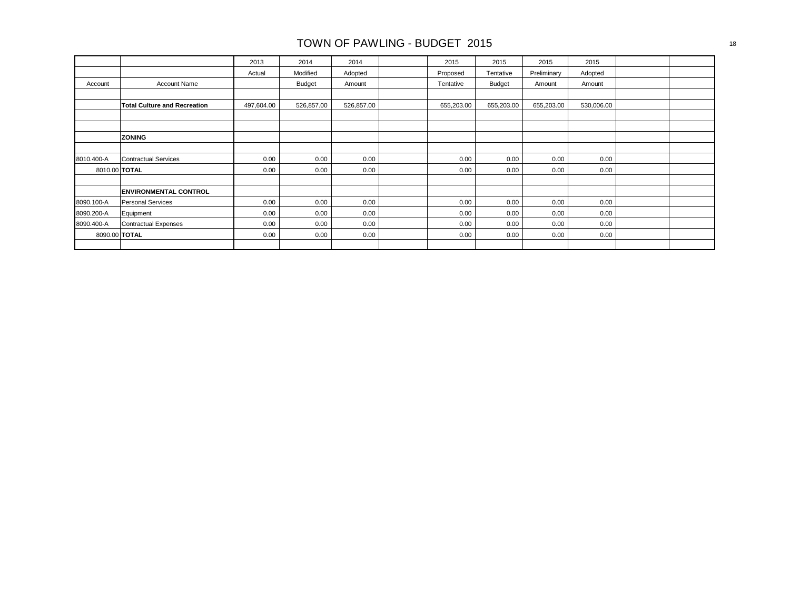|            |                                     | 2013       | 2014          | 2014       | 2015       | 2015          | 2015        | 2015       |  |
|------------|-------------------------------------|------------|---------------|------------|------------|---------------|-------------|------------|--|
|            |                                     | Actual     | Modified      | Adopted    | Proposed   | Tentative     | Preliminary | Adopted    |  |
| Account    | <b>Account Name</b>                 |            | <b>Budget</b> | Amount     | Tentative  | <b>Budget</b> | Amount      | Amount     |  |
|            |                                     |            |               |            |            |               |             |            |  |
|            | <b>Total Culture and Recreation</b> | 497,604.00 | 526,857.00    | 526,857.00 | 655,203.00 | 655,203.00    | 655,203.00  | 530,006.00 |  |
|            |                                     |            |               |            |            |               |             |            |  |
|            |                                     |            |               |            |            |               |             |            |  |
|            | <b>ZONING</b>                       |            |               |            |            |               |             |            |  |
|            |                                     |            |               |            |            |               |             |            |  |
| 8010.400-A | <b>Contractual Services</b>         | 0.00       | 0.00          | 0.00       | 0.00       | 0.00          | 0.00        | 0.00       |  |
|            | 8010.00 TOTAL                       | 0.00       | 0.00          | 0.00       | 0.00       | 0.00          | 0.00        | 0.00       |  |
|            |                                     |            |               |            |            |               |             |            |  |
|            | <b>ENVIRONMENTAL CONTROL</b>        |            |               |            |            |               |             |            |  |
| 8090.100-A | <b>Personal Services</b>            | 0.00       | 0.00          | 0.00       | 0.00       | 0.00          | 0.00        | 0.00       |  |
| 8090.200-A | Equipment                           | 0.00       | 0.00          | 0.00       | 0.00       | 0.00          | 0.00        | 0.00       |  |
| 8090.400-A | Contractual Expenses                | 0.00       | 0.00          | 0.00       | 0.00       | 0.00          | 0.00        | 0.00       |  |
|            | 8090.00 TOTAL                       | 0.00       | 0.00          | 0.00       | 0.00       | 0.00          | 0.00        | 0.00       |  |
|            |                                     |            |               |            |            |               |             |            |  |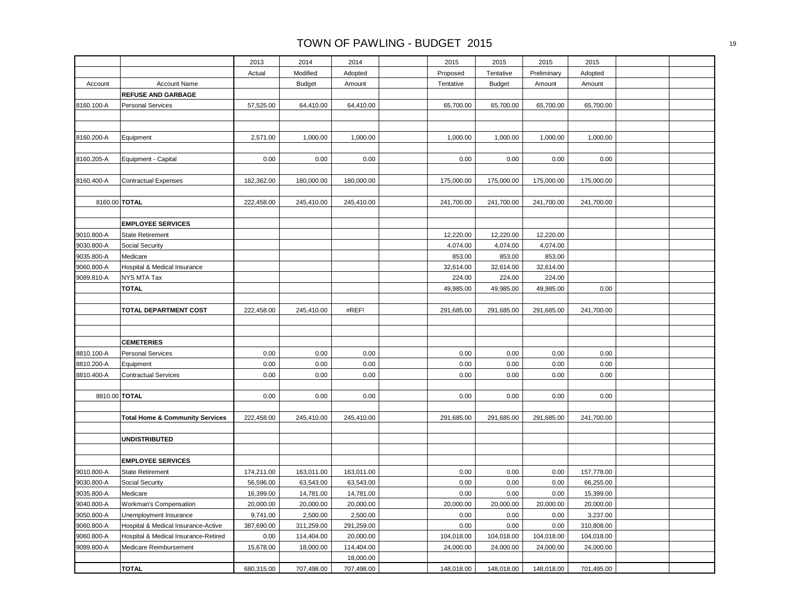|                          |                                                     | 2013       | 2014          | 2014       | 2015               | 2015               | 2015               | 2015       |  |
|--------------------------|-----------------------------------------------------|------------|---------------|------------|--------------------|--------------------|--------------------|------------|--|
|                          |                                                     | Actual     | Modified      | Adopted    | Proposed           | Tentative          | Preliminary        | Adopted    |  |
| Account                  | <b>Account Name</b>                                 |            | <b>Budget</b> | Amount     | Tentative          | <b>Budget</b>      | Amount             | Amount     |  |
|                          | <b>REFUSE AND GARBAGE</b>                           |            |               |            |                    |                    |                    |            |  |
| 8160.100-A               | <b>Personal Services</b>                            | 57,525.00  | 64,410.00     | 64,410.00  | 65,700.00          | 65,700.00          | 65,700.00          | 65,700.00  |  |
|                          |                                                     |            |               |            |                    |                    |                    |            |  |
|                          |                                                     |            |               |            |                    |                    |                    |            |  |
| 8160.200-A               | Equipment                                           | 2,571.00   | 1,000.00      | 1,000.00   | 1,000.00           | 1,000.00           | 1,000.00           | 1,000.00   |  |
|                          |                                                     |            |               |            |                    |                    |                    |            |  |
| 8160.205-A               | Equipment - Capital                                 | 0.00       | 0.00          | 0.00       | 0.00               | 0.00               | 0.00               | 0.00       |  |
|                          |                                                     |            |               |            |                    |                    |                    |            |  |
| 8160.400-A               | <b>Contractual Expenses</b>                         | 162,362.00 | 180,000.00    | 180,000.00 | 175,000.00         | 175,000.00         | 175,000.00         | 175,000.00 |  |
|                          |                                                     |            |               |            |                    |                    |                    |            |  |
| 8160.00 TOTAL            |                                                     | 222,458.00 | 245,410.00    | 245,410.00 | 241,700.00         | 241,700.00         | 241,700.00         | 241,700.00 |  |
|                          |                                                     |            |               |            |                    |                    |                    |            |  |
|                          | <b>EMPLOYEE SERVICES</b>                            |            |               |            |                    |                    |                    |            |  |
| 9010.800-A               | <b>State Retirement</b>                             |            |               |            | 12,220.00          | 12,220.00          | 12,220.00          |            |  |
| 9030.800-A<br>9035.800-A | <b>Social Security</b><br>Medicare                  |            |               |            | 4,074.00<br>853.00 | 4,074.00<br>853.00 | 4,074.00<br>853.00 |            |  |
| 9060.800-A               | Hospital & Medical Insurance                        |            |               |            | 32,614.00          | 32,614.00          | 32,614.00          |            |  |
| 9089.810-A               | NYS MTA Tax                                         |            |               |            | 224.00             | 224.00             | 224.00             |            |  |
|                          | <b>TOTAL</b>                                        |            |               |            | 49,985.00          | 49,985.00          | 49,985.00          | 0.00       |  |
|                          |                                                     |            |               |            |                    |                    |                    |            |  |
|                          | TOTAL DEPARTMENT COST                               | 222,458.00 | 245,410.00    | #REF!      | 291,685.00         | 291,685.00         | 291,685.00         | 241,700.00 |  |
|                          |                                                     |            |               |            |                    |                    |                    |            |  |
|                          |                                                     |            |               |            |                    |                    |                    |            |  |
|                          | <b>CEMETERIES</b>                                   |            |               |            |                    |                    |                    |            |  |
| 8810.100-A               | <b>Personal Services</b>                            | 0.00       | 0.00          | 0.00       | 0.00               | 0.00               | 0.00               | 0.00       |  |
| 8810.200-A               | Equipment                                           | 0.00       | 0.00          | 0.00       | 0.00               | 0.00               | 0.00               | 0.00       |  |
| 8810.400-A               | <b>Contractual Services</b>                         | 0.00       | 0.00          | 0.00       | 0.00               | 0.00               | 0.00               | 0.00       |  |
|                          |                                                     |            |               |            |                    |                    |                    |            |  |
| 8810.00 TOTAL            |                                                     | 0.00       | 0.00          | 0.00       | 0.00               | 0.00               | 0.00               | 0.00       |  |
|                          |                                                     |            |               |            |                    |                    |                    |            |  |
|                          | <b>Total Home &amp; Community Services</b>          | 222,458.00 | 245,410.00    | 245,410.00 | 291,685.00         | 291,685.00         | 291,685.00         | 241,700.00 |  |
|                          |                                                     |            |               |            |                    |                    |                    |            |  |
|                          | <b>UNDISTRIBUTED</b>                                |            |               |            |                    |                    |                    |            |  |
|                          |                                                     |            |               |            |                    |                    |                    |            |  |
| 9010.800-A               | <b>EMPLOYEE SERVICES</b><br><b>State Retirement</b> | 174,211.00 | 163,011.00    | 163,011.00 | 0.00               | 0.00               | 0.00               | 157,778.00 |  |
| 9030.800-A               | Social Security                                     | 56,596.00  | 63,543.00     | 63,543.00  | 0.00               | 0.00               | 0.00               | 66,255.00  |  |
| 9035.800-A               | Medicare                                            | 16,399.00  | 14,781.00     | 14,781.00  | 0.00               | 0.00               | 0.00               | 15,399.00  |  |
| 9040.800-A               | Workman's Compensation                              | 20,000.00  | 20,000.00     | 20,000.00  | 20,000.00          | 20,000.00          | 20,000.00          | 20,000.00  |  |
| 9050.800-A               | Unemployment Insurance                              | 9,741.00   | 2,500.00      | 2,500.00   | 0.00               | 0.00               | 0.00               | 3,237.00   |  |
| 9060.800-A               | Hospital & Medical Insurance-Active                 | 387,690.00 | 311,259.00    | 291,259.00 | 0.00               | 0.00               | 0.00               | 310,808.00 |  |
| 9060.800-A               | Hospital & Medical Insurance-Retired                | 0.00       | 114,404.00    | 20,000.00  | 104,018.00         | 104,018.00         | 104,018.00         | 104,018.00 |  |
| 9089.800-A               | Medicare Reimbursement                              | 15,678.00  | 18,000.00     | 114,404.00 | 24,000.00          | 24,000.00          | 24,000.00          | 24,000.00  |  |
|                          |                                                     |            |               | 18,000.00  |                    |                    |                    |            |  |
|                          | <b>TOTAL</b>                                        | 680,315.00 | 707,498.00    | 707,498.00 | 148,018.00         | 148,018.00         | 148,018.00         | 701,495.00 |  |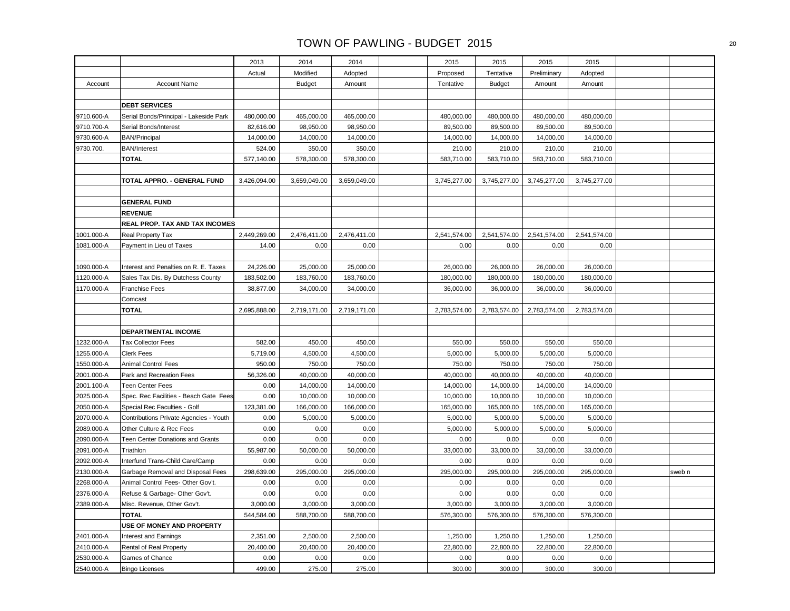|            |                                           | 2013         | 2014          | 2014         | 2015         | 2015          | 2015         | 2015         |        |
|------------|-------------------------------------------|--------------|---------------|--------------|--------------|---------------|--------------|--------------|--------|
|            |                                           | Actual       | Modified      | Adopted      | Proposed     | Tentative     | Preliminary  | Adopted      |        |
| Account    | <b>Account Name</b>                       |              | <b>Budget</b> | Amount       | Tentative    | <b>Budget</b> | Amount       | Amount       |        |
|            |                                           |              |               |              |              |               |              |              |        |
|            | <b>DEBT SERVICES</b>                      |              |               |              |              |               |              |              |        |
| 9710.600-A | Serial Bonds/Principal - Lakeside Park    | 480,000.00   | 465,000.00    | 465,000.00   | 480,000.00   | 480,000.00    | 480,000.00   | 480,000.00   |        |
| 9710.700-A | Serial Bonds/Interest                     | 82,616.00    | 98,950.00     | 98,950.00    | 89,500.00    | 89,500.00     | 89,500.00    | 89,500.00    |        |
| 9730.600-A | <b>BAN/Principal</b>                      | 14,000.00    | 14,000.00     | 14,000.00    | 14,000.00    | 14,000.00     | 14,000.00    | 14,000.00    |        |
| 9730.700.  | <b>BAN/Interest</b>                       | 524.00       | 350.00        | 350.00       | 210.00       | 210.00        | 210.00       | 210.00       |        |
|            | <b>TOTAL</b>                              | 577,140.00   | 578,300.00    | 578,300.00   | 583,710.00   | 583,710.00    | 583,710.00   | 583,710.00   |        |
|            |                                           |              |               |              |              |               |              |              |        |
|            | TOTAL APPRO. - GENERAL FUND               | 3,426,094.00 | 3,659,049.00  | 3,659,049.00 | 3,745,277.00 | 3,745,277.00  | 3,745,277.00 | 3,745,277.00 |        |
|            |                                           |              |               |              |              |               |              |              |        |
|            | <b>GENERAL FUND</b>                       |              |               |              |              |               |              |              |        |
|            | <b>REVENUE</b>                            |              |               |              |              |               |              |              |        |
|            | REAL PROP. TAX AND TAX INCOMES            |              |               |              |              |               |              |              |        |
| 1001.000-A | Real Property Tax                         | 2,449,269.00 | 2,476,411.00  | 2,476,411.00 | 2,541,574.00 | 2,541,574.00  | 2,541,574.00 | 2,541,574.00 |        |
| 1081.000-A | Payment in Lieu of Taxes                  | 14.00        | 0.00          | 0.00         | 0.00         | 0.00          | 0.00         | 0.00         |        |
|            |                                           |              |               |              |              |               |              |              |        |
| 1090.000-A | Interest and Penalties on R. E. Taxes     | 24,226.00    | 25,000.00     | 25,000.00    | 26,000.00    | 26,000.00     | 26,000.00    | 26,000.00    |        |
| 1120.000-A | Sales Tax Dis. By Dutchess County         | 183,502.00   | 183,760.00    | 183,760.00   | 180,000.00   | 180,000.00    | 180,000.00   | 180,000.00   |        |
| 1170.000-A | <b>Franchise Fees</b>                     | 38,877.00    | 34,000.00     | 34,000.00    | 36,000.00    | 36,000.00     | 36,000.00    | 36,000.00    |        |
|            | Comcast                                   |              |               |              |              |               |              |              |        |
|            | <b>TOTAL</b>                              | 2,695,888.00 | 2,719,171.00  | 2,719,171.00 | 2,783,574.00 | 2,783,574.00  | 2,783,574.00 | 2,783,574.00 |        |
|            |                                           |              |               |              |              |               |              |              |        |
|            | DEPARTMENTAL INCOME                       |              |               |              |              |               |              |              |        |
| 1232.000-A | <b>Tax Collector Fees</b>                 | 582.00       | 450.00        | 450.00       | 550.00       | 550.00        | 550.00       | 550.00       |        |
| 1255.000-A | Clerk Fees                                | 5,719.00     | 4,500.00      | 4,500.00     | 5,000.00     | 5,000.00      | 5,000.00     | 5,000.00     |        |
| 1550.000-A | <b>Animal Control Fees</b>                | 950.00       | 750.00        | 750.00       | 750.00       | 750.00        | 750.00       | 750.00       |        |
| 2001.000-A | Park and Recreation Fees                  | 56,326.00    | 40,000.00     | 40,000.00    | 40,000.00    | 40,000.00     | 40,000.00    | 40,000.00    |        |
| 2001.100-A | <b>Teen Center Fees</b>                   | 0.00         | 14,000.00     | 14,000.00    | 14,000.00    | 14,000.00     | 14,000.00    | 14,000.00    |        |
| 2025.000-A | Spec. Rec Facilities - Beach Gate Fees    | 0.00         | 10,000.00     | 10,000.00    | 10,000.00    | 10,000.00     | 10,000.00    | 10,000.00    |        |
| 2050.000-A | Special Rec Faculties - Golf              | 123,381.00   | 166,000.00    | 166,000.00   | 165,000.00   | 165,000.00    | 165,000.00   | 165,000.00   |        |
| 2070.000-A | Contributions Private Agencies - Youth    | 0.00         | 5,000.00      | 5,000.00     | 5,000.00     | 5,000.00      | 5,000.00     | 5,000.00     |        |
| 2089.000-A | Other Culture & Rec Fees                  | 0.00         | 0.00          | 0.00         | 5,000.00     | 5,000.00      | 5,000.00     | 5,000.00     |        |
| 2090.000-A | Teen Center Donations and Grants          | 0.00         | 0.00          | 0.00         | 0.00         | 0.00          | 0.00         | 0.00         |        |
| 2091.000-A | Triathlon                                 | 55,987.00    | 50,000.00     | 50,000.00    | 33,000.00    | 33,000.00     | 33,000.00    | 33,000.00    |        |
| 2092.000-A | Interfund Trans-Child Care/Camp           | 0.00         | 0.00          | 0.00         | 0.00         | 0.00          | 0.00         | 0.00         |        |
| 2130.000-A | Garbage Removal and Disposal Fees         | 298,639.00   | 295,000.00    | 295,000.00   | 295,000.00   | 295,000.00    | 295,000.00   | 295,000.00   | sweb n |
| 2268.000-A | Animal Control Fees- Other Gov't.         | 0.00         | 0.00          | 0.00         | 0.00         | 0.00          | 0.00         | 0.00         |        |
| 2376.000-A | Refuse & Garbage- Other Gov't.            | 0.00         | 0.00          | 0.00         | 0.00         | 0.00          | 0.00         | 0.00         |        |
| 2389.000-A | Misc. Revenue, Other Gov't.               | 3,000.00     | 3,000.00      | 3,000.00     | 3,000.00     | 3,000.00      | 3,000.00     | 3,000.00     |        |
|            | <b>TOTAL</b><br>USE OF MONEY AND PROPERTY | 544,584.00   | 588,700.00    | 588,700.00   | 576,300.00   | 576,300.00    | 576,300.00   | 576,300.00   |        |
|            |                                           |              |               |              |              |               |              |              |        |
| 2401.000-A | Interest and Earnings                     | 2,351.00     | 2,500.00      | 2,500.00     | 1,250.00     | 1,250.00      | 1,250.00     | 1,250.00     |        |
| 2410.000-A | Rental of Real Property                   | 20,400.00    | 20,400.00     | 20,400.00    | 22,800.00    | 22,800.00     | 22,800.00    | 22,800.00    |        |
| 2530.000-A | Games of Chance                           | 0.00         | 0.00          | 0.00         | 0.00         | 0.00          | 0.00         | 0.00         |        |
| 2540.000-A | <b>Bingo Licenses</b>                     | 499.00       | 275.00        | 275.00       | 300.00       | 300.00        | 300.00       | 300.00       |        |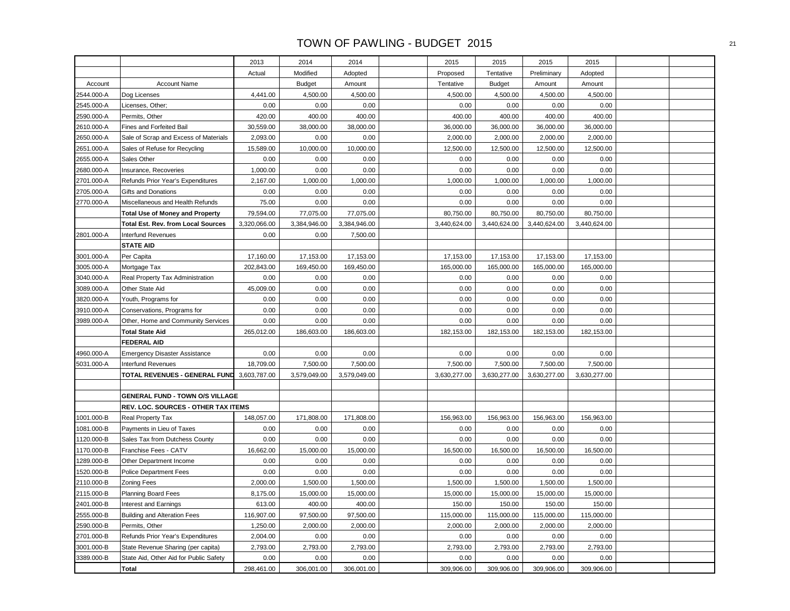|            |                                            | 2013         | 2014          | 2014         | 2015         | 2015          | 2015         | 2015         |  |
|------------|--------------------------------------------|--------------|---------------|--------------|--------------|---------------|--------------|--------------|--|
|            |                                            | Actual       | Modified      | Adopted      | Proposed     | Tentative     | Preliminary  | Adopted      |  |
| Account    | <b>Account Name</b>                        |              | <b>Budget</b> | Amount       | Tentative    | <b>Budget</b> | Amount       | Amount       |  |
| 2544.000-A | Dog Licenses                               | 4,441.00     | 4,500.00      | 4,500.00     | 4,500.00     | 4,500.00      | 4,500.00     | 4,500.00     |  |
| 2545.000-A | Licenses, Other;                           | 0.00         | 0.00          | 0.00         | 0.00         | 0.00          | 0.00         | 0.00         |  |
| 2590.000-A | Permits, Other                             | 420.00       | 400.00        | 400.00       | 400.00       | 400.00        | 400.00       | 400.00       |  |
| 2610.000-A | Fines and Forfeited Bail                   | 30,559.00    | 38,000.00     | 38,000.00    | 36,000.00    | 36,000.00     | 36,000.00    | 36,000.00    |  |
| 2650.000-A | Sale of Scrap and Excess of Materials      | 2,093.00     | 0.00          | 0.00         | 2,000.00     | 2,000.00      | 2,000.00     | 2,000.00     |  |
| 2651.000-A | Sales of Refuse for Recycling              | 15,589.00    | 10,000.00     | 10,000.00    | 12,500.00    | 12,500.00     | 12,500.00    | 12,500.00    |  |
| 2655.000-A | Sales Other                                | 0.00         | 0.00          | 0.00         | 0.00         | 0.00          | 0.00         | 0.00         |  |
| 2680.000-A | Insurance, Recoveries                      | 1,000.00     | 0.00          | 0.00         | 0.00         | 0.00          | 0.00         | 0.00         |  |
| 2701.000-A | Refunds Prior Year's Expenditures          | 2,167.00     | 1,000.00      | 1,000.00     | 1,000.00     | 1,000.00      | 1,000.00     | 1,000.00     |  |
| 2705.000-A | Gifts and Donations                        | 0.00         | 0.00          | 0.00         | 0.00         | 0.00          | 0.00         | 0.00         |  |
| 2770.000-A | Miscellaneous and Health Refunds           | 75.00        | 0.00          | 0.00         | 0.00         | 0.00          | 0.00         | 0.00         |  |
|            | <b>Total Use of Money and Property</b>     | 79,594.00    | 77,075.00     | 77,075.00    | 80,750.00    | 80,750.00     | 80,750.00    | 80,750.00    |  |
|            | <b>Total Est. Rev. from Local Sources</b>  | 3,320,066.00 | 3,384,946.00  | 3,384,946.00 | 3,440,624.00 | 3,440,624.00  | 3,440,624.00 | 3,440,624.00 |  |
| 2801.000-A | <b>Interfund Revenues</b>                  | 0.00         | 0.00          | 7,500.00     |              |               |              |              |  |
|            | <b>STATE AID</b>                           |              |               |              |              |               |              |              |  |
| 3001.000-A | Per Capita                                 | 17,160.00    | 17,153.00     | 17,153.00    | 17,153.00    | 17,153.00     | 17,153.00    | 17,153.00    |  |
| 3005.000-A | Mortgage Tax                               | 202,843.00   | 169,450.00    | 169,450.00   | 165,000.00   | 165,000.00    | 165,000.00   | 165,000.00   |  |
| 3040.000-A | Real Property Tax Administration           | 0.00         | 0.00          | 0.00         | 0.00         | 0.00          | 0.00         | 0.00         |  |
| 3089.000-A | Other State Aid                            | 45,009.00    | 0.00          | 0.00         | 0.00         | 0.00          | 0.00         | 0.00         |  |
| 3820.000-A | Youth, Programs for                        | 0.00         | 0.00          | 0.00         | 0.00         | 0.00          | 0.00         | 0.00         |  |
| 3910.000-A | Conservations, Programs for                | 0.00         | 0.00          | 0.00         | 0.00         | 0.00          | 0.00         | 0.00         |  |
| 3989.000-A | Other, Home and Community Services         | 0.00         | 0.00          | 0.00         | 0.00         | 0.00          | 0.00         | 0.00         |  |
|            | <b>Total State Aid</b>                     | 265,012.00   | 186,603.00    | 186,603.00   | 182,153.00   | 182,153.00    | 182,153.00   | 182,153.00   |  |
|            | <b>FEDERAL AID</b>                         |              |               |              |              |               |              |              |  |
| 4960.000-A | <b>Emergency Disaster Assistance</b>       | 0.00         | 0.00          | 0.00         | 0.00         | 0.00          | 0.00         | 0.00         |  |
| 5031.000-A | <b>Interfund Revenues</b>                  | 18,709.00    | 7,500.00      | 7,500.00     | 7,500.00     | 7,500.00      | 7,500.00     | 7,500.00     |  |
|            | TOTAL REVENUES - GENERAL FUND 3,603,787.00 |              | 3,579,049.00  | 3,579,049.00 | 3,630,277.00 | 3,630,277.00  | 3,630,277.00 | 3,630,277.00 |  |
|            |                                            |              |               |              |              |               |              |              |  |
|            | <b>GENERAL FUND - TOWN O/S VILLAGE</b>     |              |               |              |              |               |              |              |  |
|            | REV. LOC. SOURCES - OTHER TAX ITEMS        |              |               |              |              |               |              |              |  |
| 1001.000-B | Real Property Tax                          | 148,057.00   | 171,808.00    | 171,808.00   | 156,963.00   | 156,963.00    | 156,963.00   | 156,963.00   |  |
| 1081.000-B | Payments in Lieu of Taxes                  | 0.00         | 0.00          | 0.00         | 0.00         | 0.00          | 0.00         | 0.00         |  |
| 1120.000-B | Sales Tax from Dutchess County             | 0.00         | 0.00          | 0.00         | 0.00         | 0.00          | 0.00         | 0.00         |  |
| 1170.000-B | Franchise Fees - CATV                      | 16,662.00    | 15,000.00     | 15,000.00    | 16,500.00    | 16,500.00     | 16,500.00    | 16,500.00    |  |
| 1289.000-B | Other Department Income                    | 0.00         | 0.00          | 0.00         | 0.00         | 0.00          | 0.00         | 0.00         |  |
| 1520.000-B | <b>Police Department Fees</b>              | 0.00         | 0.00          | 0.00         | 0.00         | 0.00          | 0.00         | 0.00         |  |
| 2110.000-B | <b>Zoning Fees</b>                         | 2,000.00     | 1,500.00      | 1,500.00     | 1,500.00     | 1,500.00      | 1,500.00     | 1,500.00     |  |
| 2115.000-B | <b>Planning Board Fees</b>                 | 8,175.00     | 15,000.00     | 15,000.00    | 15,000.00    | 15,000.00     | 15,000.00    | 15,000.00    |  |
| 2401.000-B | Interest and Earnings                      | 613.00       | 400.00        | 400.00       | 150.00       | 150.00        | 150.00       | 150.00       |  |
| 2555.000-B | <b>Building and Alteration Fees</b>        | 116,907.00   | 97,500.00     | 97,500.00    | 115,000.00   | 115,000.00    | 115,000.00   | 115,000.00   |  |
| 2590.000-B | Permits, Other                             | 1,250.00     | 2,000.00      | 2,000.00     | 2,000.00     | 2,000.00      | 2,000.00     | 2,000.00     |  |
| 2701.000-B | Refunds Prior Year's Expenditures          | 2,004.00     | 0.00          | 0.00         | 0.00         | 0.00          | 0.00         | 0.00         |  |
| 3001.000-B | State Revenue Sharing (per capita)         | 2,793.00     | 2,793.00      | 2,793.00     | 2,793.00     | 2,793.00      | 2,793.00     | 2,793.00     |  |
| 3389.000-B | State Aid, Other Aid for Public Safety     | 0.00         | 0.00          | 0.00         | 0.00         | 0.00          | 0.00         | 0.00         |  |
|            | Total                                      | 298,461.00   | 306,001.00    | 306,001.00   | 309,906.00   | 309,906.00    | 309,906.00   | 309,906.00   |  |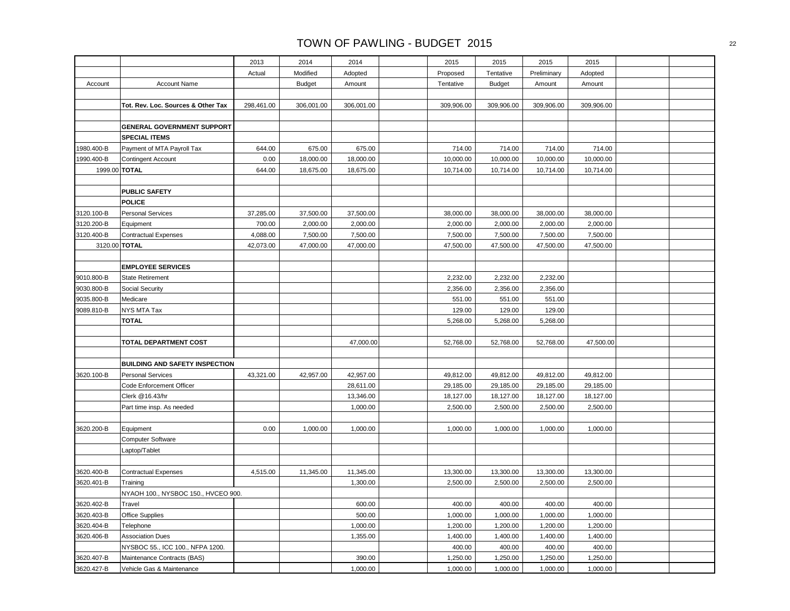|               |                                       | 2013       | 2014          | 2014       | 2015       | 2015          | 2015        | 2015       |  |
|---------------|---------------------------------------|------------|---------------|------------|------------|---------------|-------------|------------|--|
|               |                                       | Actual     | Modified      | Adopted    | Proposed   | Tentative     | Preliminary | Adopted    |  |
| Account       | <b>Account Name</b>                   |            | <b>Budget</b> | Amount     | Tentative  | <b>Budget</b> | Amount      | Amount     |  |
|               |                                       |            |               |            |            |               |             |            |  |
|               | Tot. Rev. Loc. Sources & Other Tax    | 298,461.00 | 306,001.00    | 306,001.00 | 309,906.00 | 309,906.00    | 309,906.00  | 309,906.00 |  |
|               |                                       |            |               |            |            |               |             |            |  |
|               | <b>GENERAL GOVERNMENT SUPPORT</b>     |            |               |            |            |               |             |            |  |
|               | <b>SPECIAL ITEMS</b>                  |            |               |            |            |               |             |            |  |
| 1980.400-B    | Payment of MTA Payroll Tax            | 644.00     | 675.00        | 675.00     | 714.00     | 714.00        | 714.00      | 714.00     |  |
| 1990.400-B    | <b>Contingent Account</b>             | 0.00       | 18,000.00     | 18,000.00  | 10,000.00  | 10,000.00     | 10,000.00   | 10,000.00  |  |
|               | 1999.00 TOTAL                         | 644.00     | 18,675.00     | 18,675.00  | 10,714.00  | 10,714.00     | 10,714.00   | 10,714.00  |  |
|               |                                       |            |               |            |            |               |             |            |  |
|               | <b>PUBLIC SAFETY</b>                  |            |               |            |            |               |             |            |  |
|               | <b>POLICE</b>                         |            |               |            |            |               |             |            |  |
| 3120.100-B    | <b>Personal Services</b>              | 37,285.00  | 37,500.00     | 37,500.00  | 38,000.00  | 38,000.00     | 38,000.00   | 38,000.00  |  |
| 3120.200-B    | Equipment                             | 700.00     | 2,000.00      | 2,000.00   | 2,000.00   | 2,000.00      | 2,000.00    | 2,000.00   |  |
| 3120.400-B    | <b>Contractual Expenses</b>           | 4,088.00   | 7,500.00      | 7,500.00   | 7,500.00   | 7,500.00      | 7,500.00    | 7,500.00   |  |
| 3120.00 TOTAL |                                       | 42,073.00  | 47,000.00     | 47,000.00  | 47,500.00  | 47,500.00     | 47,500.00   | 47,500.00  |  |
|               |                                       |            |               |            |            |               |             |            |  |
|               | <b>EMPLOYEE SERVICES</b>              |            |               |            |            |               |             |            |  |
| 9010.800-B    | State Retirement                      |            |               |            | 2,232.00   | 2,232.00      | 2,232.00    |            |  |
| 9030.800-B    | Social Security                       |            |               |            | 2,356.00   | 2,356.00      | 2,356.00    |            |  |
| 9035.800-B    | Medicare                              |            |               |            | 551.00     | 551.00        | 551.00      |            |  |
| 9089.810-B    | NYS MTA Tax                           |            |               |            | 129.00     | 129.00        | 129.00      |            |  |
|               | <b>TOTAL</b>                          |            |               |            | 5,268.00   | 5,268.00      | 5,268.00    |            |  |
|               |                                       |            |               |            |            |               |             |            |  |
|               | <b>TOTAL DEPARTMENT COST</b>          |            |               | 47,000.00  | 52,768.00  | 52,768.00     | 52,768.00   | 47,500.00  |  |
|               |                                       |            |               |            |            |               |             |            |  |
|               | <b>BUILDING AND SAFETY INSPECTION</b> |            |               |            |            |               |             |            |  |
| 3620.100-B    | <b>Personal Services</b>              | 43,321.00  | 42,957.00     | 42,957.00  | 49,812.00  | 49,812.00     | 49,812.00   | 49,812.00  |  |
|               | Code Enforcement Officer              |            |               | 28,611.00  | 29,185.00  | 29,185.00     | 29,185.00   | 29,185.00  |  |
|               | Clerk @16.43/hr                       |            |               | 13,346.00  | 18,127.00  | 18,127.00     | 18,127.00   | 18,127.00  |  |
|               | Part time insp. As needed             |            |               | 1,000.00   | 2,500.00   | 2,500.00      | 2,500.00    | 2,500.00   |  |
|               |                                       |            |               |            |            |               |             |            |  |
| 3620.200-B    | Equipment                             | 0.00       | 1,000.00      | 1,000.00   | 1,000.00   | 1,000.00      | 1,000.00    | 1,000.00   |  |
|               | <b>Computer Software</b>              |            |               |            |            |               |             |            |  |
|               | Laptop/Tablet                         |            |               |            |            |               |             |            |  |
|               |                                       |            |               |            |            |               |             |            |  |
| 3620.400-B    | <b>Contractual Expenses</b>           | 4,515.00   | 11,345.00     | 11,345.00  | 13,300.00  | 13,300.00     | 13,300.00   | 13,300.00  |  |
| 3620.401-B    | Training                              |            |               | 1,300.00   | 2,500.00   | 2,500.00      | 2,500.00    | 2,500.00   |  |
|               | NYAOH 100., NYSBOC 150., HVCEO 900.   |            |               |            |            |               |             |            |  |
| 3620.402-B    | Travel                                |            |               | 600.00     | 400.00     | 400.00        | 400.00      | 400.00     |  |
| 3620.403-B    | <b>Office Supplies</b>                |            |               | 500.00     | 1,000.00   | 1,000.00      | 1,000.00    | 1,000.00   |  |
| 3620.404-B    | Telephone                             |            |               | 1,000.00   | 1,200.00   | 1,200.00      | 1,200.00    | 1,200.00   |  |
| 3620.406-B    | <b>Association Dues</b>               |            |               | 1,355.00   | 1,400.00   | 1,400.00      | 1,400.00    | 1,400.00   |  |
|               | NYSBOC 55., ICC 100., NFPA 1200.      |            |               |            | 400.00     | 400.00        | 400.00      | 400.00     |  |
| 3620.407-B    | Maintenance Contracts (BAS)           |            |               | 390.00     | 1,250.00   | 1,250.00      | 1,250.00    | 1,250.00   |  |
| 3620.427-B    | Vehicle Gas & Maintenance             |            |               | 1,000.00   | 1,000.00   | 1,000.00      | 1,000.00    | 1,000.00   |  |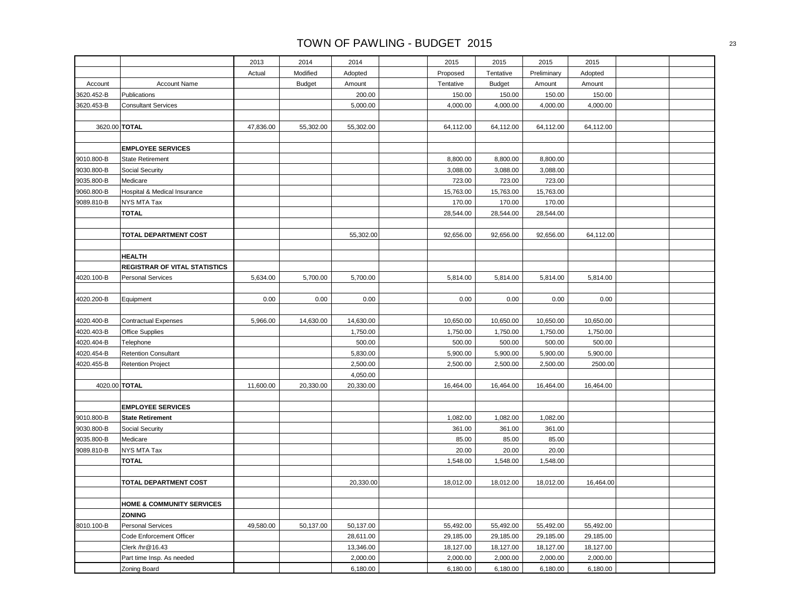|               |                                      | 2013      | 2014          | 2014      | 2015      | 2015          | 2015        | 2015      |  |
|---------------|--------------------------------------|-----------|---------------|-----------|-----------|---------------|-------------|-----------|--|
|               |                                      | Actual    | Modified      | Adopted   | Proposed  | Tentative     | Preliminary | Adopted   |  |
| Account       | <b>Account Name</b>                  |           | <b>Budget</b> | Amount    | Tentative | <b>Budget</b> | Amount      | Amount    |  |
| 3620.452-B    | Publications                         |           |               | 200.00    | 150.00    | 150.00        | 150.00      | 150.00    |  |
| 3620.453-B    | <b>Consultant Services</b>           |           |               | 5,000.00  | 4,000.00  | 4,000.00      | 4,000.00    | 4,000.00  |  |
|               |                                      |           |               |           |           |               |             |           |  |
| 3620.00 TOTAL |                                      | 47,836.00 | 55,302.00     | 55,302.00 | 64,112.00 | 64,112.00     | 64,112.00   | 64,112.00 |  |
|               |                                      |           |               |           |           |               |             |           |  |
|               | <b>EMPLOYEE SERVICES</b>             |           |               |           |           |               |             |           |  |
| 9010.800-B    | <b>State Retirement</b>              |           |               |           | 8,800.00  | 8,800.00      | 8,800.00    |           |  |
| 9030.800-B    | Social Security                      |           |               |           | 3,088.00  | 3,088.00      | 3,088.00    |           |  |
| 9035.800-B    | Medicare                             |           |               |           | 723.00    | 723.00        | 723.00      |           |  |
| 9060.800-B    | Hospital & Medical Insurance         |           |               |           | 15,763.00 | 15,763.00     | 15,763.00   |           |  |
| 9089.810-B    | NYS MTA Tax                          |           |               |           | 170.00    | 170.00        | 170.00      |           |  |
|               | <b>TOTAL</b>                         |           |               |           | 28,544.00 | 28,544.00     | 28,544.00   |           |  |
|               |                                      |           |               |           |           |               |             |           |  |
|               | TOTAL DEPARTMENT COST                |           |               | 55,302.00 | 92,656.00 | 92,656.00     | 92,656.00   | 64,112.00 |  |
|               |                                      |           |               |           |           |               |             |           |  |
|               | <b>HEALTH</b>                        |           |               |           |           |               |             |           |  |
|               | <b>REGISTRAR OF VITAL STATISTICS</b> |           |               |           |           |               |             |           |  |
| 4020.100-B    | <b>Personal Services</b>             | 5,634.00  | 5,700.00      | 5,700.00  | 5,814.00  | 5,814.00      | 5,814.00    | 5,814.00  |  |
|               |                                      |           |               |           |           |               |             |           |  |
| 4020.200-B    | Equipment                            | 0.00      | 0.00          | 0.00      | 0.00      | 0.00          | 0.00        | 0.00      |  |
|               |                                      |           |               |           |           |               |             |           |  |
| 4020.400-B    | <b>Contractual Expenses</b>          | 5,966.00  | 14,630.00     | 14,630.00 | 10,650.00 | 10,650.00     | 10,650.00   | 10,650.00 |  |
| 4020.403-B    | <b>Office Supplies</b>               |           |               | 1,750.00  | 1,750.00  | 1,750.00      | 1,750.00    | 1,750.00  |  |
| 4020.404-B    | Telephone                            |           |               | 500.00    | 500.00    | 500.00        | 500.00      | 500.00    |  |
| 4020.454-B    | <b>Retention Consultant</b>          |           |               | 5,830.00  | 5,900.00  | 5,900.00      | 5,900.00    | 5,900.00  |  |
| 4020.455-B    | <b>Retention Project</b>             |           |               | 2,500.00  | 2,500.00  | 2,500.00      | 2,500.00    | 2500.00   |  |
|               |                                      |           |               | 4,050.00  |           |               |             |           |  |
| 4020.00 TOTAL |                                      | 11,600.00 | 20,330.00     | 20,330.00 | 16,464.00 | 16,464.00     | 16,464.00   | 16,464.00 |  |
|               |                                      |           |               |           |           |               |             |           |  |
|               | <b>EMPLOYEE SERVICES</b>             |           |               |           |           |               |             |           |  |
| 9010.800-B    | <b>State Retirement</b>              |           |               |           | 1,082.00  | 1,082.00      | 1,082.00    |           |  |
| 9030.800-B    | Social Security                      |           |               |           | 361.00    | 361.00        | 361.00      |           |  |
| 9035.800-B    | Medicare                             |           |               |           | 85.00     | 85.00         | 85.00       |           |  |
| 9089.810-B    | NYS MTA Tax                          |           |               |           | 20.00     | 20.00         | 20.00       |           |  |
|               | <b>TOTAL</b>                         |           |               |           | 1,548.00  | 1,548.00      | 1,548.00    |           |  |
|               |                                      |           |               |           |           |               |             |           |  |
|               | TOTAL DEPARTMENT COST                |           |               | 20,330.00 | 18,012.00 | 18,012.00     | 18,012.00   | 16,464.00 |  |
|               |                                      |           |               |           |           |               |             |           |  |
|               | <b>HOME &amp; COMMUNITY SERVICES</b> |           |               |           |           |               |             |           |  |
|               | <b>ZONING</b>                        |           |               |           |           |               |             |           |  |
| 8010.100-B    | <b>Personal Services</b>             | 49,580.00 | 50,137.00     | 50,137.00 | 55,492.00 | 55,492.00     | 55,492.00   | 55,492.00 |  |
|               | Code Enforcement Officer             |           |               | 28,611.00 | 29,185.00 | 29,185.00     | 29,185.00   | 29,185.00 |  |
|               | Clerk /hr@16.43                      |           |               | 13,346.00 | 18,127.00 | 18,127.00     | 18,127.00   | 18,127.00 |  |
|               | Part time Insp. As needed            |           |               | 2,000.00  | 2,000.00  | 2,000.00      | 2,000.00    | 2,000.00  |  |
|               | Zoning Board                         |           |               | 6,180.00  | 6,180.00  | 6,180.00      | 6,180.00    | 6,180.00  |  |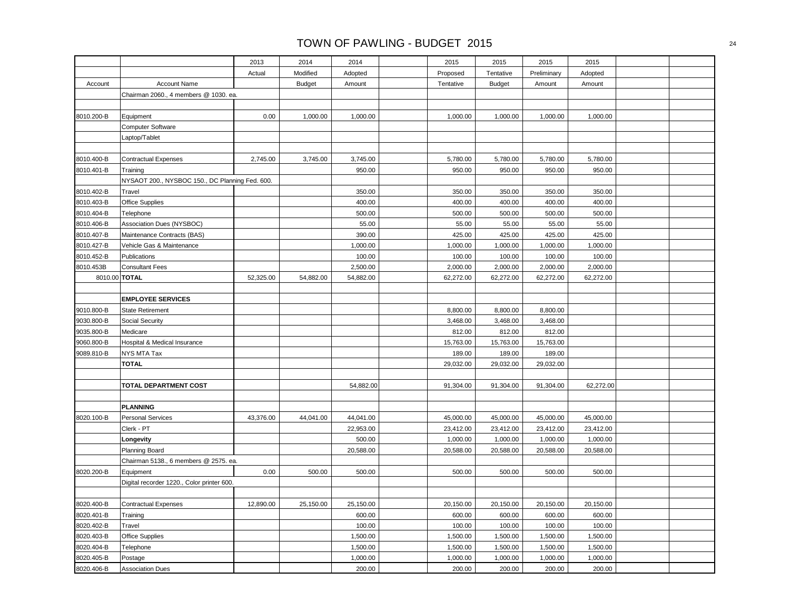|            |                                                 | 2013      | 2014          | 2014      | 2015      | 2015          | 2015        | 2015      |  |
|------------|-------------------------------------------------|-----------|---------------|-----------|-----------|---------------|-------------|-----------|--|
|            |                                                 | Actual    | Modified      | Adopted   | Proposed  | Tentative     | Preliminary | Adopted   |  |
| Account    | <b>Account Name</b>                             |           | <b>Budget</b> | Amount    | Tentative | <b>Budget</b> | Amount      | Amount    |  |
|            | Chairman 2060., 4 members @ 1030. ea.           |           |               |           |           |               |             |           |  |
|            |                                                 |           |               |           |           |               |             |           |  |
| 8010.200-B | Equipment                                       | 0.00      | 1,000.00      | 1,000.00  | 1,000.00  | 1,000.00      | 1,000.00    | 1,000.00  |  |
|            | <b>Computer Software</b>                        |           |               |           |           |               |             |           |  |
|            | Laptop/Tablet                                   |           |               |           |           |               |             |           |  |
|            |                                                 |           |               |           |           |               |             |           |  |
| 8010.400-B | <b>Contractual Expenses</b>                     | 2,745.00  | 3,745.00      | 3,745.00  | 5,780.00  | 5,780.00      | 5,780.00    | 5,780.00  |  |
| 8010.401-B | Training                                        |           |               | 950.00    | 950.00    | 950.00        | 950.00      | 950.00    |  |
|            | NYSAOT 200., NYSBOC 150., DC Planning Fed. 600. |           |               |           |           |               |             |           |  |
| 8010.402-B | Travel                                          |           |               | 350.00    | 350.00    | 350.00        | 350.00      | 350.00    |  |
| 8010.403-B | Office Supplies                                 |           |               | 400.00    | 400.00    | 400.00        | 400.00      | 400.00    |  |
| 8010.404-B | Telephone                                       |           |               | 500.00    | 500.00    | 500.00        | 500.00      | 500.00    |  |
| 8010.406-B | Association Dues (NYSBOC)                       |           |               | 55.00     | 55.00     | 55.00         | 55.00       | 55.00     |  |
| 8010.407-B | Maintenance Contracts (BAS)                     |           |               | 390.00    | 425.00    | 425.00        | 425.00      | 425.00    |  |
| 8010.427-B | Vehicle Gas & Maintenance                       |           |               | 1,000.00  | 1,000.00  | 1,000.00      | 1,000.00    | 1,000.00  |  |
| 8010.452-B | Publications                                    |           |               | 100.00    | 100.00    | 100.00        | 100.00      | 100.00    |  |
| 8010.453B  | <b>Consultant Fees</b>                          |           |               | 2,500.00  | 2,000.00  | 2,000.00      | 2,000.00    | 2,000.00  |  |
|            | 8010.00 TOTAL                                   | 52,325.00 | 54,882.00     | 54,882.00 | 62,272.00 | 62,272.00     | 62,272.00   | 62,272.00 |  |
|            |                                                 |           |               |           |           |               |             |           |  |
|            | <b>EMPLOYEE SERVICES</b>                        |           |               |           |           |               |             |           |  |
| 9010.800-B | <b>State Retirement</b>                         |           |               |           | 8,800.00  | 8,800.00      | 8,800.00    |           |  |
| 9030.800-B | Social Security                                 |           |               |           | 3,468.00  | 3,468.00      | 3,468.00    |           |  |
| 9035.800-B | Medicare                                        |           |               |           | 812.00    | 812.00        | 812.00      |           |  |
| 9060.800-B | Hospital & Medical Insurance                    |           |               |           | 15,763.00 | 15,763.00     | 15,763.00   |           |  |
| 9089.810-B | NYS MTA Tax                                     |           |               |           | 189.00    | 189.00        | 189.00      |           |  |
|            | <b>TOTAL</b>                                    |           |               |           | 29,032.00 | 29,032.00     | 29,032.00   |           |  |
|            |                                                 |           |               |           |           |               |             |           |  |
|            | TOTAL DEPARTMENT COST                           |           |               | 54,882.00 | 91,304.00 | 91,304.00     | 91,304.00   | 62,272.00 |  |
|            |                                                 |           |               |           |           |               |             |           |  |
|            | <b>PLANNING</b>                                 |           |               |           |           |               |             |           |  |
| 8020.100-B | <b>Personal Services</b>                        | 43,376.00 | 44,041.00     | 44,041.00 | 45,000.00 | 45,000.00     | 45,000.00   | 45,000.00 |  |
|            | Clerk - PT                                      |           |               | 22,953.00 | 23,412.00 | 23,412.00     | 23,412.00   | 23,412.00 |  |
|            | Longevity                                       |           |               | 500.00    | 1,000.00  | 1,000.00      | 1,000.00    | 1,000.00  |  |
|            | <b>Planning Board</b>                           |           |               | 20,588.00 | 20,588.00 | 20,588.00     | 20,588.00   | 20,588.00 |  |
|            | Chairman 5138., 6 members @ 2575. ea.           |           |               |           |           |               |             |           |  |
| 8020.200-B | Equipment                                       | 0.00      | 500.00        | 500.00    | 500.00    | 500.00        | 500.00      | 500.00    |  |
|            | Digital recorder 1220., Color printer 600.      |           |               |           |           |               |             |           |  |
|            |                                                 |           |               |           |           |               |             |           |  |
| 8020.400-B | <b>Contractual Expenses</b>                     | 12,890.00 | 25,150.00     | 25,150.00 | 20,150.00 | 20,150.00     | 20,150.00   | 20,150.00 |  |
| 8020.401-B | Training                                        |           |               | 600.00    | 600.00    | 600.00        | 600.00      | 600.00    |  |
| 8020.402-B | Travel                                          |           |               | 100.00    | 100.00    | 100.00        | 100.00      | 100.00    |  |
| 8020.403-B | <b>Office Supplies</b>                          |           |               | 1,500.00  | 1,500.00  | 1,500.00      | 1,500.00    | 1,500.00  |  |
| 8020.404-B | Telephone                                       |           |               | 1,500.00  | 1,500.00  | 1,500.00      | 1,500.00    | 1,500.00  |  |
| 8020.405-B | Postage                                         |           |               | 1,000.00  | 1,000.00  | 1,000.00      | 1,000.00    | 1,000.00  |  |
| 8020.406-B | <b>Association Dues</b>                         |           |               | 200.00    | 200.00    | 200.00        | 200.00      | 200.00    |  |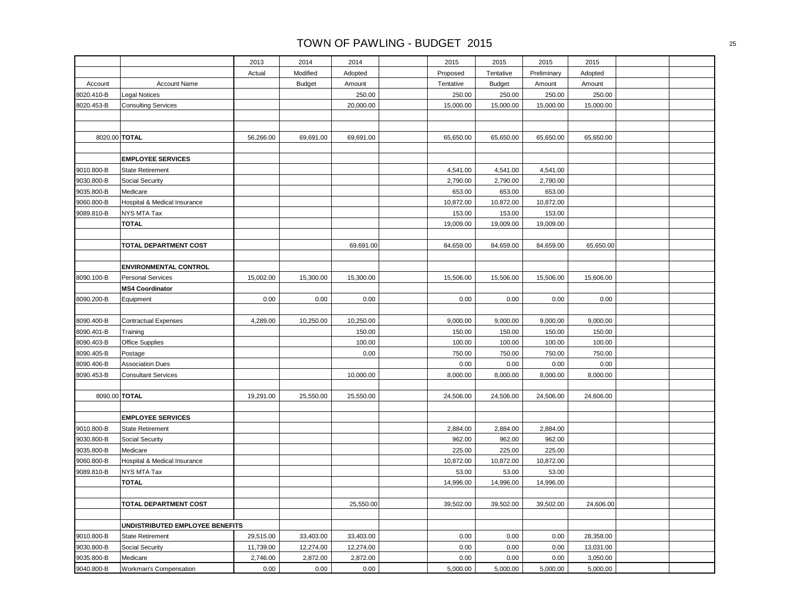|            |                                 | 2013      | 2014          | 2014      | 2015      | 2015          | 2015        | 2015      |  |
|------------|---------------------------------|-----------|---------------|-----------|-----------|---------------|-------------|-----------|--|
|            |                                 | Actual    | Modified      | Adopted   | Proposed  | Tentative     | Preliminary | Adopted   |  |
| Account    | <b>Account Name</b>             |           | <b>Budget</b> | Amount    | Tentative | <b>Budget</b> | Amount      | Amount    |  |
| 8020.410-B | <b>Legal Notices</b>            |           |               | 250.00    | 250.00    | 250.00        | 250.00      | 250.00    |  |
| 8020.453-B | <b>Consulting Services</b>      |           |               | 20,000.00 | 15,000.00 | 15,000.00     | 15,000.00   | 15,000.00 |  |
|            |                                 |           |               |           |           |               |             |           |  |
|            |                                 |           |               |           |           |               |             |           |  |
|            | 8020.00 TOTAL                   | 56,266.00 | 69,691.00     | 69,691.00 | 65,650.00 | 65,650.00     | 65,650.00   | 65,650.00 |  |
|            |                                 |           |               |           |           |               |             |           |  |
|            | <b>EMPLOYEE SERVICES</b>        |           |               |           |           |               |             |           |  |
| 9010.800-B | <b>State Retirement</b>         |           |               |           | 4,541.00  | 4,541.00      | 4,541.00    |           |  |
| 9030.800-B | Social Security                 |           |               |           | 2,790.00  | 2,790.00      | 2,790.00    |           |  |
| 9035.800-B | Medicare                        |           |               |           | 653.00    | 653.00        | 653.00      |           |  |
| 9060.800-B | Hospital & Medical Insurance    |           |               |           | 10,872.00 | 10,872.00     | 10,872.00   |           |  |
| 9089.810-B | NYS MTA Tax                     |           |               |           | 153.00    | 153.00        | 153.00      |           |  |
|            | <b>TOTAL</b>                    |           |               |           | 19,009.00 | 19,009.00     | 19,009.00   |           |  |
|            |                                 |           |               |           |           |               |             |           |  |
|            | <b>TOTAL DEPARTMENT COST</b>    |           |               | 69,691.00 | 84,659.00 | 84,659.00     | 84,659.00   | 65,650.00 |  |
|            |                                 |           |               |           |           |               |             |           |  |
|            | <b>ENVIRONMENTAL CONTROL</b>    |           |               |           |           |               |             |           |  |
| 8090.100-B | <b>Personal Services</b>        | 15,002.00 | 15,300.00     | 15,300.00 | 15,506.00 | 15,506.00     | 15,506.00   | 15,606.00 |  |
|            | <b>MS4 Coordinator</b>          |           |               |           |           |               |             |           |  |
| 8090.200-B | Equipment                       | 0.00      | 0.00          | 0.00      | 0.00      | 0.00          | 0.00        | 0.00      |  |
|            |                                 |           |               |           |           |               |             |           |  |
| 8090.400-B | <b>Contractual Expenses</b>     | 4,289.00  | 10,250.00     | 10,250.00 | 9,000.00  | 9,000.00      | 9,000.00    | 9,000.00  |  |
| 8090.401-B | Training                        |           |               | 150.00    | 150.00    | 150.00        | 150.00      | 150.00    |  |
| 8090.403-B | Office Supplies                 |           |               | 100.00    | 100.00    | 100.00        | 100.00      | 100.00    |  |
| 8090.405-B | Postage                         |           |               | 0.00      | 750.00    | 750.00        | 750.00      | 750.00    |  |
| 8090.406-B | <b>Association Dues</b>         |           |               |           | 0.00      | 0.00          | 0.00        | 0.00      |  |
| 8090.453-B | <b>Consultant Services</b>      |           |               | 10,000.00 | 8,000.00  | 8,000.00      | 8,000.00    | 8,000.00  |  |
|            |                                 |           |               |           |           |               |             |           |  |
|            | 8090.00 TOTAL                   | 19,291.00 | 25,550.00     | 25,550.00 | 24,506.00 | 24,506.00     | 24,506.00   | 24,606.00 |  |
|            |                                 |           |               |           |           |               |             |           |  |
|            | <b>EMPLOYEE SERVICES</b>        |           |               |           |           |               |             |           |  |
| 9010.800-B | <b>State Retirement</b>         |           |               |           | 2,884.00  | 2,884.00      | 2,884.00    |           |  |
| 9030.800-B | Social Security                 |           |               |           | 962.00    | 962.00        | 962.00      |           |  |
| 9035.800-B | Medicare                        |           |               |           | 225.00    | 225.00        | 225.00      |           |  |
| 9060.800-B | Hospital & Medical Insurance    |           |               |           | 10,872.00 | 10,872.00     | 10,872.00   |           |  |
| 9089.810-B | NYS MTA Tax<br><b>TOTAL</b>     |           |               |           | 53.00     | 53.00         | 53.00       |           |  |
|            |                                 |           |               |           | 14,996.00 | 14,996.00     | 14,996.00   |           |  |
|            |                                 |           |               |           |           |               |             |           |  |
|            | TOTAL DEPARTMENT COST           |           |               | 25,550.00 | 39,502.00 | 39,502.00     | 39,502.00   | 24,606.00 |  |
|            | UNDISTRIBUTED EMPLOYEE BENEFITS |           |               |           |           |               |             |           |  |
| 9010.800-B | <b>State Retirement</b>         | 29,515.00 | 33,403.00     | 33,403.00 | 0.00      | 0.00          | 0.00        | 28,358.00 |  |
| 9030.800-B | Social Security                 | 11,739.00 | 12,274.00     | 12,274.00 | 0.00      | 0.00          | 0.00        | 13,031.00 |  |
| 9035.800-B | Medicare                        | 2,746.00  | 2,872.00      | 2,872.00  | 0.00      | 0.00          | 0.00        | 3,050.00  |  |
| 9040.800-B | Workman's Compensation          | 0.00      | 0.00          | 0.00      | 5,000.00  | 5,000.00      | 5,000.00    | 5,000.00  |  |
|            |                                 |           |               |           |           |               |             |           |  |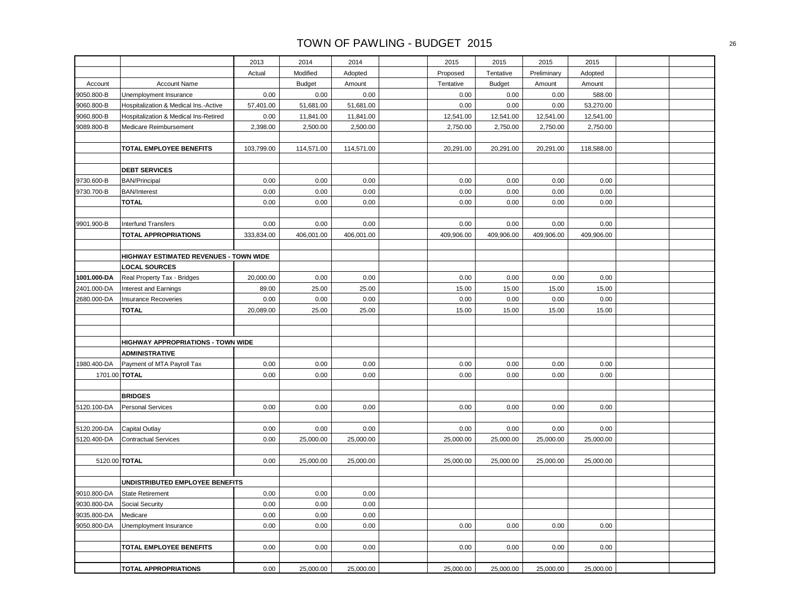|                            |                                        | 2013         | 2014          | 2014         | 2015       | 2015          | 2015        | 2015       |  |
|----------------------------|----------------------------------------|--------------|---------------|--------------|------------|---------------|-------------|------------|--|
|                            |                                        | Actual       | Modified      | Adopted      | Proposed   | Tentative     | Preliminary | Adopted    |  |
| Account                    | <b>Account Name</b>                    |              | <b>Budget</b> | Amount       | Tentative  | <b>Budget</b> | Amount      | Amount     |  |
| 9050.800-B                 | Unemployment Insurance                 | 0.00         | 0.00          | 0.00         | 0.00       | 0.00          | 0.00        | 588.00     |  |
| 9060.800-B                 | Hospitalization & Medical Ins.-Active  | 57,401.00    | 51,681.00     | 51,681.00    | 0.00       | 0.00          | 0.00        | 53,270.00  |  |
| 9060.800-B                 | Hospitalization & Medical Ins-Retired  | 0.00         | 11,841.00     | 11,841.00    | 12,541.00  | 12,541.00     | 12,541.00   | 12,541.00  |  |
| 9089.800-B                 | Medicare Reimbursement                 | 2,398.00     | 2,500.00      | 2,500.00     | 2,750.00   | 2,750.00      | 2,750.00    | 2,750.00   |  |
|                            |                                        |              |               |              |            |               |             |            |  |
|                            | TOTAL EMPLOYEE BENEFITS                | 103,799.00   | 114,571.00    | 114,571.00   | 20,291.00  | 20,291.00     | 20,291.00   | 118,588.00 |  |
|                            |                                        |              |               |              |            |               |             |            |  |
|                            | <b>DEBT SERVICES</b>                   |              |               |              |            |               |             |            |  |
| 9730.600-B                 | <b>BAN/Principal</b>                   | 0.00         | 0.00          | 0.00         | 0.00       | 0.00          | 0.00        | 0.00       |  |
| 9730.700-B                 | <b>BAN/Interest</b>                    | 0.00         | 0.00          | 0.00         | 0.00       | 0.00          | 0.00        | 0.00       |  |
|                            | <b>TOTAL</b>                           | 0.00         | 0.00          | 0.00         | 0.00       | 0.00          | 0.00        | 0.00       |  |
|                            |                                        |              |               |              |            |               |             |            |  |
| 9901.900-B                 | <b>Interfund Transfers</b>             | 0.00         | 0.00          | 0.00         | 0.00       | 0.00          | 0.00        | 0.00       |  |
|                            | <b>TOTAL APPROPRIATIONS</b>            | 333,834.00   | 406,001.00    | 406,001.00   | 409,906.00 | 409,906.00    | 409,906.00  | 409,906.00 |  |
|                            |                                        |              |               |              |            |               |             |            |  |
|                            | HIGHWAY ESTIMATED REVENUES - TOWN WIDE |              |               |              |            |               |             |            |  |
|                            | <b>LOCAL SOURCES</b>                   |              |               |              |            |               |             |            |  |
| 1001.000-DA                | Real Property Tax - Bridges            | 20,000.00    | 0.00          | 0.00         | 0.00       | 0.00          | 0.00        | 0.00       |  |
| 2401.000-DA                | Interest and Earnings                  | 89.00        | 25.00         | 25.00        | 15.00      | 15.00         | 15.00       | 15.00      |  |
| 2680.000-DA                | Insurance Recoveries                   | 0.00         | 0.00          | 0.00         | 0.00       | 0.00          | 0.00        | 0.00       |  |
|                            | <b>TOTAL</b>                           | 20,089.00    | 25.00         | 25.00        | 15.00      | 15.00         | 15.00       | 15.00      |  |
|                            |                                        |              |               |              |            |               |             |            |  |
|                            |                                        |              |               |              |            |               |             |            |  |
|                            | HIGHWAY APPROPRIATIONS - TOWN WIDE     |              |               |              |            |               |             |            |  |
|                            | <b>ADMINISTRATIVE</b>                  |              |               |              |            |               |             |            |  |
| 1980.400-DA                | Payment of MTA Payroll Tax             | 0.00         | 0.00          | 0.00         | 0.00       | 0.00          | 0.00        | 0.00       |  |
|                            | 1701.00 TOTAL                          | 0.00         | 0.00          | 0.00         | 0.00       | 0.00          | 0.00        | 0.00       |  |
|                            |                                        |              |               |              |            |               |             |            |  |
|                            | <b>BRIDGES</b>                         |              |               |              |            |               |             |            |  |
| 5120.100-DA                | <b>Personal Services</b>               | 0.00         | 0.00          | 0.00         | 0.00       | 0.00          | 0.00        | 0.00       |  |
|                            |                                        |              |               |              |            |               |             |            |  |
| 5120.200-DA                | <b>Capital Outlay</b>                  | 0.00         | 0.00          | 0.00         | 0.00       | 0.00          | 0.00        | 0.00       |  |
| 5120.400-DA                | <b>Contractual Services</b>            | 0.00         | 25,000.00     | 25,000.00    | 25,000.00  | 25,000.00     | 25,000.00   | 25,000.00  |  |
|                            |                                        |              |               |              |            |               |             |            |  |
|                            | 5120.00 TOTAL                          | 0.00         | 25,000.00     | 25,000.00    | 25,000.00  | 25,000.00     | 25,000.00   | 25,000.00  |  |
|                            |                                        |              |               |              |            |               |             |            |  |
|                            | UNDISTRIBUTED EMPLOYEE BENEFITS        |              |               |              |            |               |             |            |  |
| 9010.800-DA                | <b>State Retirement</b>                | 0.00         | 0.00          | 0.00         |            |               |             |            |  |
| 9030.800-DA                | <b>Social Security</b>                 | 0.00         | 0.00<br>0.00  | 0.00         |            |               |             |            |  |
| 9035.800-DA<br>9050.800-DA | Medicare                               | 0.00<br>0.00 | 0.00          | 0.00<br>0.00 | 0.00       | 0.00          | 0.00        | 0.00       |  |
|                            | Unemployment Insurance                 |              |               |              |            |               |             |            |  |
|                            | TOTAL EMPLOYEE BENEFITS                | 0.00         | 0.00          | 0.00         | 0.00       | 0.00          | 0.00        | 0.00       |  |
|                            |                                        |              |               |              |            |               |             |            |  |
|                            | <b>TOTAL APPROPRIATIONS</b>            | 0.00         | 25,000.00     | 25,000.00    | 25,000.00  | 25,000.00     | 25,000.00   | 25,000.00  |  |
|                            |                                        |              |               |              |            |               |             |            |  |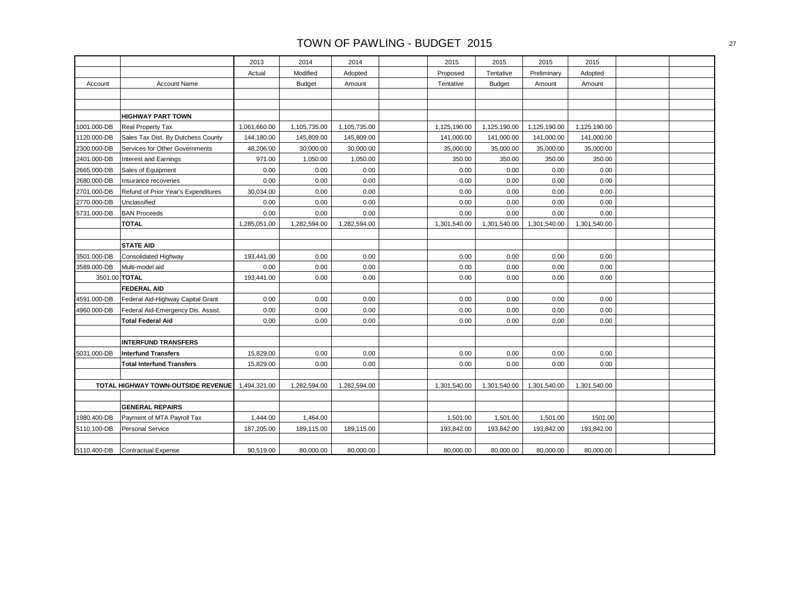|             |                                           | 2013         | 2014          | 2014         | 2015         | 2015          | 2015         | 2015         |  |
|-------------|-------------------------------------------|--------------|---------------|--------------|--------------|---------------|--------------|--------------|--|
|             |                                           | Actual       | Modified      | Adopted      | Proposed     | Tentative     | Preliminary  | Adopted      |  |
| Account     | <b>Account Name</b>                       |              | <b>Budget</b> | Amount       | Tentative    | <b>Budget</b> | Amount       | Amount       |  |
|             |                                           |              |               |              |              |               |              |              |  |
|             |                                           |              |               |              |              |               |              |              |  |
|             | <b>HIGHWAY PART TOWN</b>                  |              |               |              |              |               |              |              |  |
| 1001.000-DB | Real Property Tax                         | 1,061,660.00 | 1,105,735.00  | 1,105,735.00 | 1,125,190.00 | 1,125,190.00  | 1,125,190.00 | 1,125,190.00 |  |
| 1120.000-DB | Sales Tax Dist. By Dutchess County        | 144,180.00   | 145,809.00    | 145,809.00   | 141,000.00   | 141,000.00    | 141,000.00   | 141,000.00   |  |
| 2300.000-DB | Services for Other Governments            | 48,206.00    | 30,000.00     | 30,000.00    | 35,000.00    | 35,000.00     | 35,000.00    | 35,000.00    |  |
| 2401.000-DB | Interest and Earnings                     | 971.00       | 1,050.00      | 1,050.00     | 350.00       | 350.00        | 350.00       | 350.00       |  |
| 2665.000-DB | Sales of Equipment                        | 0.00         | 0.00          | 0.00         | 0.00         | 0.00          | 0.00         | 0.00         |  |
| 2680.000-DB | Insurance recoveries                      | 0.00         | 0.00          | 0.00         | 0.00         | 0.00          | 0.00         | 0.00         |  |
| 2701.000-DB | Refund of Prior Year's Expenditures       | 30,034.00    | 0.00          | 0.00         | 0.00         | 0.00          | 0.00         | 0.00         |  |
| 2770.000-DB | Unclassified                              | 0.00         | 0.00          | 0.00         | 0.00         | 0.00          | 0.00         | 0.00         |  |
| 5731.000-DB | <b>BAN Proceeds</b>                       | 0.00         | 0.00          | 0.00         | 0.00         | 0.00          | 0.00         | 0.00         |  |
|             | <b>TOTAL</b>                              | 1,285,051.00 | 1,282,594.00  | 1,282,594.00 | 1,301,540.00 | 1,301,540.00  | 1,301,540.00 | 1,301,540.00 |  |
|             |                                           |              |               |              |              |               |              |              |  |
|             | <b>STATE AID</b>                          |              |               |              |              |               |              |              |  |
| 3501.000-DB | Consolidated Highway                      | 193,441.00   | 0.00          | 0.00         | 0.00         | 0.00          | 0.00         | 0.00         |  |
| 3589.000-DB | Multi-model aid                           | 0.00         | 0.00          | 0.00         | 0.00         | 0.00          | 0.00         | 0.00         |  |
|             | 3501.00 TOTAL                             | 193,441.00   | 0.00          | 0.00         | 0.00         | 0.00          | 0.00         | 0.00         |  |
|             | <b>FEDERAL AID</b>                        |              |               |              |              |               |              |              |  |
| 4591.000-DB | Federal Aid-Highway Capital Grant         | 0.00         | 0.00          | 0.00         | 0.00         | 0.00          | 0.00         | 0.00         |  |
| 4960.000-DB | Federal Aid-Emergency Dis. Assist.        | 0.00         | 0.00          | 0.00         | 0.00         | 0.00          | 0.00         | 0.00         |  |
|             | <b>Total Federal Aid</b>                  | 0.00         | 0.00          | 0.00         | 0.00         | 0.00          | 0.00         | 0.00         |  |
|             |                                           |              |               |              |              |               |              |              |  |
|             | <b>INTERFUND TRANSFERS</b>                |              |               |              |              |               |              |              |  |
| 5031.000-DB | <b>Interfund Transfers</b>                | 15,829.00    | 0.00          | 0.00         | 0.00         | 0.00          | 0.00         | 0.00         |  |
|             | <b>Total Interfund Transfers</b>          | 15,829.00    | 0.00          | 0.00         | 0.00         | 0.00          | 0.00         | 0.00         |  |
|             |                                           |              |               |              |              |               |              |              |  |
|             | <b>TOTAL HIGHWAY TOWN-OUTSIDE REVENUE</b> | 1,494,321.00 | 1,282,594.00  | 1,282,594.00 | 1,301,540.00 | 1,301,540.00  | 1,301,540.00 | 1,301,540.00 |  |
|             |                                           |              |               |              |              |               |              |              |  |
|             | <b>GENERAL REPAIRS</b>                    |              |               |              |              |               |              |              |  |
| 1980.400-DB | Payment of MTA Payroll Tax                | 1,444.00     | 1,464.00      |              | 1,501.00     | 1,501.00      | 1,501.00     | 1501.00      |  |
| 5110.100-DB | <b>Personal Service</b>                   | 187,205.00   | 189,115.00    | 189,115.00   | 193,842.00   | 193,842.00    | 193,842.00   | 193,842.00   |  |
|             |                                           |              |               |              |              |               |              |              |  |
| 5110.400-DB | <b>Contractual Expense</b>                | 90,519.00    | 80,000.00     | 80,000.00    | 80,000.00    | 80,000.00     | 80,000.00    | 80,000.00    |  |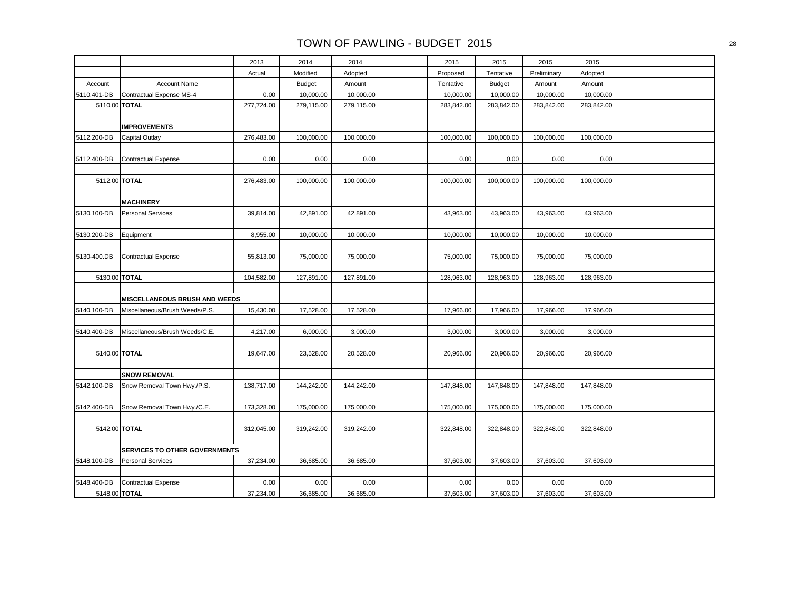|             |                                      | 2013       | 2014          | 2014       | 2015       | 2015          | 2015        | 2015       |  |
|-------------|--------------------------------------|------------|---------------|------------|------------|---------------|-------------|------------|--|
|             |                                      | Actual     | Modified      | Adopted    | Proposed   | Tentative     | Preliminary | Adopted    |  |
| Account     | Account Name                         |            | <b>Budget</b> | Amount     | Tentative  | <b>Budget</b> | Amount      | Amount     |  |
| 5110.401-DB | Contractual Expense MS-4             | 0.00       | 10,000.00     | 10,000.00  | 10,000.00  | 10,000.00     | 10,000.00   | 10,000.00  |  |
|             | 5110.00 TOTAL                        | 277,724.00 | 279,115.00    | 279,115.00 | 283,842.00 | 283,842.00    | 283,842.00  | 283,842.00 |  |
|             |                                      |            |               |            |            |               |             |            |  |
|             | <b>IMPROVEMENTS</b>                  |            |               |            |            |               |             |            |  |
| 5112.200-DB | <b>Capital Outlay</b>                | 276,483.00 | 100,000.00    | 100,000.00 | 100,000.00 | 100,000.00    | 100,000.00  | 100,000.00 |  |
|             |                                      |            |               |            |            |               |             |            |  |
| 5112.400-DB | <b>Contractual Expense</b>           | 0.00       | 0.00          | 0.00       | 0.00       | 0.00          | 0.00        | 0.00       |  |
|             |                                      |            |               |            |            |               |             |            |  |
|             | 5112.00 TOTAL                        | 276,483.00 | 100,000.00    | 100,000.00 | 100,000.00 | 100,000.00    | 100,000.00  | 100,000.00 |  |
|             |                                      |            |               |            |            |               |             |            |  |
|             | <b>MACHINERY</b>                     |            |               |            |            |               |             |            |  |
| 5130.100-DB | <b>Personal Services</b>             | 39,814.00  | 42,891.00     | 42,891.00  | 43,963.00  | 43,963.00     | 43,963.00   | 43,963.00  |  |
|             |                                      |            |               |            |            |               |             |            |  |
| 5130.200-DB | Equipment                            | 8,955.00   | 10,000.00     | 10,000.00  | 10,000.00  | 10,000.00     | 10,000.00   | 10,000.00  |  |
|             |                                      |            |               |            |            |               |             |            |  |
| 5130-400.DB | Contractual Expense                  | 55,813.00  | 75,000.00     | 75,000.00  | 75,000.00  | 75,000.00     | 75,000.00   | 75,000.00  |  |
|             |                                      |            |               |            |            |               |             |            |  |
|             | 5130.00 TOTAL                        | 104,582.00 | 127,891.00    | 127,891.00 | 128,963.00 | 128,963.00    | 128,963.00  | 128,963.00 |  |
|             |                                      |            |               |            |            |               |             |            |  |
|             | MISCELLANEOUS BRUSH AND WEEDS        |            |               |            |            |               |             |            |  |
| 5140.100-DB | Miscellaneous/Brush Weeds/P.S.       | 15,430.00  | 17,528.00     | 17,528.00  | 17,966.00  | 17,966.00     | 17,966.00   | 17,966.00  |  |
|             |                                      |            |               |            |            |               |             |            |  |
| 5140.400-DB | Miscellaneous/Brush Weeds/C.E.       | 4,217.00   | 6,000.00      | 3,000.00   | 3,000.00   | 3,000.00      | 3,000.00    | 3,000.00   |  |
|             |                                      |            |               |            |            |               |             |            |  |
|             | 5140.00 TOTAL                        | 19,647.00  | 23,528.00     | 20,528.00  | 20,966.00  | 20,966.00     | 20,966.00   | 20,966.00  |  |
|             |                                      |            |               |            |            |               |             |            |  |
|             | <b>SNOW REMOVAL</b>                  |            |               |            |            |               |             |            |  |
| 5142.100-DB | Snow Removal Town Hwy./P.S.          | 138,717.00 | 144,242.00    | 144,242.00 | 147,848.00 | 147,848.00    | 147,848.00  | 147,848.00 |  |
|             |                                      |            |               |            |            |               |             |            |  |
| 5142.400-DB | Snow Removal Town Hwy./C.E.          | 173,328.00 | 175,000.00    | 175,000.00 | 175,000.00 | 175,000.00    | 175,000.00  | 175,000.00 |  |
|             |                                      |            |               |            |            |               |             |            |  |
|             | 5142.00 TOTAL                        | 312,045.00 | 319,242.00    | 319,242.00 | 322,848.00 | 322,848.00    | 322,848.00  | 322,848.00 |  |
|             |                                      |            |               |            |            |               |             |            |  |
|             | <b>SERVICES TO OTHER GOVERNMENTS</b> |            |               |            |            |               |             |            |  |
| 5148.100-DB | <b>Personal Services</b>             | 37,234.00  | 36,685.00     | 36,685.00  | 37,603.00  | 37,603.00     | 37,603.00   | 37,603.00  |  |
|             |                                      |            |               |            |            |               |             |            |  |
| 5148.400-DB | Contractual Expense                  | 0.00       | 0.00          | 0.00       | 0.00       | 0.00          | 0.00        | 0.00       |  |
|             | 5148.00 TOTAL                        | 37,234.00  | 36,685.00     | 36,685.00  | 37,603.00  | 37,603.00     | 37,603.00   | 37,603.00  |  |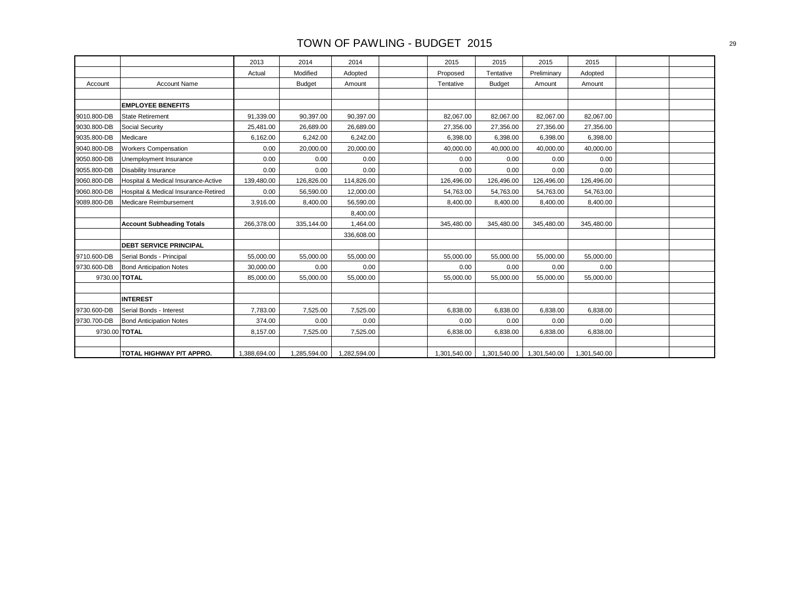|             |                                      | 2013         | 2014          | 2014         | 2015         | 2015          | 2015         | 2015         |  |
|-------------|--------------------------------------|--------------|---------------|--------------|--------------|---------------|--------------|--------------|--|
|             |                                      | Actual       | Modified      | Adopted      | Proposed     | Tentative     | Preliminary  | Adopted      |  |
| Account     | <b>Account Name</b>                  |              | <b>Budget</b> | Amount       | Tentative    | <b>Budget</b> | Amount       | Amount       |  |
|             |                                      |              |               |              |              |               |              |              |  |
|             | <b>EMPLOYEE BENEFITS</b>             |              |               |              |              |               |              |              |  |
| 9010.800-DB | <b>State Retirement</b>              | 91,339.00    | 90,397.00     | 90,397.00    | 82,067.00    | 82,067.00     | 82,067.00    | 82,067.00    |  |
| 9030.800-DB | Social Security                      | 25,481.00    | 26,689.00     | 26,689.00    | 27,356.00    | 27,356.00     | 27,356.00    | 27,356.00    |  |
| 9035.800-DB | Medicare                             | 6,162.00     | 6,242.00      | 6,242.00     | 6,398.00     | 6,398.00      | 6,398.00     | 6,398.00     |  |
| 9040.800-DB | <b>Workers Compensation</b>          | 0.00         | 20,000.00     | 20,000.00    | 40,000.00    | 40,000.00     | 40,000.00    | 40,000.00    |  |
| 9050.800-DB | Unemployment Insurance               | 0.00         | 0.00          | 0.00         | 0.00         | 0.00          | 0.00         | 0.00         |  |
| 9055.800-DB | <b>Disability Insurance</b>          | 0.00         | 0.00          | 0.00         | 0.00         | 0.00          | 0.00         | 0.00         |  |
| 9060.800-DB | Hospital & Medical Insurance-Active  | 139,480.00   | 126,826.00    | 114,826.00   | 126,496.00   | 126,496.00    | 126,496.00   | 126,496.00   |  |
| 9060.800-DB | Hospital & Medical Insurance-Retired | 0.00         | 56,590.00     | 12,000.00    | 54,763.00    | 54,763.00     | 54,763.00    | 54,763.00    |  |
| 9089.800-DB | Medicare Reimbursement               | 3,916.00     | 8,400.00      | 56,590.00    | 8,400.00     | 8,400.00      | 8,400.00     | 8,400.00     |  |
|             |                                      |              |               | 8.400.00     |              |               |              |              |  |
|             | <b>Account Subheading Totals</b>     | 266,378.00   | 335,144.00    | 1,464.00     | 345,480.00   | 345,480.00    | 345,480.00   | 345,480.00   |  |
|             |                                      |              |               | 336,608.00   |              |               |              |              |  |
|             | <b>DEBT SERVICE PRINCIPAL</b>        |              |               |              |              |               |              |              |  |
| 9710.600-DB | Serial Bonds - Principal             | 55,000.00    | 55,000.00     | 55,000.00    | 55,000.00    | 55,000.00     | 55,000.00    | 55,000.00    |  |
| 9730.600-DB | <b>Bond Anticipation Notes</b>       | 30,000.00    | 0.00          | 0.00         | 0.00         | 0.00          | 0.00         | 0.00         |  |
|             | 9730.00 TOTAL                        | 85,000.00    | 55,000.00     | 55,000.00    | 55,000.00    | 55,000.00     | 55,000.00    | 55,000.00    |  |
|             |                                      |              |               |              |              |               |              |              |  |
|             | <b>INTEREST</b>                      |              |               |              |              |               |              |              |  |
| 9730.600-DB | Serial Bonds - Interest              | 7,783.00     | 7,525.00      | 7,525.00     | 6,838.00     | 6,838.00      | 6,838.00     | 6,838.00     |  |
| 9730.700-DB | <b>Bond Anticipation Notes</b>       | 374.00       | 0.00          | 0.00         | 0.00         | 0.00          | 0.00         | 0.00         |  |
|             | 9730.00 TOTAL                        | 8,157.00     | 7,525.00      | 7,525.00     | 6,838.00     | 6,838.00      | 6,838.00     | 6,838.00     |  |
|             |                                      |              |               |              |              |               |              |              |  |
|             | TOTAL HIGHWAY P/T APPRO.             | 1,388,694.00 | 1,285,594.00  | 1,282,594.00 | 1,301,540.00 | 1,301,540.00  | 1,301,540.00 | 1,301,540.00 |  |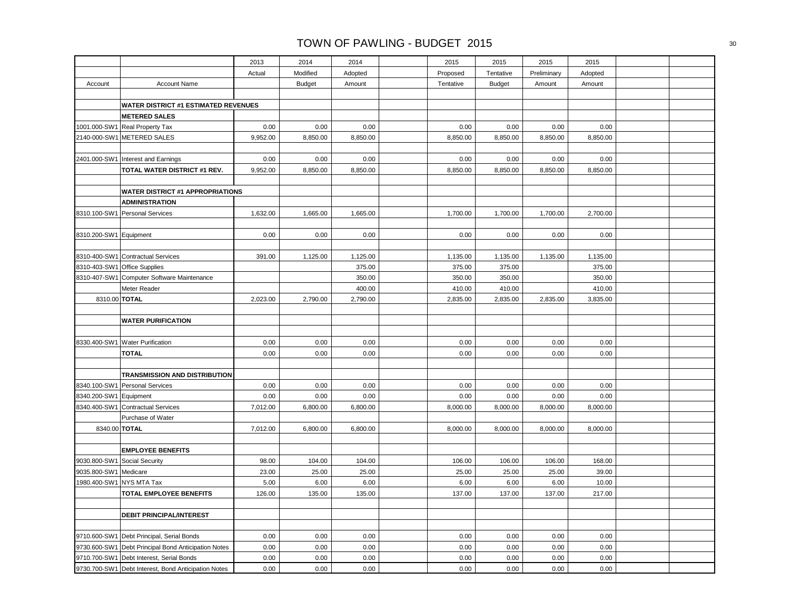|                        |                                                     | 2013     | 2014          | 2014     | 2015      | 2015          | 2015        | 2015     |  |
|------------------------|-----------------------------------------------------|----------|---------------|----------|-----------|---------------|-------------|----------|--|
|                        |                                                     | Actual   | Modified      | Adopted  | Proposed  | Tentative     | Preliminary | Adopted  |  |
| Account                | <b>Account Name</b>                                 |          | <b>Budget</b> | Amount   | Tentative | <b>Budget</b> | Amount      | Amount   |  |
|                        |                                                     |          |               |          |           |               |             |          |  |
|                        | <b>WATER DISTRICT #1 ESTIMATED REVENUES</b>         |          |               |          |           |               |             |          |  |
|                        | <b>METERED SALES</b>                                |          |               |          |           |               |             |          |  |
| 1001.000-SW1           | <b>Real Property Tax</b>                            | 0.00     | 0.00          | 0.00     | 0.00      | 0.00          | 0.00        | 0.00     |  |
|                        | 2140-000-SW1 METERED SALES                          | 9,952.00 | 8,850.00      | 8,850.00 | 8,850.00  | 8,850.00      | 8,850.00    | 8,850.00 |  |
|                        |                                                     |          |               |          |           |               |             |          |  |
|                        | 2401.000-SW1 Interest and Earnings                  | 0.00     | 0.00          | 0.00     | 0.00      | 0.00          | 0.00        | 0.00     |  |
|                        | TOTAL WATER DISTRICT #1 REV.                        | 9,952.00 | 8,850.00      | 8,850.00 | 8,850.00  | 8,850.00      | 8,850.00    | 8,850.00 |  |
|                        |                                                     |          |               |          |           |               |             |          |  |
|                        | <b>WATER DISTRICT #1 APPROPRIATIONS</b>             |          |               |          |           |               |             |          |  |
|                        | <b>ADMINISTRATION</b>                               |          |               |          |           |               |             |          |  |
|                        | 8310.100-SW1 Personal Services                      | 1,632.00 | 1,665.00      | 1,665.00 | 1,700.00  | 1,700.00      | 1,700.00    | 2,700.00 |  |
|                        |                                                     |          |               |          |           |               |             |          |  |
| 8310.200-SW1 Equipment |                                                     | 0.00     | 0.00          | 0.00     | 0.00      | 0.00          | 0.00        | 0.00     |  |
|                        |                                                     |          |               |          |           |               |             |          |  |
|                        | 8310-400-SW1 Contractual Services                   | 391.00   | 1,125.00      | 1,125.00 | 1,135.00  | 1,135.00      | 1,135.00    | 1,135.00 |  |
|                        | 8310-403-SW1 Office Supplies                        |          |               | 375.00   | 375.00    | 375.00        |             | 375.00   |  |
|                        | 8310-407-SW1 Computer Software Maintenance          |          |               | 350.00   | 350.00    | 350.00        |             | 350.00   |  |
|                        | Meter Reader                                        |          |               | 400.00   | 410.00    | 410.00        |             | 410.00   |  |
| 8310.00 TOTAL          |                                                     | 2,023.00 | 2,790.00      | 2,790.00 | 2,835.00  | 2,835.00      | 2,835.00    | 3,835.00 |  |
|                        |                                                     |          |               |          |           |               |             |          |  |
|                        | <b>WATER PURIFICATION</b>                           |          |               |          |           |               |             |          |  |
|                        |                                                     |          |               |          |           |               |             |          |  |
|                        | 8330.400-SW1 Water Purification                     | 0.00     | 0.00          | 0.00     | 0.00      | 0.00          | 0.00        | 0.00     |  |
|                        | <b>TOTAL</b>                                        | 0.00     | 0.00          | 0.00     | 0.00      | 0.00          | 0.00        | 0.00     |  |
|                        |                                                     |          |               |          |           |               |             |          |  |
|                        | TRANSMISSION AND DISTRIBUTION                       |          |               |          |           |               |             |          |  |
|                        | 8340.100-SW1 Personal Services                      | 0.00     | 0.00          | 0.00     | 0.00      | 0.00          | 0.00        | 0.00     |  |
| 8340.200-SW1 Equipment |                                                     | 0.00     | 0.00          | 0.00     | 0.00      | 0.00          | 0.00        | 0.00     |  |
|                        | 8340.400-SW1 Contractual Services                   | 7,012.00 | 6,800.00      | 6,800.00 | 8,000.00  | 8,000.00      | 8,000.00    | 8,000.00 |  |
|                        | Purchase of Water                                   |          |               |          |           |               |             |          |  |
| 8340.00 TOTAL          |                                                     | 7,012.00 | 6,800.00      | 6,800.00 | 8,000.00  | 8,000.00      | 8,000.00    | 8,000.00 |  |
|                        |                                                     |          |               |          |           |               |             |          |  |
|                        | <b>EMPLOYEE BENEFITS</b>                            |          |               |          |           |               |             |          |  |
| 9030.800-SW1           | Social Security                                     | 98.00    | 104.00        | 104.00   | 106.00    | 106.00        | 106.00      | 168.00   |  |
| 9035.800-SW1 Medicare  |                                                     | 23.00    | 25.00         | 25.00    | 25.00     | 25.00         | 25.00       | 39.00    |  |
| 1980.400-SW1           | <b>NYS MTA Tax</b>                                  | 5.00     | 6.00          | 6.00     | 6.00      | 6.00          | 6.00        | 10.00    |  |
|                        | TOTAL EMPLOYEE BENEFITS                             | 126.00   | 135.00        | 135.00   | 137.00    | 137.00        | 137.00      | 217.00   |  |
|                        |                                                     |          |               |          |           |               |             |          |  |
|                        | <b>DEBIT PRINCIPAL/INTEREST</b>                     |          |               |          |           |               |             |          |  |
|                        |                                                     |          |               |          |           |               |             |          |  |
|                        | 9710.600-SW1 Debt Principal, Serial Bonds           | 0.00     | 0.00          | 0.00     | 0.00      | 0.00          | 0.00        | 0.00     |  |
|                        | 9730.600-SW1 Debt Principal Bond Anticipation Notes | 0.00     | 0.00          | 0.00     | 0.00      | 0.00          | 0.00        | 0.00     |  |
|                        | 9710.700-SW1 Debt Interest, Serial Bonds            | 0.00     | 0.00          | 0.00     | 0.00      | 0.00          | 0.00        | 0.00     |  |
|                        | 9730.700-SW1 Debt Interest, Bond Anticipation Notes | 0.00     | 0.00          | 0.00     | 0.00      | 0.00          | 0.00        | 0.00     |  |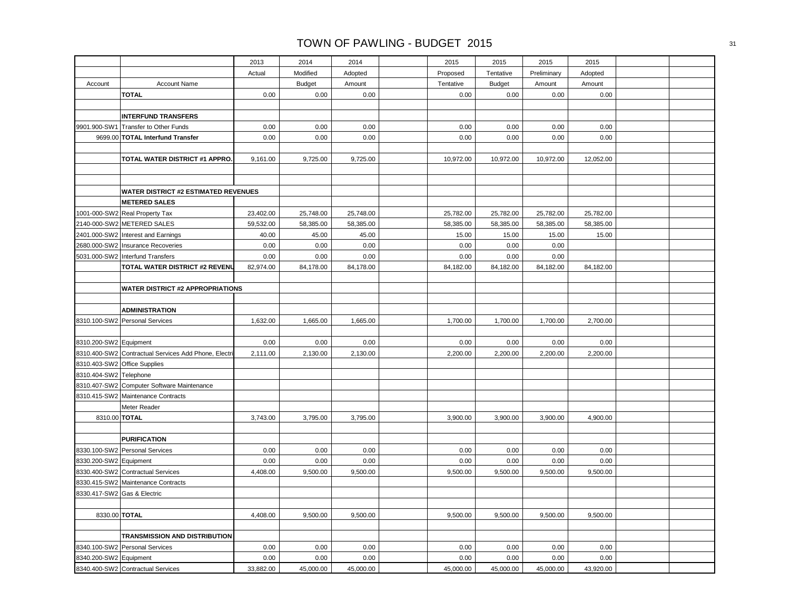|                             |                                                      | 2013      | 2014          | 2014      | 2015      | 2015          | 2015        | 2015      |  |
|-----------------------------|------------------------------------------------------|-----------|---------------|-----------|-----------|---------------|-------------|-----------|--|
|                             |                                                      | Actual    | Modified      | Adopted   | Proposed  | Tentative     | Preliminary | Adopted   |  |
| Account                     | <b>Account Name</b>                                  |           | <b>Budget</b> | Amount    | Tentative | <b>Budget</b> | Amount      | Amount    |  |
|                             | <b>TOTAL</b>                                         | 0.00      | 0.00          | 0.00      | 0.00      | 0.00          | 0.00        | 0.00      |  |
|                             |                                                      |           |               |           |           |               |             |           |  |
|                             | <b>INTERFUND TRANSFERS</b>                           |           |               |           |           |               |             |           |  |
| 9901.900-SW1                | Transfer to Other Funds                              | 0.00      | 0.00          | 0.00      | 0.00      | 0.00          | 0.00        | 0.00      |  |
|                             | 9699.00 TOTAL Interfund Transfer                     | 0.00      | 0.00          | 0.00      | 0.00      | 0.00          | 0.00        | 0.00      |  |
|                             |                                                      |           |               |           |           |               |             |           |  |
|                             | TOTAL WATER DISTRICT #1 APPRO.                       | 9,161.00  | 9,725.00      | 9,725.00  | 10,972.00 | 10,972.00     | 10,972.00   | 12,052.00 |  |
|                             |                                                      |           |               |           |           |               |             |           |  |
|                             |                                                      |           |               |           |           |               |             |           |  |
|                             | <b>WATER DISTRICT #2 ESTIMATED REVENUES</b>          |           |               |           |           |               |             |           |  |
|                             | <b>METERED SALES</b>                                 |           |               |           |           |               |             |           |  |
|                             | 1001-000-SW2 Real Property Tax                       | 23,402.00 | 25,748.00     | 25,748.00 | 25,782.00 | 25,782.00     | 25,782.00   | 25,782.00 |  |
|                             | 2140-000-SW2 METERED SALES                           | 59,532.00 | 58,385.00     | 58,385.00 | 58,385.00 | 58,385.00     | 58,385.00   | 58,385.00 |  |
|                             | 2401.000-SW2 Interest and Earnings                   | 40.00     | 45.00         | 45.00     | 15.00     | 15.00         | 15.00       | 15.00     |  |
|                             | 2680.000-SW2 Insurance Recoveries                    | 0.00      | 0.00          | 0.00      | 0.00      | 0.00          | 0.00        |           |  |
|                             | 5031.000-SW2 Interfund Transfers                     | 0.00      | 0.00          | 0.00      | 0.00      | 0.00          | 0.00        |           |  |
|                             | TOTAL WATER DISTRICT #2 REVENU                       | 82,974.00 | 84,178.00     | 84,178.00 | 84,182.00 | 84,182.00     | 84,182.00   | 84,182.00 |  |
|                             |                                                      |           |               |           |           |               |             |           |  |
|                             | <b>WATER DISTRICT #2 APPROPRIATIONS</b>              |           |               |           |           |               |             |           |  |
|                             |                                                      |           |               |           |           |               |             |           |  |
|                             | <b>ADMINISTRATION</b>                                |           |               |           |           |               |             |           |  |
|                             | 8310.100-SW2 Personal Services                       | 1,632.00  | 1,665.00      | 1,665.00  | 1,700.00  | 1,700.00      | 1,700.00    | 2,700.00  |  |
|                             |                                                      |           |               |           |           |               |             |           |  |
| 8310.200-SW2 Equipment      |                                                      | 0.00      | 0.00          | 0.00      | 0.00      | 0.00          | 0.00        | 0.00      |  |
|                             | 8310.400-SW2 Contractual Services Add Phone, Electri | 2,111.00  | 2,130.00      | 2,130.00  | 2,200.00  | 2,200.00      | 2,200.00    | 2,200.00  |  |
|                             | 8310.403-SW2 Office Supplies                         |           |               |           |           |               |             |           |  |
| 8310.404-SW2 Telephone      |                                                      |           |               |           |           |               |             |           |  |
|                             | 8310.407-SW2 Computer Software Maintenance           |           |               |           |           |               |             |           |  |
|                             | 8310.415-SW2 Maintenance Contracts                   |           |               |           |           |               |             |           |  |
|                             | Meter Reader                                         |           |               |           |           |               |             |           |  |
|                             | 8310.00 TOTAL                                        | 3,743.00  | 3,795.00      | 3,795.00  | 3,900.00  | 3,900.00      | 3,900.00    | 4,900.00  |  |
|                             |                                                      |           |               |           |           |               |             |           |  |
|                             | <b>PURIFICATION</b>                                  | 0.00      | 0.00          | 0.00      | 0.00      | 0.00          | 0.00        | 0.00      |  |
|                             | 8330.100-SW2 Personal Services                       | 0.00      | 0.00          | 0.00      | 0.00      | 0.00          | 0.00        | 0.00      |  |
| 8330.200-SW2 Equipment      | 8330.400-SW2 Contractual Services                    | 4,408.00  | 9,500.00      | 9,500.00  | 9,500.00  | 9,500.00      | 9,500.00    | 9,500.00  |  |
|                             | 8330.415-SW2 Maintenance Contracts                   |           |               |           |           |               |             |           |  |
| 8330.417-SW2 Gas & Electric |                                                      |           |               |           |           |               |             |           |  |
|                             |                                                      |           |               |           |           |               |             |           |  |
| 8330.00 TOTAL               |                                                      | 4,408.00  | 9,500.00      | 9,500.00  | 9,500.00  | 9,500.00      | 9,500.00    | 9,500.00  |  |
|                             |                                                      |           |               |           |           |               |             |           |  |
|                             | TRANSMISSION AND DISTRIBUTION                        |           |               |           |           |               |             |           |  |
|                             | 8340.100-SW2 Personal Services                       | 0.00      | 0.00          | 0.00      | 0.00      | 0.00          | 0.00        | 0.00      |  |
| 8340.200-SW2 Equipment      |                                                      | 0.00      | 0.00          | 0.00      | 0.00      | 0.00          | 0.00        | 0.00      |  |
|                             | 8340.400-SW2 Contractual Services                    | 33,882.00 | 45,000.00     | 45,000.00 | 45,000.00 | 45,000.00     | 45,000.00   | 43,920.00 |  |
|                             |                                                      |           |               |           |           |               |             |           |  |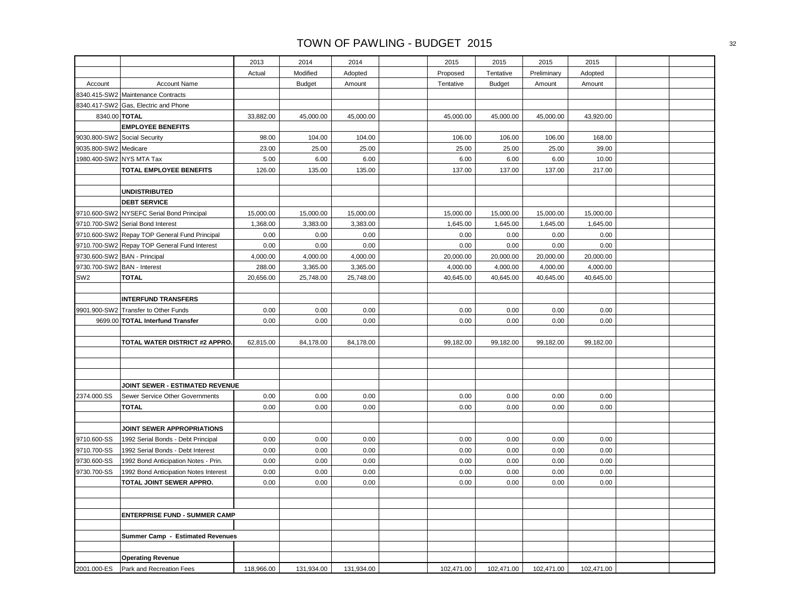|                       |                                               | 2013       | 2014          | 2014       | 2015       | 2015          | 2015        | 2015       |  |
|-----------------------|-----------------------------------------------|------------|---------------|------------|------------|---------------|-------------|------------|--|
|                       |                                               | Actual     | Modified      | Adopted    | Proposed   | Tentative     | Preliminary | Adopted    |  |
| Account               | <b>Account Name</b>                           |            | <b>Budget</b> | Amount     | Tentative  | <b>Budget</b> | Amount      | Amount     |  |
|                       | 8340.415-SW2 Maintenance Contracts            |            |               |            |            |               |             |            |  |
|                       | 8340.417-SW2 Gas, Electric and Phone          |            |               |            |            |               |             |            |  |
|                       | 8340.00 TOTAL                                 | 33,882.00  | 45,000.00     | 45,000.00  | 45,000.00  | 45,000.00     | 45,000.00   | 43,920.00  |  |
|                       | <b>EMPLOYEE BENEFITS</b>                      |            |               |            |            |               |             |            |  |
|                       | 9030.800-SW2 Social Security                  | 98.00      | 104.00        | 104.00     | 106.00     | 106.00        | 106.00      | 168.00     |  |
| 9035.800-SW2 Medicare |                                               | 23.00      | 25.00         | 25.00      | 25.00      | 25.00         | 25.00       | 39.00      |  |
|                       | 1980.400-SW2 NYS MTA Tax                      | 5.00       | 6.00          | 6.00       | 6.00       | 6.00          | 6.00        | 10.00      |  |
|                       | TOTAL EMPLOYEE BENEFITS                       | 126.00     | 135.00        | 135.00     | 137.00     | 137.00        | 137.00      | 217.00     |  |
|                       |                                               |            |               |            |            |               |             |            |  |
|                       | <b>UNDISTRIBUTED</b>                          |            |               |            |            |               |             |            |  |
|                       | <b>DEBT SERVICE</b>                           |            |               |            |            |               |             |            |  |
|                       | 9710.600-SW2 NYSEFC Serial Bond Principal     | 15,000.00  | 15,000.00     | 15,000.00  | 15,000.00  | 15,000.00     | 15,000.00   | 15,000.00  |  |
|                       | 9710.700-SW2 Serial Bond Interest             | 1,368.00   | 3,383.00      | 3,383.00   | 1,645.00   | 1,645.00      | 1,645.00    | 1,645.00   |  |
|                       | 9710.600-SW2 Repay TOP General Fund Principal | 0.00       | 0.00          | 0.00       | 0.00       | 0.00          | 0.00        | 0.00       |  |
|                       | 9710.700-SW2 Repay TOP General Fund Interest  | 0.00       | 0.00          | 0.00       | 0.00       | 0.00          | 0.00        | 0.00       |  |
|                       | 9730.600-SW2 BAN - Principal                  | 4,000.00   | 4,000.00      | 4,000.00   | 20,000.00  | 20,000.00     | 20,000.00   | 20,000.00  |  |
|                       | 9730.700-SW2 BAN - Interest                   | 288.00     | 3,365.00      | 3,365.00   | 4,000.00   | 4,000.00      | 4,000.00    | 4,000.00   |  |
| SW <sub>2</sub>       | <b>TOTAL</b>                                  | 20,656.00  | 25,748.00     | 25,748.00  | 40,645.00  | 40,645.00     | 40,645.00   | 40,645.00  |  |
|                       |                                               |            |               |            |            |               |             |            |  |
|                       | <b>INTERFUND TRANSFERS</b>                    |            |               |            |            |               |             |            |  |
|                       | 9901.900-SW2 Transfer to Other Funds          | 0.00       | 0.00          | 0.00       | 0.00       | 0.00          | 0.00        | 0.00       |  |
|                       | 9699.00 TOTAL Interfund Transfer              | 0.00       | 0.00          | 0.00       | 0.00       | 0.00          | 0.00        | 0.00       |  |
|                       |                                               |            |               |            |            |               |             |            |  |
|                       | TOTAL WATER DISTRICT #2 APPRO.                | 62,815.00  | 84,178.00     | 84,178.00  | 99,182.00  | 99,182.00     | 99,182.00   | 99,182.00  |  |
|                       |                                               |            |               |            |            |               |             |            |  |
|                       |                                               |            |               |            |            |               |             |            |  |
|                       |                                               |            |               |            |            |               |             |            |  |
|                       | <b>JOINT SEWER - ESTIMATED REVENUE</b>        |            |               |            |            |               |             |            |  |
| 2374.000.SS           | Sewer Service Other Governments               | 0.00       | 0.00          | 0.00       | 0.00       | 0.00          | 0.00        | 0.00       |  |
|                       | <b>TOTAL</b>                                  | 0.00       | 0.00          | 0.00       | 0.00       | 0.00          | 0.00        | 0.00       |  |
|                       |                                               |            |               |            |            |               |             |            |  |
|                       | JOINT SEWER APPROPRIATIONS                    |            |               |            |            |               |             |            |  |
| 9710.600-SS           | 1992 Serial Bonds - Debt Principal            | 0.00       | 0.00          | 0.00       | 0.00       | 0.00          | 0.00        | 0.00       |  |
| 9710.700-SS           | 1992 Serial Bonds - Debt Interest             | 0.00       | 0.00          | 0.00       | 0.00       | 0.00          | 0.00        | 0.00       |  |
| 9730.600-SS           | 1992 Bond Anticipation Notes - Prin.          | 0.00       | 0.00          | 0.00       | 0.00       | 0.00          | 0.00        | 0.00       |  |
| 9730.700-SS           | 1992 Bond Anticipation Notes Interest         | 0.00       | 0.00          | 0.00       | 0.00       | 0.00          | 0.00        | 0.00       |  |
|                       | TOTAL JOINT SEWER APPRO.                      | 0.00       | 0.00          | 0.00       | 0.00       | 0.00          | 0.00        | 0.00       |  |
|                       |                                               |            |               |            |            |               |             |            |  |
|                       |                                               |            |               |            |            |               |             |            |  |
|                       | <b>ENTERPRISE FUND - SUMMER CAMP</b>          |            |               |            |            |               |             |            |  |
|                       |                                               |            |               |            |            |               |             |            |  |
|                       | Summer Camp - Estimated Revenues              |            |               |            |            |               |             |            |  |
|                       |                                               |            |               |            |            |               |             |            |  |
|                       | <b>Operating Revenue</b>                      |            |               |            |            |               |             |            |  |
| 2001.000-ES           | Park and Recreation Fees                      | 118,966.00 | 131,934.00    | 131,934.00 | 102,471.00 | 102,471.00    | 102,471.00  | 102,471.00 |  |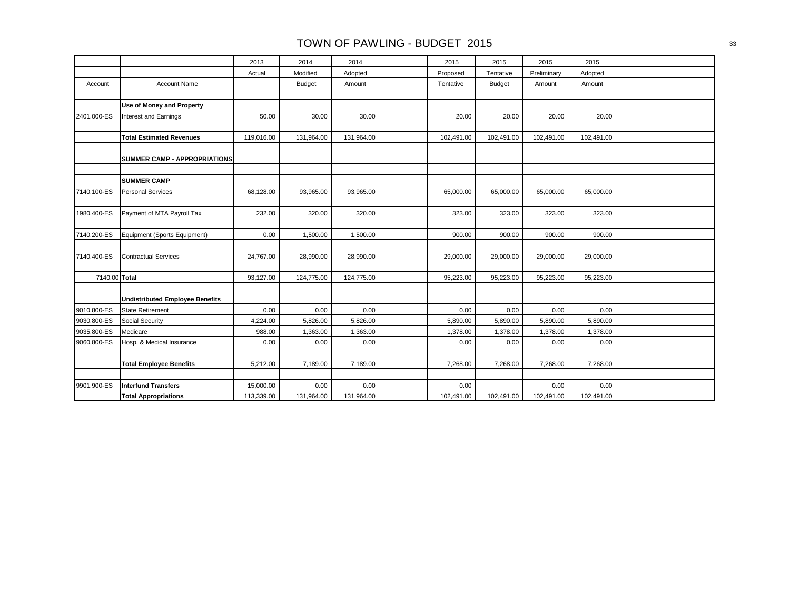|               |                                        | 2013       | 2014          | 2014       | 2015       | 2015          | 2015        | 2015       |  |
|---------------|----------------------------------------|------------|---------------|------------|------------|---------------|-------------|------------|--|
|               |                                        | Actual     | Modified      | Adopted    | Proposed   | Tentative     | Preliminary | Adopted    |  |
| Account       | <b>Account Name</b>                    |            | <b>Budget</b> | Amount     | Tentative  | <b>Budget</b> | Amount      | Amount     |  |
|               |                                        |            |               |            |            |               |             |            |  |
|               | Use of Money and Property              |            |               |            |            |               |             |            |  |
| 2401.000-ES   | Interest and Earnings                  | 50.00      | 30.00         | 30.00      | 20.00      | 20.00         | 20.00       | 20.00      |  |
|               |                                        |            |               |            |            |               |             |            |  |
|               | <b>Total Estimated Revenues</b>        | 119,016.00 | 131,964.00    | 131,964.00 | 102,491.00 | 102,491.00    | 102,491.00  | 102,491.00 |  |
|               |                                        |            |               |            |            |               |             |            |  |
|               | <b>SUMMER CAMP - APPROPRIATIONS</b>    |            |               |            |            |               |             |            |  |
|               |                                        |            |               |            |            |               |             |            |  |
|               | <b>SUMMER CAMP</b>                     |            |               |            |            |               |             |            |  |
| 7140.100-ES   | Personal Services                      | 68,128.00  | 93,965.00     | 93,965.00  | 65,000.00  | 65,000.00     | 65,000.00   | 65,000.00  |  |
|               |                                        |            |               |            |            |               |             |            |  |
| 1980.400-ES   | Payment of MTA Payroll Tax             | 232.00     | 320.00        | 320.00     | 323.00     | 323.00        | 323.00      | 323.00     |  |
|               |                                        |            |               |            |            |               |             |            |  |
| 7140.200-ES   | Equipment (Sports Equipment)           | 0.00       | 1,500.00      | 1,500.00   | 900.00     | 900.00        | 900.00      | 900.00     |  |
|               |                                        |            |               |            |            |               |             |            |  |
| 7140.400-ES   | Contractual Services                   | 24,767.00  | 28,990.00     | 28,990.00  | 29,000.00  | 29,000.00     | 29,000.00   | 29,000.00  |  |
|               |                                        |            |               |            |            |               |             |            |  |
| 7140.00 Total |                                        | 93,127.00  | 124,775.00    | 124,775.00 | 95,223.00  | 95,223.00     | 95,223.00   | 95,223.00  |  |
|               |                                        |            |               |            |            |               |             |            |  |
|               | <b>Undistributed Employee Benefits</b> |            |               |            |            |               |             |            |  |
| 9010.800-ES   | <b>State Retirement</b>                | 0.00       | 0.00          | 0.00       | 0.00       | 0.00          | 0.00        | 0.00       |  |
| 9030.800-ES   | <b>Social Security</b>                 | 4,224.00   | 5,826.00      | 5,826.00   | 5,890.00   | 5,890.00      | 5,890.00    | 5,890.00   |  |
| 9035.800-ES   | Medicare                               | 988.00     | 1,363.00      | 1,363.00   | 1,378.00   | 1,378.00      | 1,378.00    | 1,378.00   |  |
| 9060.800-ES   | Hosp. & Medical Insurance              | 0.00       | 0.00          | 0.00       | 0.00       | 0.00          | 0.00        | 0.00       |  |
|               |                                        |            |               |            |            |               |             |            |  |
|               | <b>Total Employee Benefits</b>         | 5,212.00   | 7,189.00      | 7,189.00   | 7,268.00   | 7,268.00      | 7,268.00    | 7,268.00   |  |
|               |                                        |            |               |            |            |               |             |            |  |
| 9901.900-ES   | <b>Interfund Transfers</b>             | 15,000.00  | 0.00          | 0.00       | 0.00       |               | 0.00        | 0.00       |  |
|               | <b>Total Appropriations</b>            | 113,339.00 | 131,964.00    | 131,964.00 | 102,491.00 | 102,491.00    | 102,491.00  | 102,491.00 |  |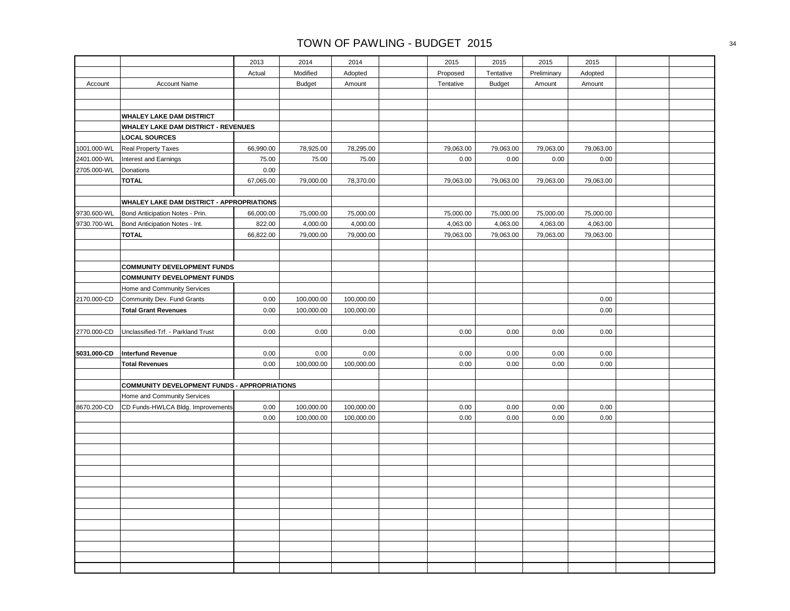|             |                                                     | 2013      | 2014          | 2014       | 2015      | 2015          | 2015        | 2015      |  |
|-------------|-----------------------------------------------------|-----------|---------------|------------|-----------|---------------|-------------|-----------|--|
|             |                                                     | Actual    | Modified      | Adopted    | Proposed  | Tentative     | Preliminary | Adopted   |  |
| Account     | Account Name                                        |           | <b>Budget</b> | Amount     | Tentative | <b>Budget</b> | Amount      | Amount    |  |
|             |                                                     |           |               |            |           |               |             |           |  |
|             |                                                     |           |               |            |           |               |             |           |  |
|             | WHALEY LAKE DAM DISTRICT                            |           |               |            |           |               |             |           |  |
|             | WHALEY LAKE DAM DISTRICT - REVENUES                 |           |               |            |           |               |             |           |  |
|             | <b>LOCAL SOURCES</b>                                |           |               |            |           |               |             |           |  |
| 1001.000-WL | <b>Real Property Taxes</b>                          | 66,990.00 | 78,925.00     | 78,295.00  | 79,063.00 | 79,063.00     | 79,063.00   | 79,063.00 |  |
| 2401.000-WL | Interest and Earnings                               | 75.00     | 75.00         | 75.00      | 0.00      | 0.00          | 0.00        | 0.00      |  |
| 2705.000-WL | Donations                                           | 0.00      |               |            |           |               |             |           |  |
|             | <b>TOTAL</b>                                        | 67,065.00 | 79,000.00     | 78,370.00  | 79,063.00 | 79,063.00     | 79,063.00   | 79,063.00 |  |
|             |                                                     |           |               |            |           |               |             |           |  |
|             | WHALEY LAKE DAM DISTRICT - APPROPRIATIONS           |           |               |            |           |               |             |           |  |
| 9730.600-WL | Bond Anticipation Notes - Prin.                     | 66,000.00 | 75,000.00     | 75,000.00  | 75,000.00 | 75,000.00     | 75,000.00   | 75,000.00 |  |
| 9730.700-WL | Bond Anticipation Notes - Int.                      | 822.00    | 4,000.00      | 4,000.00   | 4,063.00  | 4,063.00      | 4,063.00    | 4,063.00  |  |
|             | <b>TOTAL</b>                                        | 66,822.00 | 79,000.00     | 79,000.00  | 79,063.00 | 79,063.00     | 79,063.00   | 79,063.00 |  |
|             |                                                     |           |               |            |           |               |             |           |  |
|             |                                                     |           |               |            |           |               |             |           |  |
|             | <b>COMMUNITY DEVELOPMENT FUNDS</b>                  |           |               |            |           |               |             |           |  |
|             | <b>COMMUNITY DEVELOPMENT FUNDS</b>                  |           |               |            |           |               |             |           |  |
|             | Home and Community Services                         |           |               |            |           |               |             |           |  |
| 2170.000-CD | Community Dev. Fund Grants                          | 0.00      | 100,000.00    | 100,000.00 |           |               |             | 0.00      |  |
|             | <b>Total Grant Revenues</b>                         | 0.00      | 100,000.00    | 100,000.00 |           |               |             | $0.00\,$  |  |
|             |                                                     |           |               |            |           |               |             |           |  |
| 2770.000-CD | Unclassified-Trf. - Parkland Trust                  | 0.00      | 0.00          | 0.00       | 0.00      | 0.00          | 0.00        | 0.00      |  |
|             |                                                     |           |               |            |           |               |             |           |  |
| 5031.000-CD | <b>Interfund Revenue</b>                            | 0.00      | 0.00          | 0.00       | 0.00      | 0.00          | 0.00        | 0.00      |  |
|             | <b>Total Revenues</b>                               | 0.00      | 100,000.00    | 100,000.00 | 0.00      | 0.00          | 0.00        | 0.00      |  |
|             |                                                     |           |               |            |           |               |             |           |  |
|             | <b>COMMUNITY DEVELOPMENT FUNDS - APPROPRIATIONS</b> |           |               |            |           |               |             |           |  |
|             | Home and Community Services                         |           |               |            |           |               |             |           |  |
| 8670.200-CD | CD Funds-HWLCA Bldg. Improvements                   | 0.00      | 100,000.00    | 100,000.00 | 0.00      | 0.00          | 0.00        | 0.00      |  |
|             |                                                     | 0.00      | 100,000.00    | 100,000.00 | 0.00      | 0.00          | 0.00        | 0.00      |  |
|             |                                                     |           |               |            |           |               |             |           |  |
|             |                                                     |           |               |            |           |               |             |           |  |
|             |                                                     |           |               |            |           |               |             |           |  |
|             |                                                     |           |               |            |           |               |             |           |  |
|             |                                                     |           |               |            |           |               |             |           |  |
|             |                                                     |           |               |            |           |               |             |           |  |
|             |                                                     |           |               |            |           |               |             |           |  |
|             |                                                     |           |               |            |           |               |             |           |  |
|             |                                                     |           |               |            |           |               |             |           |  |
|             |                                                     |           |               |            |           |               |             |           |  |
|             |                                                     |           |               |            |           |               |             |           |  |
|             |                                                     |           |               |            |           |               |             |           |  |
|             |                                                     |           |               |            |           |               |             |           |  |
|             |                                                     |           |               |            |           |               |             |           |  |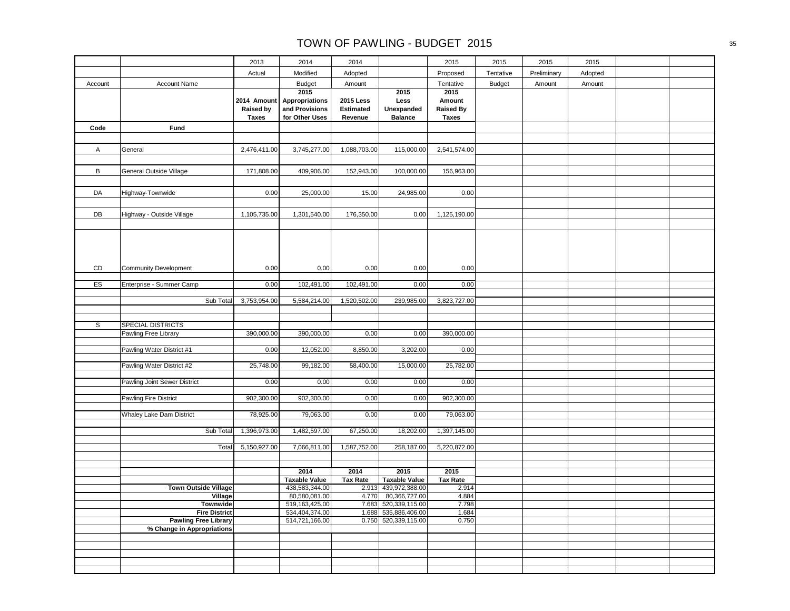|         |                                         | 2013                                            | 2014                                                       | 2014                                     |                                              | 2015                                               | 2015          | 2015        | 2015    |  |
|---------|-----------------------------------------|-------------------------------------------------|------------------------------------------------------------|------------------------------------------|----------------------------------------------|----------------------------------------------------|---------------|-------------|---------|--|
|         |                                         | Actual                                          | Modified                                                   | Adopted                                  |                                              | Proposed                                           | Tentative     | Preliminary | Adopted |  |
| Account | <b>Account Name</b>                     |                                                 | <b>Budget</b>                                              | Amount                                   |                                              | Tentative                                          | <b>Budget</b> | Amount      | Amount  |  |
|         |                                         | 2014 Amount<br><b>Raised by</b><br><b>Taxes</b> | 2015<br>Appropriations<br>and Provisions<br>for Other Uses | <b>2015 Less</b><br>Estimated<br>Revenue | 2015<br>Less<br>Unexpanded<br><b>Balance</b> | 2015<br>Amount<br><b>Raised By</b><br><b>Taxes</b> |               |             |         |  |
| Code    | Fund                                    |                                                 |                                                            |                                          |                                              |                                                    |               |             |         |  |
|         |                                         |                                                 |                                                            |                                          |                                              |                                                    |               |             |         |  |
| A       | General                                 | 2,476,411.00                                    | 3,745,277.00                                               | 1,088,703.00                             | 115,000.00                                   | 2,541,574.00                                       |               |             |         |  |
|         |                                         |                                                 |                                                            |                                          |                                              |                                                    |               |             |         |  |
| В       | General Outside Village                 | 171,808.00                                      | 409,906.00                                                 | 152,943.00                               | 100,000.00                                   | 156,963.00                                         |               |             |         |  |
|         |                                         |                                                 |                                                            |                                          |                                              |                                                    |               |             |         |  |
| DA      | Highway-Townwide                        | 0.00                                            | 25,000.00                                                  | 15.00                                    | 24,985.00                                    | 0.00                                               |               |             |         |  |
|         |                                         |                                                 |                                                            |                                          |                                              |                                                    |               |             |         |  |
| DB      | Highway - Outside Village               | 1,105,735.00                                    | 1,301,540.00                                               | 176,350.00                               | 0.00                                         | 1,125,190.00                                       |               |             |         |  |
|         |                                         |                                                 |                                                            |                                          |                                              |                                                    |               |             |         |  |
| CD      | Community Development                   | 0.00                                            | 0.00                                                       | 0.00                                     | 0.00                                         | 0.00                                               |               |             |         |  |
|         |                                         |                                                 |                                                            |                                          |                                              |                                                    |               |             |         |  |
| ES      | Enterprise - Summer Camp                | 0.00                                            | 102,491.00                                                 | 102,491.00                               | 0.00                                         | 0.00                                               |               |             |         |  |
|         | Sub Total                               | 3,753,954.00                                    | 5,584,214.00                                               | 1,520,502.00                             | 239,985.00                                   | 3,823,727.00                                       |               |             |         |  |
|         |                                         |                                                 |                                                            |                                          |                                              |                                                    |               |             |         |  |
| s       | <b>SPECIAL DISTRICTS</b>                |                                                 |                                                            |                                          |                                              |                                                    |               |             |         |  |
|         | Pawling Free Library                    | 390,000.00                                      | 390,000.00                                                 | 0.00                                     | 0.00                                         | 390,000.00                                         |               |             |         |  |
|         |                                         |                                                 |                                                            |                                          |                                              |                                                    |               |             |         |  |
|         | Pawling Water District #1               | 0.00                                            | 12,052.00                                                  | 8,850.00                                 | 3,202.00                                     | 0.00                                               |               |             |         |  |
|         | Pawling Water District #2               | 25,748.00                                       | 99,182.00                                                  | 58,400.00                                | 15,000.00                                    | 25,782.00                                          |               |             |         |  |
|         |                                         |                                                 |                                                            |                                          |                                              |                                                    |               |             |         |  |
|         | Pawling Joint Sewer District            | 0.00                                            | 0.00                                                       | 0.00                                     | 0.00                                         | 0.00                                               |               |             |         |  |
|         | <b>Pawling Fire District</b>            | 902,300.00                                      | 902,300.00                                                 | 0.00                                     | 0.00                                         | 902,300.00                                         |               |             |         |  |
|         |                                         |                                                 |                                                            |                                          |                                              |                                                    |               |             |         |  |
|         | Whaley Lake Dam District                | 78,925.00                                       | 79,063.00                                                  | 0.00                                     | 0.00                                         | 79,063.00                                          |               |             |         |  |
|         | Sub Total                               | 1,396,973.00                                    | 1,482,597.00                                               | 67,250.00                                | 18,202.00                                    | 1,397,145.00                                       |               |             |         |  |
|         |                                         |                                                 |                                                            |                                          |                                              |                                                    |               |             |         |  |
|         | Total                                   | 5,150,927.00                                    | 7,066,811.00                                               | 1,587,752.00                             | 258,187.00                                   | 5,220,872.00                                       |               |             |         |  |
|         |                                         |                                                 |                                                            |                                          |                                              |                                                    |               |             |         |  |
|         |                                         |                                                 | 2014                                                       | 2014                                     | 2015                                         | 2015                                               |               |             |         |  |
|         |                                         |                                                 | <b>Taxable Value</b>                                       | <b>Tax Rate</b>                          | <b>Taxable Value</b>                         | <b>Tax Rate</b>                                    |               |             |         |  |
|         | <b>Town Outside Village</b>             |                                                 | 438,583,344.00                                             | 2.913                                    | 439,972,388.00                               | 2.914                                              |               |             |         |  |
|         | Village                                 |                                                 | 80,580,081.00                                              | 4.770                                    | 80,366,727.00                                | 4.884                                              |               |             |         |  |
|         | <b>Townwide</b><br><b>Fire District</b> |                                                 | 519,163,425.00<br>534,404,374.00                           | 7.683<br>1.688                           | 520,339,115.00<br>535,886,406.00             | 7.798<br>1.684                                     |               |             |         |  |
|         | <b>Pawling Free Library</b>             |                                                 | 514,721,166.00                                             | 0.750                                    | 520,339,115.00                               | 0.750                                              |               |             |         |  |
|         | % Change in Appropriations              |                                                 |                                                            |                                          |                                              |                                                    |               |             |         |  |
|         |                                         |                                                 |                                                            |                                          |                                              |                                                    |               |             |         |  |
|         |                                         |                                                 |                                                            |                                          |                                              |                                                    |               |             |         |  |
|         |                                         |                                                 |                                                            |                                          |                                              |                                                    |               |             |         |  |
|         |                                         |                                                 |                                                            |                                          |                                              |                                                    |               |             |         |  |